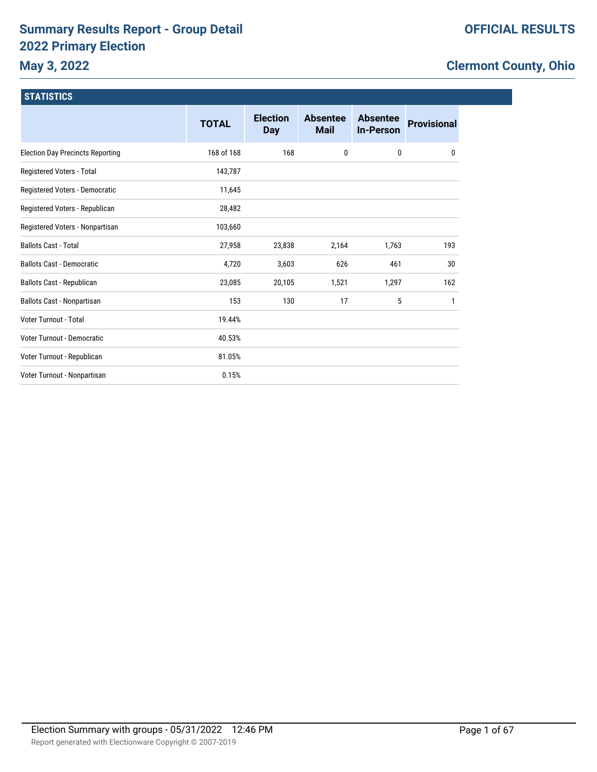# **Summary Results Report - Group Detail 2022 Primary Election**

# **May 3, 2022**

# **Clermont County, Ohio**

| <b>STATISTICS</b>                       |              |                               |                                |                                     |                    |
|-----------------------------------------|--------------|-------------------------------|--------------------------------|-------------------------------------|--------------------|
|                                         | <b>TOTAL</b> | <b>Election</b><br><b>Day</b> | <b>Absentee</b><br><b>Mail</b> | <b>Absentee</b><br><b>In-Person</b> | <b>Provisional</b> |
| <b>Election Day Precincts Reporting</b> | 168 of 168   | 168                           | 0                              | $\mathbf{0}$                        | 0                  |
| Registered Voters - Total               | 143,787      |                               |                                |                                     |                    |
| Registered Voters - Democratic          | 11,645       |                               |                                |                                     |                    |
| Registered Voters - Republican          | 28,482       |                               |                                |                                     |                    |
| Registered Voters - Nonpartisan         | 103,660      |                               |                                |                                     |                    |
| <b>Ballots Cast - Total</b>             | 27,958       | 23,838                        | 2,164                          | 1,763                               | 193                |
| <b>Ballots Cast - Democratic</b>        | 4,720        | 3,603                         | 626                            | 461                                 | 30                 |
| Ballots Cast - Republican               | 23,085       | 20,105                        | 1,521                          | 1,297                               | 162                |
| Ballots Cast - Nonpartisan              | 153          | 130                           | 17                             | 5                                   |                    |
| Voter Turnout - Total                   | 19.44%       |                               |                                |                                     |                    |
| Voter Turnout - Democratic              | 40.53%       |                               |                                |                                     |                    |
| Voter Turnout - Republican              | 81.05%       |                               |                                |                                     |                    |
| Voter Turnout - Nonpartisan             | 0.15%        |                               |                                |                                     |                    |
|                                         |              |                               |                                |                                     |                    |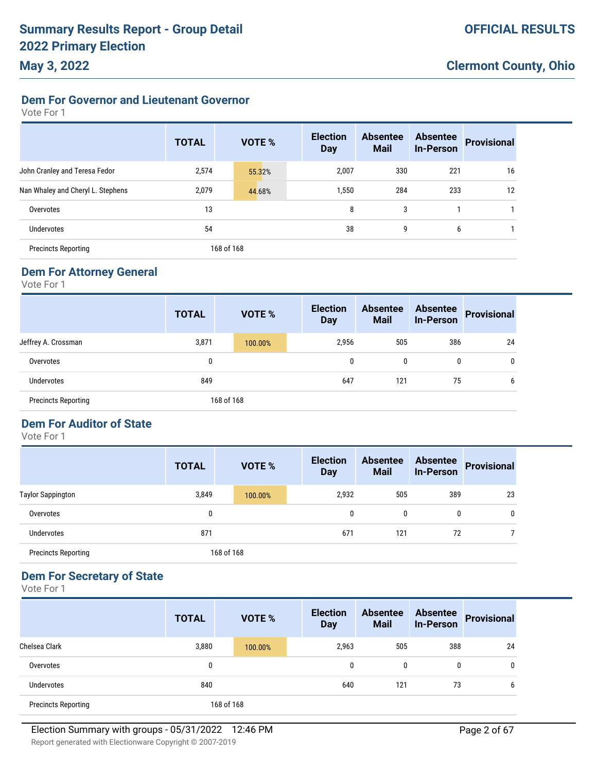## **Dem For Governor and Lieutenant Governor**

Vote For 1

|                                   | <b>TOTAL</b> | <b>VOTE %</b> | <b>Election</b><br><b>Day</b> | <b>Absentee</b><br><b>Mail</b> | <b>Absentee</b><br><b>In-Person</b> | <b>Provisional</b> |
|-----------------------------------|--------------|---------------|-------------------------------|--------------------------------|-------------------------------------|--------------------|
| John Cranley and Teresa Fedor     | 2,574        | 55.32%        | 2,007                         | 330                            | 221                                 | 16                 |
| Nan Whaley and Cheryl L. Stephens | 2,079        | 44.68%        | 1,550                         | 284                            | 233                                 | 12                 |
| Overvotes                         | 13           |               | 8                             | 3                              |                                     |                    |
| <b>Undervotes</b>                 | 54           |               | 38                            | 9                              | 6                                   |                    |
| <b>Precincts Reporting</b>        |              | 168 of 168    |                               |                                |                                     |                    |

# **Dem For Attorney General**

Vote For 1

|                            | <b>TOTAL</b> | <b>VOTE %</b> | <b>Election</b><br><b>Day</b> | <b>Absentee</b><br><b>Mail</b> | <b>Absentee</b><br><b>In-Person</b> | <b>Provisional</b> |
|----------------------------|--------------|---------------|-------------------------------|--------------------------------|-------------------------------------|--------------------|
| Jeffrey A. Crossman        | 3,871        | 100.00%       | 2,956                         | 505                            | 386                                 | 24                 |
| Overvotes                  | 0            |               | 0                             | 0                              | 0                                   | 0                  |
| <b>Undervotes</b>          | 849          |               | 647                           | 121                            | 75                                  | b                  |
| <b>Precincts Reporting</b> |              | 168 of 168    |                               |                                |                                     |                    |

## **Dem For Auditor of State**

Vote For 1

|                            | <b>TOTAL</b> | VOTE %     | <b>Election</b><br><b>Day</b> | <b>Absentee</b><br><b>Mail</b> | <b>Absentee</b><br><b>In-Person</b> | <b>Provisional</b> |
|----------------------------|--------------|------------|-------------------------------|--------------------------------|-------------------------------------|--------------------|
| <b>Taylor Sappington</b>   | 3,849        | 100.00%    | 2,932                         | 505                            | 389                                 | 23                 |
| Overvotes                  | 0            |            | 0                             | 0                              | 0                                   |                    |
| Undervotes                 | 871          |            | 671                           | 121                            | 72                                  |                    |
| <b>Precincts Reporting</b> |              | 168 of 168 |                               |                                |                                     |                    |

# **Dem For Secretary of State**

|                            | <b>TOTAL</b> | <b>VOTE %</b> | <b>Election</b><br><b>Day</b> | <b>Absentee</b><br><b>Mail</b> | <b>Absentee</b><br><b>In-Person</b> | <b>Provisional</b> |
|----------------------------|--------------|---------------|-------------------------------|--------------------------------|-------------------------------------|--------------------|
| Chelsea Clark              | 3,880        | 100.00%       | 2,963                         | 505                            | 388                                 | 24                 |
| Overvotes                  | 0            |               | 0                             | 0                              | 0                                   | 0                  |
| <b>Undervotes</b>          | 840          |               | 640                           | 121                            | 73                                  | b                  |
| <b>Precincts Reporting</b> |              | 168 of 168    |                               |                                |                                     |                    |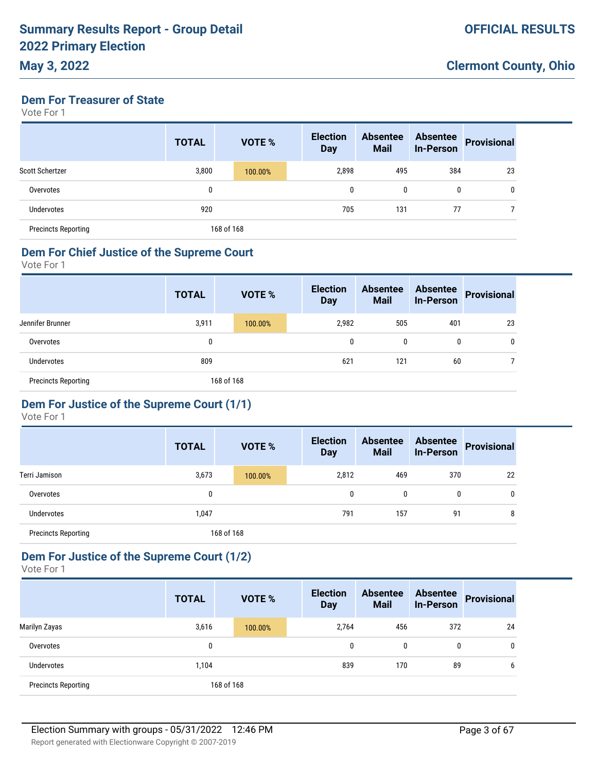# **May 3, 2022**

**Dem For Treasurer of State**

Vote For 1

|                            | <b>TOTAL</b> | VOTE %     | <b>Election</b><br><b>Day</b> | <b>Absentee</b><br><b>Mail</b> | <b>Absentee</b><br><b>In-Person</b> | <b>Provisional</b> |
|----------------------------|--------------|------------|-------------------------------|--------------------------------|-------------------------------------|--------------------|
| Scott Schertzer            | 3,800        | 100.00%    | 2,898                         | 495                            | 384                                 | 23                 |
| Overvotes                  | 0            |            | 0                             | 0                              | 0                                   |                    |
| Undervotes                 | 920          |            | 705                           | 131                            | 77                                  |                    |
| <b>Precincts Reporting</b> |              | 168 of 168 |                               |                                |                                     |                    |

#### **Dem For Chief Justice of the Supreme Court**

Vote For 1

|                            | <b>TOTAL</b> |  | <b>VOTE %</b> |  | <b>Election</b><br><b>Day</b> | <b>Absentee</b><br><b>Mail</b> | <b>Absentee</b><br><b>In-Person</b> | Provisional |
|----------------------------|--------------|--|---------------|--|-------------------------------|--------------------------------|-------------------------------------|-------------|
| Jennifer Brunner           | 3,911        |  | 100.00%       |  | 2,982                         | 505                            | 401                                 | 23          |
| Overvotes                  | 0            |  |               |  | 0                             | 0                              | 0                                   | 0           |
| Undervotes                 | 809          |  |               |  | 621                           | 121                            | 60                                  |             |
| <b>Precincts Reporting</b> | 168 of 168   |  |               |  |                               |                                |                                     |             |

# **Dem For Justice of the Supreme Court (1/1)**

Vote For 1

|                            | <b>TOTAL</b> |            | <b>VOTE %</b> | <b>Election</b><br><b>Day</b> | <b>Absentee</b><br><b>Mail</b> | <b>Absentee</b><br><b>In-Person</b> | <b>Provisional</b> |
|----------------------------|--------------|------------|---------------|-------------------------------|--------------------------------|-------------------------------------|--------------------|
| Terri Jamison              | 3,673        |            | 100.00%       | 2,812                         | 469                            | 370                                 | 22                 |
| Overvotes                  | 0            |            |               | 0                             | 0                              | 0                                   | 0                  |
| Undervotes                 | 1,047        |            |               | 791                           | 157                            | 91                                  | 8                  |
| <b>Precincts Reporting</b> |              | 168 of 168 |               |                               |                                |                                     |                    |

## **Dem For Justice of the Supreme Court (1/2)**

|                            | <b>TOTAL</b> | VOTE %     | <b>Election</b><br><b>Day</b> | <b>Absentee</b><br><b>Mail</b> | <b>Absentee</b><br><b>In-Person</b> | <b>Provisional</b> |
|----------------------------|--------------|------------|-------------------------------|--------------------------------|-------------------------------------|--------------------|
| Marilyn Zayas              | 3,616        | 100.00%    | 2,764                         | 456                            | 372                                 | 24                 |
| Overvotes                  | 0            |            | 0                             | 0                              | 0                                   | 0                  |
| Undervotes                 | 1,104        |            | 839                           | 170                            | 89                                  | b                  |
| <b>Precincts Reporting</b> |              | 168 of 168 |                               |                                |                                     |                    |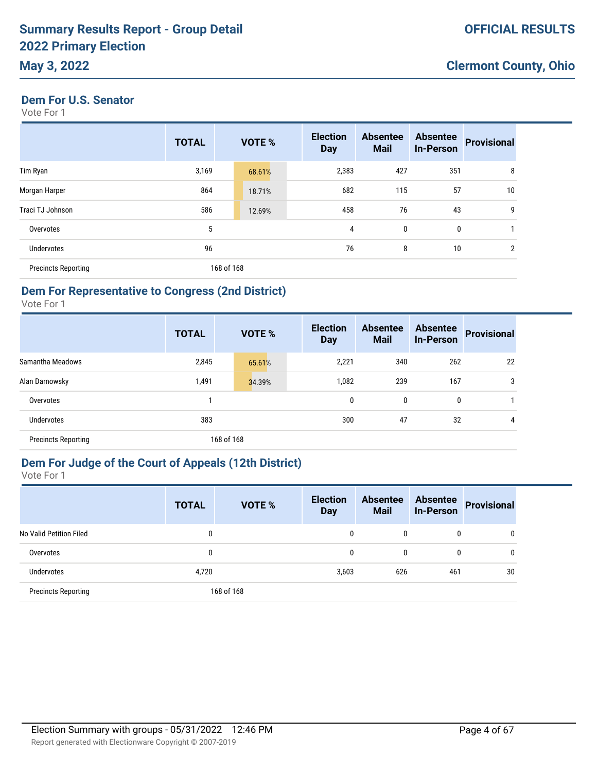# **May 3, 2022**

**Dem For U.S. Senator**

Vote For 1

|                            | <b>TOTAL</b> | <b>VOTE %</b> | <b>Election</b><br><b>Day</b> | <b>Absentee</b><br><b>Mail</b> | <b>Absentee</b><br><b>In-Person</b> | <b>Provisional</b> |
|----------------------------|--------------|---------------|-------------------------------|--------------------------------|-------------------------------------|--------------------|
| Tim Ryan                   | 3,169        | 68.61%        | 2,383                         | 427                            | 351                                 | 8                  |
| Morgan Harper              | 864          | 18.71%        | 682                           | 115                            | 57                                  | 10                 |
| Traci TJ Johnson           | 586          | 12.69%        | 458                           | 76                             | 43                                  | 9                  |
| Overvotes                  | 5            |               | 4                             | 0                              | 0                                   |                    |
| <b>Undervotes</b>          | 96           |               | 76                            | 8                              | 10                                  | $\overline{2}$     |
| <b>Precincts Reporting</b> |              | 168 of 168    |                               |                                |                                     |                    |

# **Dem For Representative to Congress (2nd District)**

Vote For 1

|                            | <b>TOTAL</b> | <b>VOTE %</b> | <b>Election</b><br><b>Day</b> | <b>Absentee</b><br><b>Mail</b> | <b>Absentee</b><br><b>In-Person</b> | <b>Provisional</b> |
|----------------------------|--------------|---------------|-------------------------------|--------------------------------|-------------------------------------|--------------------|
| Samantha Meadows           | 2,845        | 65.61%        | 2,221                         | 340                            | 262                                 | 22                 |
| Alan Darnowsky             | 1,491        | 34.39%        | 1,082                         | 239                            | 167                                 | 3                  |
| Overvotes                  |              |               | $\mathbf{0}$                  | 0                              | 0                                   |                    |
| <b>Undervotes</b>          | 383          |               | 300                           | 47                             | 32                                  | 4                  |
| <b>Precincts Reporting</b> |              | 168 of 168    |                               |                                |                                     |                    |

# **Dem For Judge of the Court of Appeals (12th District)**

|                            | <b>TOTAL</b> | <b>VOTE %</b> | <b>Election</b><br><b>Day</b> | <b>Absentee</b><br><b>Mail</b> | <b>Absentee</b><br><b>In-Person</b> | <b>Provisional</b> |
|----------------------------|--------------|---------------|-------------------------------|--------------------------------|-------------------------------------|--------------------|
| No Valid Petition Filed    | 0            |               | 0                             | 0                              | 0                                   | 0                  |
| Overvotes                  | 0            |               | 0                             | 0                              | 0                                   | 0                  |
| Undervotes                 | 4,720        |               | 3,603                         | 626                            | 461                                 | 30                 |
| <b>Precincts Reporting</b> |              | 168 of 168    |                               |                                |                                     |                    |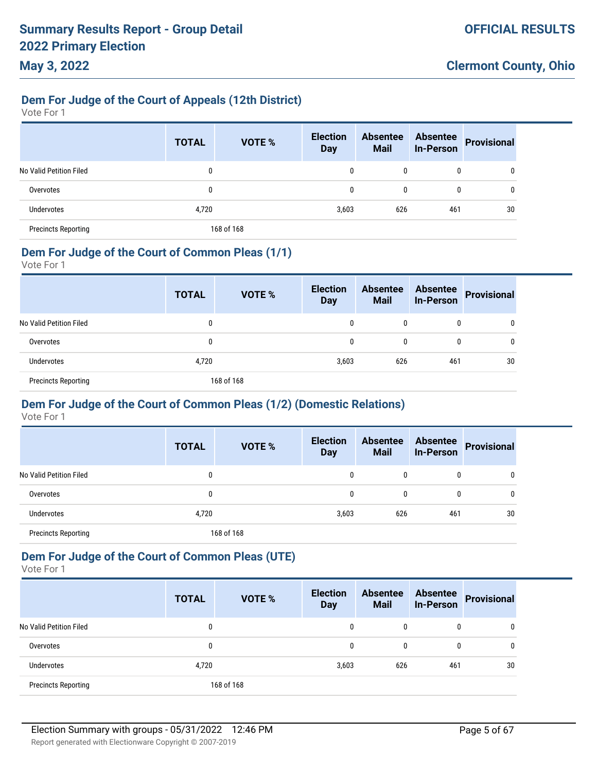# **Dem For Judge of the Court of Appeals (12th District)**

Vote For 1

|                            | <b>TOTAL</b> | <b>VOTE %</b> | <b>Election</b><br><b>Day</b> | <b>Absentee</b><br><b>Mail</b> | <b>Absentee</b><br><b>In-Person</b> | <b>Provisional</b> |
|----------------------------|--------------|---------------|-------------------------------|--------------------------------|-------------------------------------|--------------------|
| No Valid Petition Filed    | 0            |               | 0                             | 0                              | 0                                   | 0                  |
| Overvotes                  | 0            |               | 0                             | 0                              | 0                                   | 0                  |
| <b>Undervotes</b>          | 4,720        |               | 3,603                         | 626                            | 461                                 | 30                 |
| <b>Precincts Reporting</b> |              | 168 of 168    |                               |                                |                                     |                    |

## **Dem For Judge of the Court of Common Pleas (1/1)**

Vote For 1

|                            | <b>TOTAL</b> | <b>VOTE %</b> | <b>Election</b><br><b>Day</b> | <b>Absentee</b><br><b>Mail</b> | <b>In-Person</b> | Absentee Provisional |
|----------------------------|--------------|---------------|-------------------------------|--------------------------------|------------------|----------------------|
| No Valid Petition Filed    | 0            |               | 0                             |                                |                  |                      |
| Overvotes                  | 0            |               | 0                             |                                |                  |                      |
| Undervotes                 | 4,720        |               | 3,603                         | 626                            | 461              | 30                   |
| <b>Precincts Reporting</b> |              | 168 of 168    |                               |                                |                  |                      |

## **Dem For Judge of the Court of Common Pleas (1/2) (Domestic Relations)**

Vote For 1

|                            | <b>TOTAL</b> | VOTE %     | <b>Election</b><br><b>Day</b> | <b>Absentee</b><br><b>Mail</b> | <b>Absentee</b><br><b>In-Person</b> | <b>Provisional</b> |
|----------------------------|--------------|------------|-------------------------------|--------------------------------|-------------------------------------|--------------------|
| No Valid Petition Filed    | 0            |            | 0                             | 0                              | 0                                   | 0                  |
| Overvotes                  | 0            |            | 0                             | 0                              | 0                                   | 0                  |
| Undervotes                 | 4,720        |            | 3,603                         | 626                            | 461                                 | 30                 |
| <b>Precincts Reporting</b> |              | 168 of 168 |                               |                                |                                     |                    |

## **Dem For Judge of the Court of Common Pleas (UTE)**

|                            | <b>TOTAL</b> | VOTE %     | <b>Election</b><br><b>Day</b> | <b>Absentee</b><br><b>Mail</b> | <b>Absentee</b><br><b>In-Person</b> | <b>Provisional</b> |
|----------------------------|--------------|------------|-------------------------------|--------------------------------|-------------------------------------|--------------------|
| No Valid Petition Filed    | 0            |            | 0                             | 0                              | 0                                   | 0                  |
| Overvotes                  | 0            |            | 0                             | 0                              | 0                                   | 0                  |
| <b>Undervotes</b>          | 4,720        |            | 3,603                         | 626                            | 461                                 | 30                 |
| <b>Precincts Reporting</b> |              | 168 of 168 |                               |                                |                                     |                    |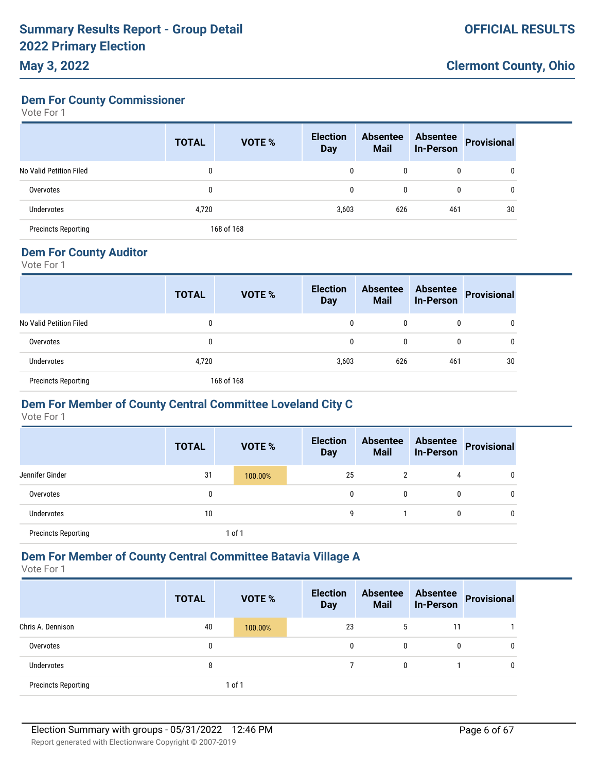# **May 3, 2022**

**Dem For County Commissioner**

Vote For 1

|                            | <b>TOTAL</b> | <b>VOTE %</b> | <b>Election</b><br><b>Day</b> | <b>Absentee</b><br><b>Mail</b> | <b>Absentee</b><br><b>In-Person</b> | <b>Provisional</b> |
|----------------------------|--------------|---------------|-------------------------------|--------------------------------|-------------------------------------|--------------------|
| No Valid Petition Filed    | 0            |               | 0                             | 0                              | 0                                   |                    |
| Overvotes                  | 0            |               | 0                             | 0                              | 0                                   |                    |
| <b>Undervotes</b>          | 4,720        |               | 3,603                         | 626                            | 461                                 | 30                 |
| <b>Precincts Reporting</b> |              | 168 of 168    |                               |                                |                                     |                    |

#### **Dem For County Auditor**

Vote For 1

|                            | <b>TOTAL</b> | <b>VOTE %</b> | <b>Election</b><br><b>Day</b> | <b>Absentee</b><br><b>Mail</b> | <b>Absentee</b><br><b>In-Person</b> | Provisional |
|----------------------------|--------------|---------------|-------------------------------|--------------------------------|-------------------------------------|-------------|
| No Valid Petition Filed    | 0            |               | 0                             | 0                              | 0                                   |             |
| Overvotes                  | 0            |               | 0                             | $\mathbf{0}$                   |                                     |             |
| <b>Undervotes</b>          | 4,720        |               | 3,603                         | 626                            | 461                                 | 30          |
| <b>Precincts Reporting</b> |              | 168 of 168    |                               |                                |                                     |             |

## **Dem For Member of County Central Committee Loveland City C**

Vote For 1

|                            | <b>TOTAL</b> | <b>VOTE %</b> | <b>Election</b><br><b>Day</b> | <b>Absentee</b><br><b>Mail</b> | <b>Absentee</b><br><b>In-Person</b> | <b>Provisional</b> |
|----------------------------|--------------|---------------|-------------------------------|--------------------------------|-------------------------------------|--------------------|
| Jennifer Ginder            | 31           | 100.00%       | 25                            | 2                              | 4                                   | 0                  |
| Overvotes                  | 0            |               | 0                             | $\mathbf{0}$                   | 0                                   | 0                  |
| <b>Undervotes</b>          | 10           |               | 9                             |                                | 0                                   | 0                  |
| <b>Precincts Reporting</b> |              | $1$ of $1$    |                               |                                |                                     |                    |

## **Dem For Member of County Central Committee Batavia Village A**

|                            | <b>TOTAL</b> | <b>VOTE %</b> | <b>Election</b><br><b>Day</b> | <b>Absentee</b><br><b>Mail</b> | <b>Absentee</b><br><b>In-Person</b> | <b>Provisional</b> |
|----------------------------|--------------|---------------|-------------------------------|--------------------------------|-------------------------------------|--------------------|
| Chris A. Dennison          | 40           | 100.00%       | 23                            | 5                              | 11                                  |                    |
| Overvotes                  | 0            |               | 0                             | 0                              | 0                                   | 0                  |
| Undervotes                 | 8            |               |                               | 0                              |                                     |                    |
| <b>Precincts Reporting</b> |              | 1 of 1        |                               |                                |                                     |                    |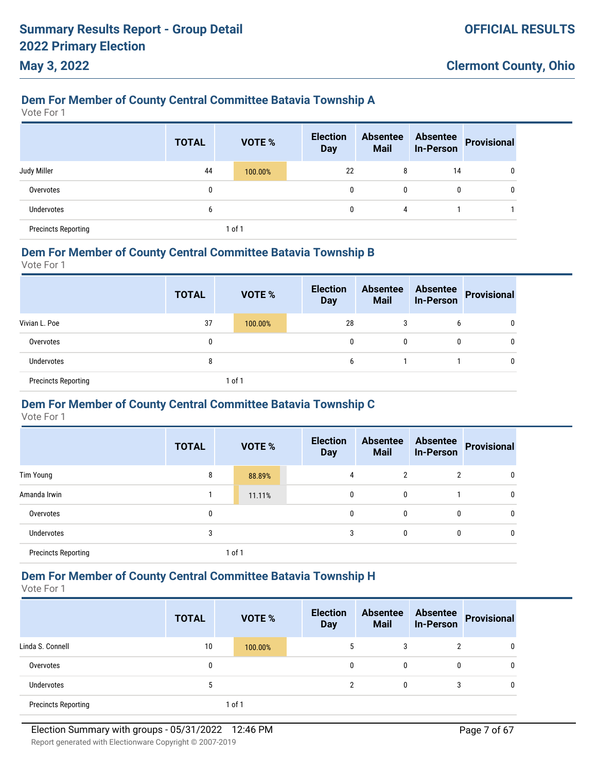# **Dem For Member of County Central Committee Batavia Township A**

Vote For 1

**May 3, 2022**

|                            | <b>TOTAL</b> | <b>VOTE %</b> | <b>Election</b><br><b>Day</b> | <b>Absentee</b><br><b>Mail</b> | <b>Absentee</b><br><b>In-Person</b> | Provisional |
|----------------------------|--------------|---------------|-------------------------------|--------------------------------|-------------------------------------|-------------|
| Judy Miller                | 44           | 100.00%       | 22                            | 8                              | 14                                  | 0           |
| Overvotes                  | 0            |               | 0                             | $\mathbf{0}$                   | $\mathbf{0}$                        | 0           |
| Undervotes                 | 6            |               | 0                             | 4                              |                                     |             |
| <b>Precincts Reporting</b> |              | 1 of 1        |                               |                                |                                     |             |

## **Dem For Member of County Central Committee Batavia Township B**

Vote For 1

|                            | <b>TOTAL</b> | <b>VOTE %</b> | <b>Election</b><br><b>Day</b> | <b>Absentee</b><br><b>Mail</b> | <b>Absentee</b><br><b>In-Person</b> | Provisional |
|----------------------------|--------------|---------------|-------------------------------|--------------------------------|-------------------------------------|-------------|
| Vivian L. Poe              | 37           | 100.00%       | 28                            | 3                              | 6                                   | 0           |
| Overvotes                  | 0            |               | 0                             | 0                              | 0                                   |             |
| Undervotes                 | 8            |               | 6                             |                                |                                     | 0           |
| <b>Precincts Reporting</b> |              | 1 of 1        |                               |                                |                                     |             |

#### **Dem For Member of County Central Committee Batavia Township C**

Vote For 1

|                            | <b>TOTAL</b> | <b>VOTE %</b> | <b>Election</b><br><b>Day</b> | <b>Absentee</b><br><b>Mail</b> | <b>Absentee</b><br><b>In-Person</b> | <b>Provisional</b> |
|----------------------------|--------------|---------------|-------------------------------|--------------------------------|-------------------------------------|--------------------|
| Tim Young                  | 8            | 88.89%        | 4                             | 2                              | 2                                   | 0                  |
| Amanda Irwin               |              | 11.11%        | 0                             | 0                              |                                     | 0                  |
| Overvotes                  | 0            |               | 0                             | 0                              | 0                                   | 0                  |
| <b>Undervotes</b>          | 3            |               | 3                             | $\mathbf{0}$                   | 0                                   | 0                  |
| <b>Precincts Reporting</b> |              | 1 of 1        |                               |                                |                                     |                    |

## **Dem For Member of County Central Committee Batavia Township H**

```
Vote For 1
```

|                            | <b>TOTAL</b> | <b>VOTE %</b> | <b>Election</b><br><b>Day</b> | <b>Absentee</b><br><b>Mail</b> | <b>Absentee</b><br><b>In-Person</b> | <b>Provisional</b> |
|----------------------------|--------------|---------------|-------------------------------|--------------------------------|-------------------------------------|--------------------|
| Linda S. Connell           | 10           | 100.00%       | 5                             | 3                              | າ                                   |                    |
| Overvotes                  | 0            |               |                               | 0                              | 0                                   |                    |
| <b>Undervotes</b>          | b            |               |                               | 0                              | 3                                   | U                  |
| <b>Precincts Reporting</b> |              | $1$ of $1$    |                               |                                |                                     |                    |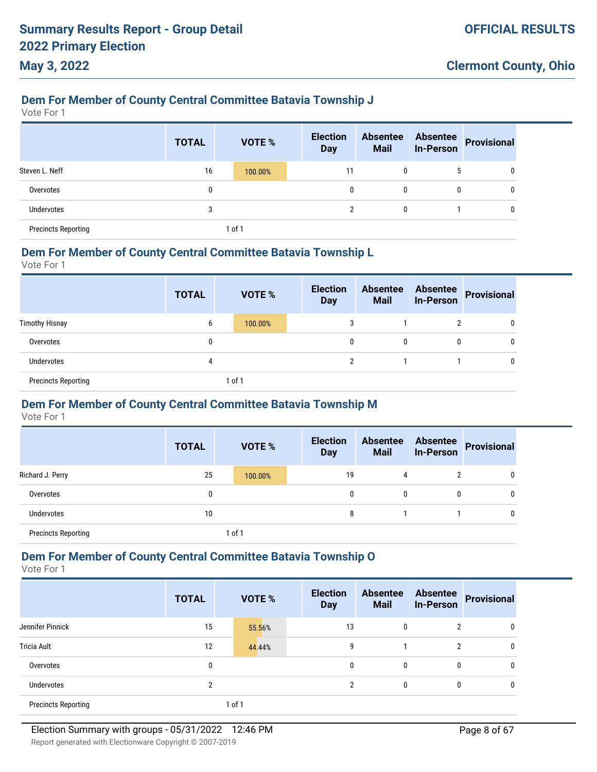# **Dem For Member of County Central Committee Batavia Township J**

Vote For 1

**May 3, 2022**

|                            | <b>TOTAL</b> | <b>VOTE %</b> | <b>Election</b><br><b>Day</b> | <b>Absentee</b><br><b>Mail</b> | <b>Absentee</b><br><b>In-Person</b> | Provisional |
|----------------------------|--------------|---------------|-------------------------------|--------------------------------|-------------------------------------|-------------|
| Steven L. Neff             | 16           | 100.00%       | 11                            | 0                              | 5                                   | 0           |
| Overvotes                  | 0            |               | 0                             | 0                              | $\Omega$                            | 0           |
| Undervotes                 |              |               | c                             | $\mathbf{0}$                   |                                     | 0           |
| <b>Precincts Reporting</b> |              | 1 of 1        |                               |                                |                                     |             |

## **Dem For Member of County Central Committee Batavia Township L**

Vote For 1

|                            | <b>TOTAL</b> | <b>VOTE %</b> | <b>Election</b><br><b>Day</b> | <b>Absentee</b><br><b>Mail</b> |              | Absentee<br>In-Person Provisional |
|----------------------------|--------------|---------------|-------------------------------|--------------------------------|--------------|-----------------------------------|
| <b>Timothy Hisnay</b>      | b            | 100.00%       | 3                             |                                | <sup>2</sup> | U                                 |
| Overvotes                  | 0            |               | 0                             | 0                              | 0            |                                   |
| <b>Undervotes</b>          | 4            |               | ົ                             |                                |              | 0                                 |
| <b>Precincts Reporting</b> |              | 1 of 1        |                               |                                |              |                                   |

## **Dem For Member of County Central Committee Batavia Township M**

Vote For 1

|                            | <b>TOTAL</b> |        | <b>VOTE %</b> | <b>Election</b><br><b>Day</b> | <b>Absentee</b><br><b>Mail</b> | <b>Absentee</b><br><b>In-Person</b> | Provisional |
|----------------------------|--------------|--------|---------------|-------------------------------|--------------------------------|-------------------------------------|-------------|
| Richard J. Perry           | 25           |        | 100.00%       | 19                            | 4                              | 2                                   | 0           |
| Overvotes                  | 0            |        |               | 0                             | 0                              | 0                                   | 0           |
| Undervotes                 | 10           |        |               | 8                             |                                |                                     | 0           |
| <b>Precincts Reporting</b> |              | 1 of 1 |               |                               |                                |                                     |             |

### **Dem For Member of County Central Committee Batavia Township O**

|                            | <b>TOTAL</b> | VOTE % | <b>Election</b><br><b>Day</b> | <b>Absentee</b><br><b>Mail</b> | <b>Absentee</b><br><b>In-Person</b> | <b>Provisional</b> |
|----------------------------|--------------|--------|-------------------------------|--------------------------------|-------------------------------------|--------------------|
| Jennifer Pinnick           | 15           | 55.56% | 13                            | 0                              | 2                                   | 0                  |
| Tricia Ault                | 12           | 44.44% | 9                             |                                | $\overline{2}$                      |                    |
| Overvotes                  | 0            |        | 0                             | $\mathbf{0}$                   | 0                                   | 0                  |
| Undervotes                 | ∩            |        | $\overline{2}$                | $\mathbf{0}$                   | 0                                   | 0                  |
| <b>Precincts Reporting</b> |              | 1 of 1 |                               |                                |                                     |                    |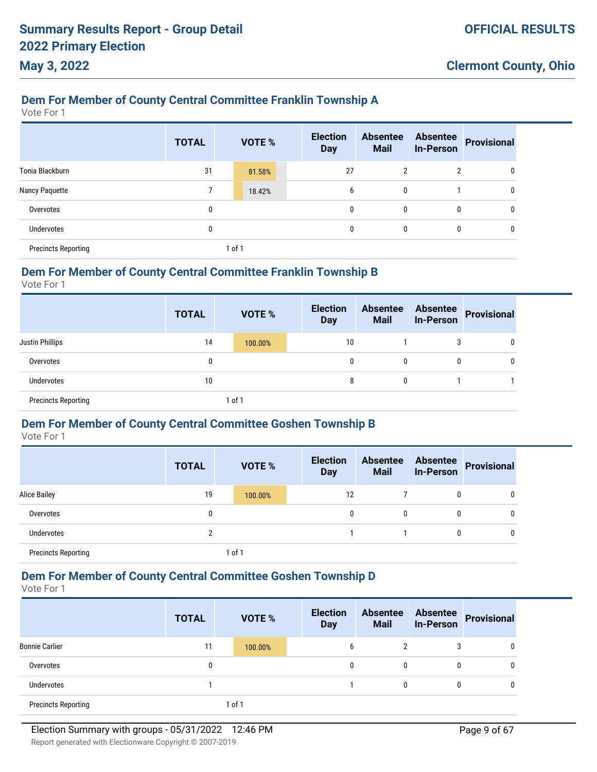# **Dem For Member of County Central Committee Franklin Township A**

Vote For 1

**May 3, 2022**

|                            | <b>TOTAL</b> |        | <b>VOTE %</b> | <b>Election</b><br><b>Day</b> | <b>Absentee</b><br><b>Mail</b> | <b>Absentee</b><br><b>In-Person</b> | <b>Provisional</b> |
|----------------------------|--------------|--------|---------------|-------------------------------|--------------------------------|-------------------------------------|--------------------|
| Tonia Blackburn            | 31           |        | 81.58%        | 27                            | 2                              | 2                                   | 0                  |
| Nancy Paquette             |              |        | 18.42%        | 6                             | 0                              |                                     | 0                  |
| Overvotes                  | 0            |        |               | 0                             | 0                              | 0                                   | 0                  |
| <b>Undervotes</b>          | 0            |        |               | 0                             | $\mathbf 0$                    | 0                                   | 0                  |
| <b>Precincts Reporting</b> |              | 1 of 1 |               |                               |                                |                                     |                    |

## **Dem For Member of County Central Committee Franklin Township B**

Vote For 1

|                            | <b>TOTAL</b> | <b>VOTE %</b> | <b>Election</b><br><b>Day</b> | <b>Absentee</b><br><b>Mail</b> | <b>Absentee</b><br><b>In-Person</b> | Provisional |
|----------------------------|--------------|---------------|-------------------------------|--------------------------------|-------------------------------------|-------------|
| <b>Justin Phillips</b>     | 14           | 100.00%       | 10                            |                                | 3                                   | 0           |
| Overvotes                  | 0            |               | 0                             | 0                              | 0                                   | 0           |
| Undervotes                 | 10           |               | 8                             | 0                              |                                     |             |
| <b>Precincts Reporting</b> |              | 1 of 1        |                               |                                |                                     |             |

### **Dem For Member of County Central Committee Goshen Township B**

Vote For 1

|                            | <b>TOTAL</b> | VOTE %  | <b>Election</b><br><b>Day</b> | <b>Absentee</b><br><b>Mail</b> | <b>Absentee</b><br><b>In-Person</b> | <b>Provisional</b> |
|----------------------------|--------------|---------|-------------------------------|--------------------------------|-------------------------------------|--------------------|
| <b>Alice Bailey</b>        | 19           | 100.00% | 12                            |                                | 0                                   | 0                  |
| Overvotes                  | 0            |         | 0                             | $\mathbf{0}$                   | 0                                   | 0                  |
| <b>Undervotes</b>          | 2            |         |                               |                                | 0                                   | 0                  |
| <b>Precincts Reporting</b> |              | 1 of 1  |                               |                                |                                     |                    |

## **Dem For Member of County Central Committee Goshen Township D**

Vote For 1

|                            | <b>TOTAL</b> |        | <b>VOTE %</b> | <b>Election</b><br><b>Day</b> | <b>Absentee</b><br><b>Mail</b> | <b>Absentee</b><br><b>In-Person</b> | <b>Provisional</b> |
|----------------------------|--------------|--------|---------------|-------------------------------|--------------------------------|-------------------------------------|--------------------|
| <b>Bonnie Carlier</b>      | 11           |        | 100.00%       | 6                             | 2                              | 3                                   | 0                  |
| Overvotes                  | 0            |        |               | 0                             | $\mathbf{0}$                   | $\mathbf 0$                         | 0                  |
| <b>Undervotes</b>          |              |        |               |                               | 0                              | 0                                   | 0                  |
| <b>Precincts Reporting</b> |              | 1 of 1 |               |                               |                                |                                     |                    |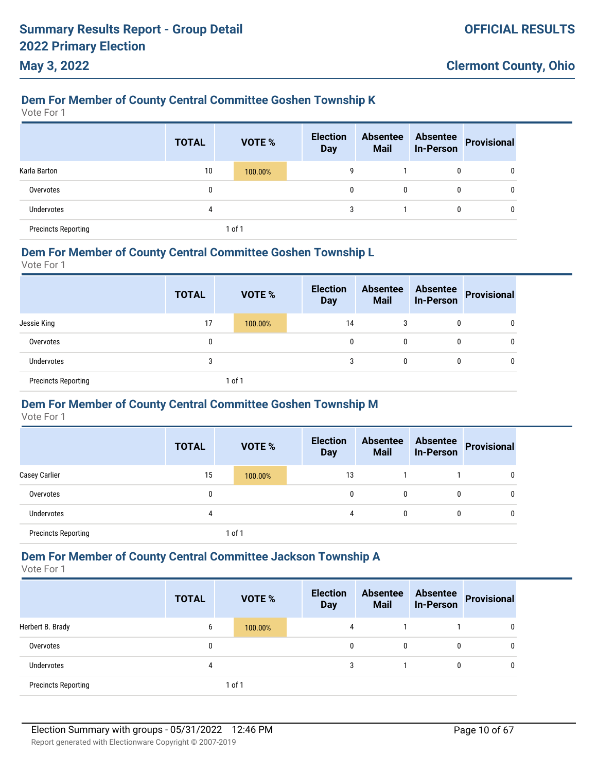# **Dem For Member of County Central Committee Goshen Township K**

Vote For 1

**May 3, 2022**

|                            | <b>TOTAL</b> | <b>VOTE %</b> | <b>Election</b><br><b>Day</b> | <b>Absentee</b><br><b>Mail</b> | <b>Absentee</b><br><b>In-Person</b> | Provisional  |
|----------------------------|--------------|---------------|-------------------------------|--------------------------------|-------------------------------------|--------------|
| Karla Barton               | 10           | 100.00%       | 9                             |                                | 0                                   | $\mathbf{0}$ |
| Overvotes                  | 0            |               | 0                             | 0                              | 0                                   | $\mathbf{0}$ |
| Undervotes                 | 4            |               | 3                             |                                | 0                                   | $\mathbf{0}$ |
| <b>Precincts Reporting</b> |              | of 1          |                               |                                |                                     |              |

## **Dem For Member of County Central Committee Goshen Township L**

Vote For 1

|                            | <b>TOTAL</b> |        | <b>VOTE %</b> | <b>Election</b><br><b>Day</b> | <b>Absentee</b><br><b>Mail</b> | <b>In-Person</b> | Absentee Provisional |
|----------------------------|--------------|--------|---------------|-------------------------------|--------------------------------|------------------|----------------------|
| Jessie King                | 17           |        | 100.00%       | 14                            | 3                              | 0                | 0                    |
| Overvotes                  | 0            |        |               | 0                             | $\mathbf{0}$                   | 0                | 0                    |
| Undervotes                 | 3            |        |               |                               | 0                              | 0                | 0                    |
| <b>Precincts Reporting</b> |              | 1 of 1 |               |                               |                                |                  |                      |

#### **Dem For Member of County Central Committee Goshen Township M**

Vote For 1

|                            | <b>TOTAL</b> | <b>VOTE %</b> | <b>Election</b><br><b>Day</b> |    | <b>Absentee</b><br><b>Mail</b> | <b>Absentee</b><br><b>In-Person</b> | Provisional |
|----------------------------|--------------|---------------|-------------------------------|----|--------------------------------|-------------------------------------|-------------|
| <b>Casey Carlier</b>       | 15           | 100.00%       |                               | 13 |                                |                                     | 0           |
| Overvotes                  | 0            |               |                               | 0  | 0                              |                                     | 0           |
| Undervotes                 | 4            |               |                               | 4  | 0                              | $\mathbf{0}$                        | 0           |
| <b>Precincts Reporting</b> |              | 1 of 1        |                               |    |                                |                                     |             |

### **Dem For Member of County Central Committee Jackson Township A**

|                            | <b>TOTAL</b> | VOTE %  | <b>Election</b><br><b>Day</b> | <b>Absentee</b><br><b>Mail</b> | <b>Absentee</b><br><b>In-Person</b> | <b>Provisional</b> |
|----------------------------|--------------|---------|-------------------------------|--------------------------------|-------------------------------------|--------------------|
| Herbert B. Brady           | 6            | 100.00% | 4                             |                                |                                     | 0                  |
| Overvotes                  | 0            |         | 0                             | 0                              | 0                                   | 0                  |
| Undervotes                 | 4            |         | 3                             |                                | 0                                   | 0                  |
| <b>Precincts Reporting</b> |              | 1 of 1  |                               |                                |                                     |                    |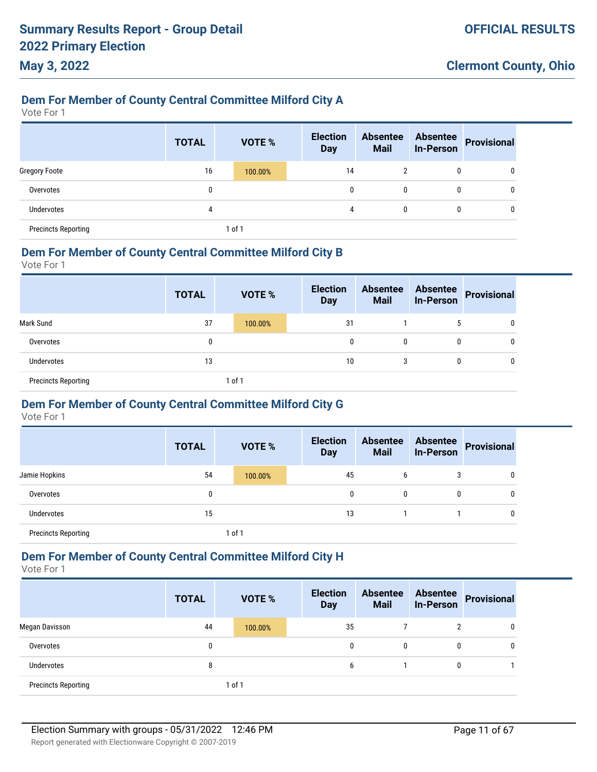# **Dem For Member of County Central Committee Milford City A**

Vote For 1

**May 3, 2022**

|                            | <b>TOTAL</b> | <b>VOTE %</b> | <b>Election</b><br><b>Day</b> | <b>Absentee</b><br><b>Mail</b> | <b>Absentee</b><br><b>In-Person</b> | Provisional |
|----------------------------|--------------|---------------|-------------------------------|--------------------------------|-------------------------------------|-------------|
| <b>Gregory Foote</b>       | 16           | 100.00%       | 14                            | 2                              |                                     | 0           |
| Overvotes                  | 0            |               | $\mathbf{0}$                  | 0                              | 0                                   | 0           |
| Undervotes                 | 4            |               | 4                             | $\mathbf{0}$                   | 0                                   | 0           |
| <b>Precincts Reporting</b> |              | 1 of 1        |                               |                                |                                     |             |

### **Dem For Member of County Central Committee Milford City B**

Vote For 1

|                            | <b>TOTAL</b> |        | <b>VOTE %</b> | <b>Election</b><br><b>Day</b> | <b>Absentee</b><br><b>Mail</b> |   | Absentee<br>In-Person Provisional |
|----------------------------|--------------|--------|---------------|-------------------------------|--------------------------------|---|-----------------------------------|
| Mark Sund                  | 37           |        | 100.00%       | 31                            |                                | 5 | 0                                 |
| Overvotes                  | 0            |        |               | 0                             |                                | 0 | 0                                 |
| <b>Undervotes</b>          | 13           |        |               | 10                            | 3                              | 0 | 0                                 |
| <b>Precincts Reporting</b> |              | 1 of 1 |               |                               |                                |   |                                   |

## **Dem For Member of County Central Committee Milford City G**

Vote For 1

|                            | <b>TOTAL</b> | <b>VOTE %</b> | <b>Election</b><br><b>Day</b> | <b>Absentee</b><br><b>Mail</b> | <b>Absentee</b><br><b>In-Person</b> | Provisional |
|----------------------------|--------------|---------------|-------------------------------|--------------------------------|-------------------------------------|-------------|
| Jamie Hopkins              | 54           | 100.00%       | 45                            | b                              | 3                                   | 0           |
| Overvotes                  | 0            |               | 0                             | 0                              | 0                                   |             |
| <b>Undervotes</b>          | 15           |               | 13                            |                                |                                     |             |
| <b>Precincts Reporting</b> |              | 1 of 1        |                               |                                |                                     |             |

## **Dem For Member of County Central Committee Milford City H**

|                            | <b>TOTAL</b> | <b>VOTE %</b> | <b>Election</b><br><b>Day</b> | <b>Absentee</b><br><b>Mail</b> | <b>Absentee</b><br><b>In-Person</b> | Provisional |
|----------------------------|--------------|---------------|-------------------------------|--------------------------------|-------------------------------------|-------------|
| Megan Davisson             | 44           | 100.00%       | 35                            |                                | 2                                   | 0           |
| Overvotes                  | $\mathbf{0}$ |               | 0                             | 0                              | $\mathbf{0}$                        | 0           |
| Undervotes                 | 8            |               | 6                             |                                |                                     |             |
| <b>Precincts Reporting</b> |              | 1 of 1        |                               |                                |                                     |             |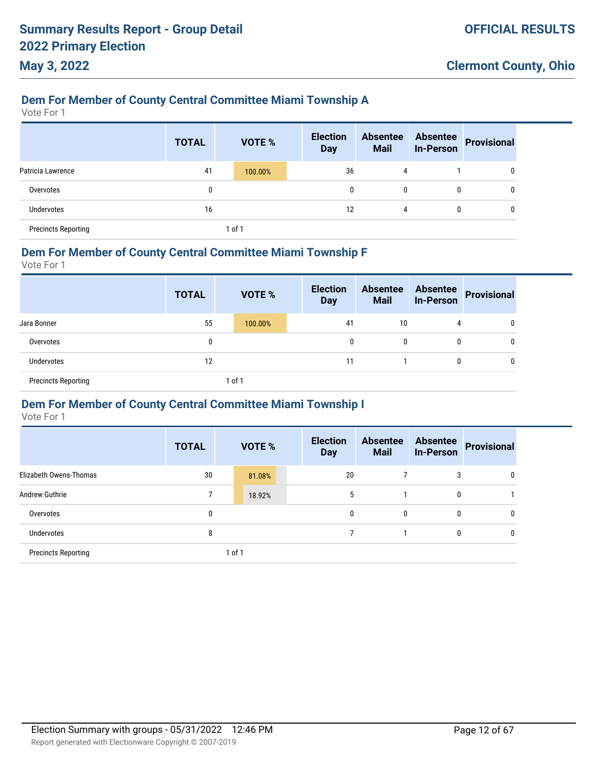# **Dem For Member of County Central Committee Miami Township A**

Vote For 1

**May 3, 2022**

|                            | <b>TOTAL</b> | <b>VOTE %</b> | <b>Election</b><br><b>Day</b> | <b>Absentee</b><br><b>Mail</b> | <b>Absentee</b><br><b>In-Person</b> | <b>Provisional</b> |
|----------------------------|--------------|---------------|-------------------------------|--------------------------------|-------------------------------------|--------------------|
| Patricia Lawrence          | 41           | 100.00%       | 36                            | 4                              |                                     | 0                  |
| Overvotes                  | 0            |               | $\mathbf{0}$                  | $\mathbf{0}$                   | 0                                   | 0                  |
| Undervotes                 | 16           |               | 12                            | 4                              |                                     | 0                  |
| <b>Precincts Reporting</b> |              | 1 of 1        |                               |                                |                                     |                    |

### **Dem For Member of County Central Committee Miami Township F**

Vote For 1

|                            | <b>TOTAL</b> | <b>VOTE %</b> | <b>Election</b><br><b>Day</b> | <b>Absentee</b><br><b>Mail</b> | <b>In-Person</b> | <b>Absentee Provisional</b> |
|----------------------------|--------------|---------------|-------------------------------|--------------------------------|------------------|-----------------------------|
| Jara Bonner                | 55           | 100.00%       | 41                            | 10                             | 4                | 0                           |
| Overvotes                  | 0            |               | 0                             | $\mathbf{0}$                   | 0                | 0                           |
| Undervotes                 | 12           |               | 11                            |                                | 0                | 0                           |
| <b>Precincts Reporting</b> |              | 1 of 1        |                               |                                |                  |                             |

#### **Dem For Member of County Central Committee Miami Township I**

|                            | <b>TOTAL</b> |        | <b>VOTE %</b> | <b>Election</b><br><b>Day</b> | <b>Absentee</b><br><b>Mail</b> | <b>Absentee</b><br><b>In-Person</b> | <b>Provisional</b> |
|----------------------------|--------------|--------|---------------|-------------------------------|--------------------------------|-------------------------------------|--------------------|
| Elizabeth Owens-Thomas     | 30           |        | 81.08%        | 20                            |                                | 3                                   | 0                  |
| Andrew Guthrie             | 7            |        | 18.92%        | 5                             |                                | 0                                   |                    |
| Overvotes                  | 0            |        |               | 0                             | 0                              | 0                                   |                    |
| Undervotes                 | 8            |        |               |                               |                                | 0                                   |                    |
| <b>Precincts Reporting</b> |              | 1 of 1 |               |                               |                                |                                     |                    |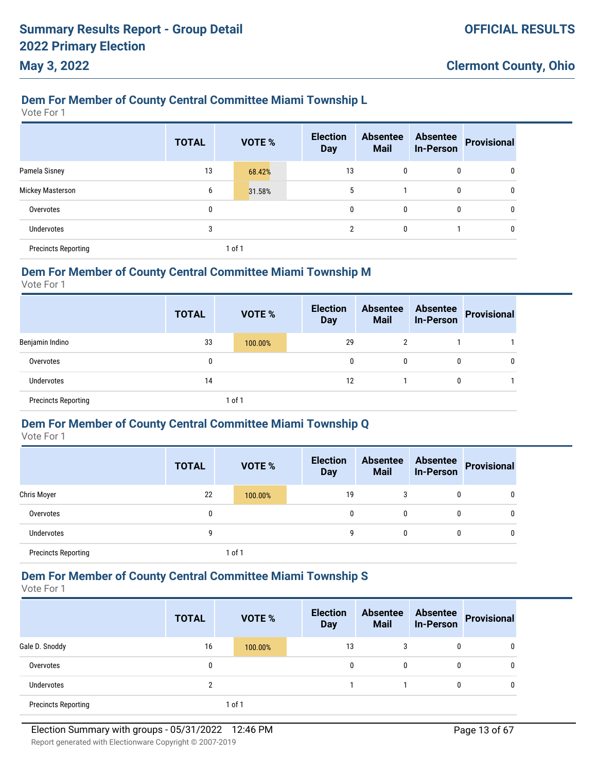# **Dem For Member of County Central Committee Miami Township L**

Vote For 1

**May 3, 2022**

|                            | <b>TOTAL</b> | <b>VOTE %</b> | <b>Election</b><br><b>Day</b> | <b>Absentee</b><br><b>Mail</b> | <b>Absentee</b><br><b>In-Person</b> | <b>Provisional</b> |
|----------------------------|--------------|---------------|-------------------------------|--------------------------------|-------------------------------------|--------------------|
| Pamela Sisney              | 13           | 68.42%        | 13                            | 0                              | 0                                   | 0                  |
| Mickey Masterson           | 6            | 31.58%        | 5                             |                                | 0                                   | $\mathbf{0}$       |
| Overvotes                  | 0            |               | $\mathbf{0}$                  | 0                              | $\mathbf{0}$                        | 0                  |
| <b>Undervotes</b>          | 3            |               | $\overline{2}$                | 0                              |                                     | 0                  |
| <b>Precincts Reporting</b> |              | 1 of 1        |                               |                                |                                     |                    |

## **Dem For Member of County Central Committee Miami Township M**

Vote For 1

|                            | <b>TOTAL</b> | <b>VOTE %</b> | <b>Election</b><br><b>Day</b> | <b>Absentee</b><br><b>Mail</b> | <b>Absentee</b><br><b>In-Person</b> | Provisional |
|----------------------------|--------------|---------------|-------------------------------|--------------------------------|-------------------------------------|-------------|
| Benjamin Indino            | 33           | 100.00%       | 29                            | 2                              |                                     |             |
| Overvotes                  | 0            |               | 0                             | 0                              | 0                                   | 0           |
| Undervotes                 | 14           |               | 12                            |                                | 0                                   |             |
| <b>Precincts Reporting</b> |              | 1 of 1        |                               |                                |                                     |             |

## **Dem For Member of County Central Committee Miami Township Q**

Vote For 1

|                            | <b>TOTAL</b> | VOTE %  | <b>Election</b><br><b>Day</b> | <b>Absentee</b><br><b>Mail</b> | <b>Absentee</b><br><b>In-Person</b> | <b>Provisional</b> |
|----------------------------|--------------|---------|-------------------------------|--------------------------------|-------------------------------------|--------------------|
| Chris Moyer                | 22           | 100.00% | 19                            | 3                              |                                     | 0                  |
| Overvotes                  | 0            |         |                               | 0                              |                                     | 0                  |
| <b>Undervotes</b>          | 9            |         | 9                             | 0                              | 0                                   | $\mathbf{0}$       |
| <b>Precincts Reporting</b> |              | l of 1  |                               |                                |                                     |                    |

## **Dem For Member of County Central Committee Miami Township S**

Vote For 1

|                            | <b>TOTAL</b> | <b>VOTE %</b> | <b>Election</b><br><b>Day</b> | <b>Absentee</b><br><b>Mail</b> | <b>In-Person</b> | Absentee Provisional |
|----------------------------|--------------|---------------|-------------------------------|--------------------------------|------------------|----------------------|
| Gale D. Snoddy             | 16           | 100.00%       | 13                            |                                | 0                |                      |
| Overvotes                  | 0            |               | 0                             | $\mathbf{0}$                   | 0                |                      |
| <b>Undervotes</b>          | 2            |               |                               |                                | 0                | 0                    |
| <b>Precincts Reporting</b> |              | 1 of 1        |                               |                                |                  |                      |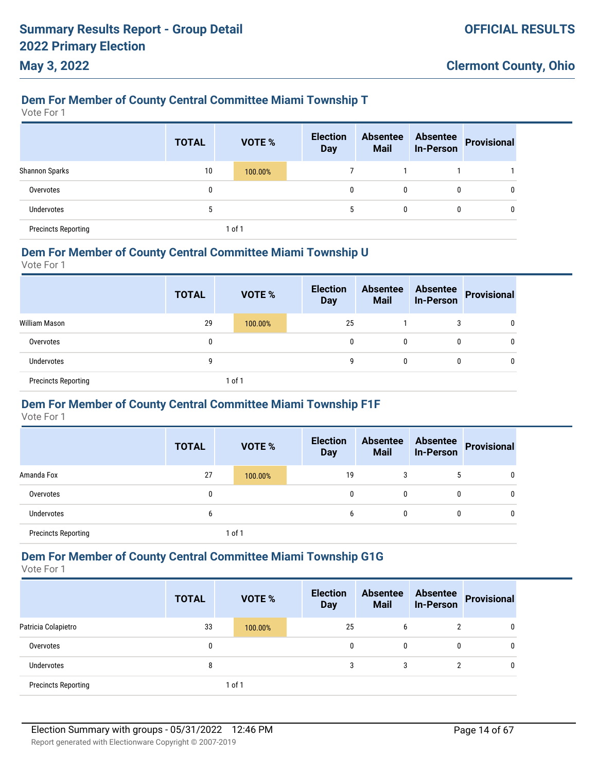# **Dem For Member of County Central Committee Miami Township T**

Vote For 1

**May 3, 2022**

|                            | <b>TOTAL</b> | <b>VOTE %</b> | <b>Election</b><br><b>Day</b> | <b>Absentee</b><br><b>Mail</b> | <b>Absentee</b><br><b>In-Person</b> | <b>Provisional</b> |
|----------------------------|--------------|---------------|-------------------------------|--------------------------------|-------------------------------------|--------------------|
| Shannon Sparks             | 10           | 100.00%       |                               |                                |                                     |                    |
| Overvotes                  | 0            |               | 0                             | 0                              | 0                                   | 0                  |
| Undervotes                 |              |               | 5                             | $\mathbf{0}$                   | $\mathbf{0}$                        | 0                  |
| <b>Precincts Reporting</b> |              | 1 of 1        |                               |                                |                                     |                    |

#### **Dem For Member of County Central Committee Miami Township U**

Vote For 1

|                            | <b>TOTAL</b> | <b>VOTE %</b> | <b>Election</b><br><b>Day</b> | <b>Absentee</b><br><b>Mail</b> | <b>In-Person</b> | <b>Absentee Provisional</b> |
|----------------------------|--------------|---------------|-------------------------------|--------------------------------|------------------|-----------------------------|
| William Mason              | 29           | 100.00%       | 25                            |                                | 3                | 0                           |
| Overvotes                  | 0            |               | $\mathbf{0}$                  | 0                              | 0                | 0                           |
| Undervotes                 | 9            |               | g                             | 0                              | 0                | 0                           |
| <b>Precincts Reporting</b> |              | 1 of 1        |                               |                                |                  |                             |

#### **Dem For Member of County Central Committee Miami Township F1F**

Vote For 1

|                            | <b>TOTAL</b> |        | <b>VOTE %</b> | <b>Election</b><br><b>Day</b> | <b>Absentee</b><br><b>Mail</b> | <b>Absentee</b><br><b>In-Person</b> | <b>Provisional</b> |
|----------------------------|--------------|--------|---------------|-------------------------------|--------------------------------|-------------------------------------|--------------------|
| Amanda Fox                 | 27           |        | 100.00%       | 19                            |                                |                                     | 0                  |
| Overvotes                  | 0            |        |               | 0                             | 0                              | 0                                   | 0                  |
| <b>Undervotes</b>          | 6            |        |               | 6                             | $\mathbf{0}$                   | 0                                   | $\mathbf{0}$       |
| <b>Precincts Reporting</b> |              | 1 of 1 |               |                               |                                |                                     |                    |

### **Dem For Member of County Central Committee Miami Township G1G**

|                            | <b>TOTAL</b> | VOTE %  | <b>Election</b><br><b>Day</b> |    | <b>Absentee</b><br><b>Mail</b> | <b>Absentee</b><br><b>In-Person</b> | Provisional |
|----------------------------|--------------|---------|-------------------------------|----|--------------------------------|-------------------------------------|-------------|
| Patricia Colapietro        | 33           | 100.00% |                               | 25 | 6                              | 2                                   |             |
| Overvotes                  | 0            |         |                               | 0  | 0                              | $\mathbf{0}$                        |             |
| Undervotes                 | 8            |         |                               |    | 3                              |                                     |             |
| <b>Precincts Reporting</b> |              | 1 of 1  |                               |    |                                |                                     |             |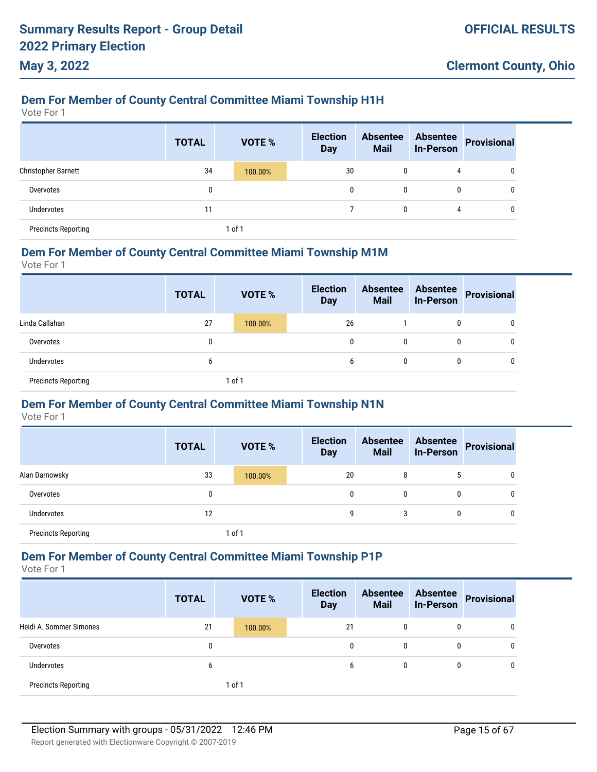# **Dem For Member of County Central Committee Miami Township H1H**

Vote For 1

**May 3, 2022**

|                            | <b>TOTAL</b> | <b>VOTE %</b> | <b>Election</b><br><b>Day</b> | <b>Absentee</b><br><b>Mail</b> | <b>Absentee</b><br><b>In-Person</b> | Provisional |
|----------------------------|--------------|---------------|-------------------------------|--------------------------------|-------------------------------------|-------------|
| <b>Christopher Barnett</b> | 34           | 100.00%       | 30                            | 0                              | 4                                   | 0           |
| Overvotes                  | 0            |               | 0                             | 0                              | 0                                   | 0           |
| Undervotes                 | 11           |               |                               | $\mathbf{0}$                   | 4                                   | 0           |
| <b>Precincts Reporting</b> |              | 1 of 1        |                               |                                |                                     |             |

### **Dem For Member of County Central Committee Miami Township M1M**

Vote For 1

|                            | <b>TOTAL</b> | <b>VOTE %</b> | <b>Election</b><br><b>Day</b> | <b>Absentee</b><br><b>Mail</b> | <b>Absentee</b><br><b>In-Person</b> | Provisional  |
|----------------------------|--------------|---------------|-------------------------------|--------------------------------|-------------------------------------|--------------|
| Linda Callahan             | 27           | 100.00%       | 26                            |                                | $\mathbf{0}$                        | 0            |
| Overvotes                  | 0            |               | 0                             | 0                              |                                     | 0            |
| <b>Undervotes</b>          | b            |               | 6                             | 0                              | 0                                   | $\mathbf{0}$ |
| <b>Precincts Reporting</b> |              | 1 of 1        |                               |                                |                                     |              |

## **Dem For Member of County Central Committee Miami Township N1N**

Vote For 1

|                            | <b>TOTAL</b> |        | VOTE %  | <b>Election</b><br><b>Day</b> |    | <b>Absentee</b><br><b>Mail</b> | <b>Absentee</b><br><b>In-Person</b> | Provisional |
|----------------------------|--------------|--------|---------|-------------------------------|----|--------------------------------|-------------------------------------|-------------|
| Alan Darnowsky             | 33           |        | 100.00% |                               | 20 | 8                              | 5                                   |             |
| Overvotes                  | 0            |        |         |                               | 0  | 0                              | 0                                   |             |
| Undervotes                 | 12           |        |         |                               | 9  | 3                              | 0                                   |             |
| <b>Precincts Reporting</b> |              | 1 of 1 |         |                               |    |                                |                                     |             |

### **Dem For Member of County Central Committee Miami Township P1P**

|                            | <b>TOTAL</b> | <b>VOTE %</b> | <b>Election</b><br><b>Day</b> | <b>Absentee</b><br><b>Mail</b> | <b>Absentee</b><br><b>In-Person</b> | <b>Provisional</b> |
|----------------------------|--------------|---------------|-------------------------------|--------------------------------|-------------------------------------|--------------------|
| Heidi A. Sommer Simones    | 21           | 100.00%       | 21                            | $\mathbf{0}$                   | $\mathbf{0}$                        | 0                  |
| Overvotes                  | 0            |               | 0                             | $\mathbf{0}$                   | $\mathbf{0}$                        | 0                  |
| Undervotes                 | b            |               | 6                             | 0                              | $\mathbf{0}$                        | 0                  |
| <b>Precincts Reporting</b> |              | 1 of 1        |                               |                                |                                     |                    |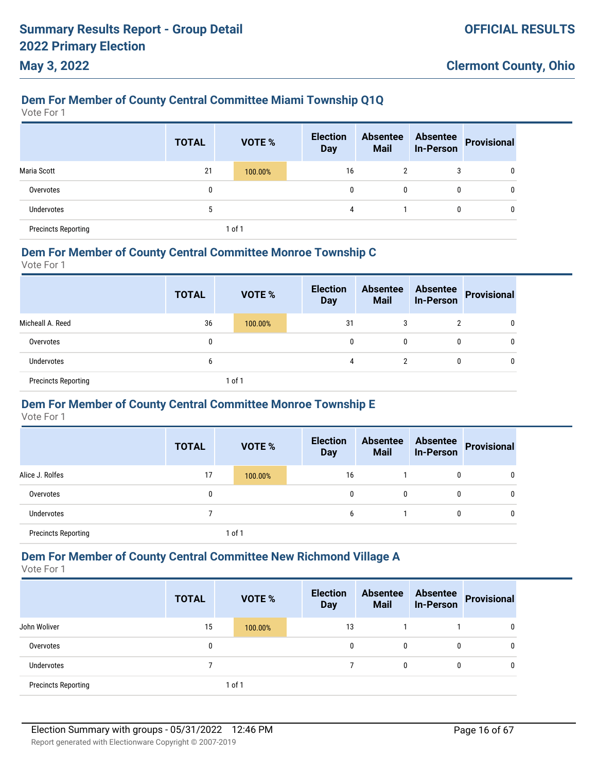# **Dem For Member of County Central Committee Miami Township Q1Q**

Vote For 1

**May 3, 2022**

|                            | <b>TOTAL</b> | <b>VOTE %</b> | <b>Election</b><br><b>Day</b> | <b>Absentee</b><br><b>Mail</b> | <b>Absentee</b><br><b>In-Person</b> | <b>Provisional</b> |
|----------------------------|--------------|---------------|-------------------------------|--------------------------------|-------------------------------------|--------------------|
| Maria Scott                | 21           | 100.00%       | 16                            | 2                              | 3                                   | 0                  |
| Overvotes                  | 0            |               | 0                             | $\mathbf{0}$                   | 0                                   | 0                  |
| Undervotes                 | b            |               | 4                             |                                | 0                                   | 0                  |
| <b>Precincts Reporting</b> |              | $1$ of $1$    |                               |                                |                                     |                    |

### **Dem For Member of County Central Committee Monroe Township C**

Vote For 1

|                            | <b>TOTAL</b> | <b>VOTE %</b> | <b>Election</b><br><b>Day</b> | <b>Absentee</b><br><b>Mail</b> | <b>Absentee</b><br><b>In-Person</b> | Provisional |
|----------------------------|--------------|---------------|-------------------------------|--------------------------------|-------------------------------------|-------------|
| Micheall A. Reed           | 36           | 100.00%       | 31                            | 3                              | 2                                   | 0           |
| Overvotes                  | 0            |               | 0                             | 0                              | 0                                   | 0           |
| <b>Undervotes</b>          | b            |               | 4                             |                                | 0                                   | 0           |
| <b>Precincts Reporting</b> |              | of 1          |                               |                                |                                     |             |

#### **Dem For Member of County Central Committee Monroe Township E**

Vote For 1

|                            | <b>TOTAL</b> | <b>VOTE %</b> | <b>Election</b><br><b>Day</b> | <b>Absentee</b><br><b>Mail</b> | <b>Absentee</b><br><b>In-Person</b> | <b>Provisional</b> |
|----------------------------|--------------|---------------|-------------------------------|--------------------------------|-------------------------------------|--------------------|
| Alice J. Rolfes            | 17           | 100.00%       | 16                            |                                | 0                                   | 0                  |
| Overvotes                  | 0            |               | 0                             | 0                              | 0                                   | 0                  |
| Undervotes                 |              |               | 6                             |                                | 0                                   | 0                  |
| <b>Precincts Reporting</b> |              | l of 1        |                               |                                |                                     |                    |

### **Dem For Member of County Central Committee New Richmond Village A**

|                            | <b>TOTAL</b> | <b>VOTE %</b> | <b>Election</b><br><b>Day</b> | <b>Absentee</b><br><b>Mail</b> | <b>Absentee</b><br><b>In-Person</b> | <b>Provisional</b> |
|----------------------------|--------------|---------------|-------------------------------|--------------------------------|-------------------------------------|--------------------|
| John Woliver               | 15           | 100.00%       | 13                            |                                |                                     | 0                  |
| Overvotes                  | 0            |               | $\mathbf{0}$                  | 0                              | $\mathbf{0}$                        | 0                  |
| Undervotes                 |              |               |                               | 0                              | $\mathbf{0}$                        | 0                  |
| <b>Precincts Reporting</b> |              | 1 of 1        |                               |                                |                                     |                    |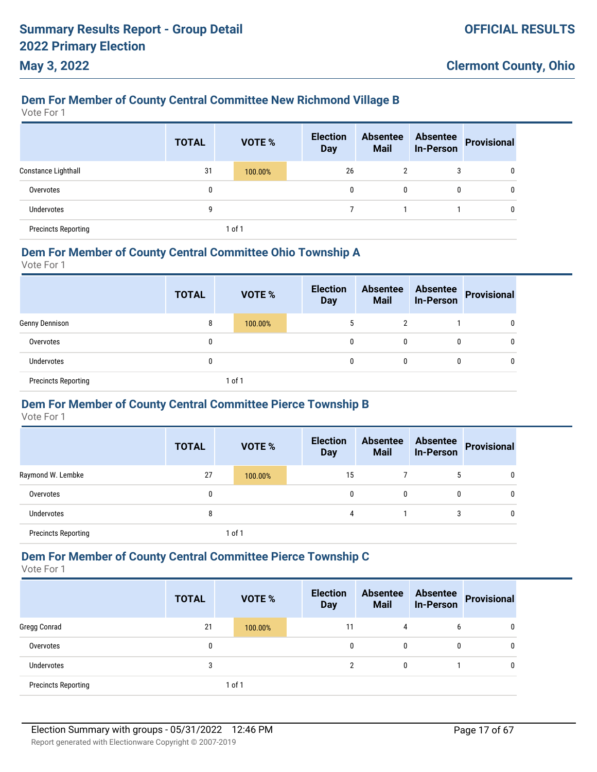# **Dem For Member of County Central Committee New Richmond Village B**

Vote For 1

**May 3, 2022**

|                            | <b>TOTAL</b> | <b>VOTE %</b> | <b>Election</b><br><b>Day</b> | <b>Absentee</b><br><b>Mail</b> | <b>Absentee</b><br><b>In-Person</b> | <b>Provisional</b> |
|----------------------------|--------------|---------------|-------------------------------|--------------------------------|-------------------------------------|--------------------|
| Constance Lighthall        | 31           | 100.00%       | 26                            |                                | 3                                   | 0                  |
| Overvotes                  | 0            |               | $\mathbf{0}$                  | 0                              | 0                                   | 0                  |
| <b>Undervotes</b>          | 9            |               |                               |                                |                                     | 0                  |
| <b>Precincts Reporting</b> |              | 1 of 1        |                               |                                |                                     |                    |

## **Dem For Member of County Central Committee Ohio Township A**

Vote For 1

|                            | <b>TOTAL</b> |        | <b>VOTE %</b> | <b>Election</b><br><b>Day</b> | <b>Absentee</b><br><b>Mail</b> | <b>Absentee</b><br><b>In-Person</b> | Provisional |
|----------------------------|--------------|--------|---------------|-------------------------------|--------------------------------|-------------------------------------|-------------|
| Genny Dennison             | 8            |        | 100.00%       | 5                             | 2                              |                                     | 0           |
| Overvotes                  |              |        |               | 0                             | 0                              | 0                                   | 0           |
| Undervotes                 | 0            |        |               | 0                             | 0                              | 0                                   | 0           |
| <b>Precincts Reporting</b> |              | 1 of 1 |               |                               |                                |                                     |             |

## **Dem For Member of County Central Committee Pierce Township B**

Vote For 1

|                            | <b>TOTAL</b> | <b>VOTE %</b> | <b>Election</b><br><b>Day</b> | <b>Absentee</b><br><b>Mail</b> | <b>Absentee</b><br><b>In-Person</b> | <b>Provisional</b> |
|----------------------------|--------------|---------------|-------------------------------|--------------------------------|-------------------------------------|--------------------|
| Raymond W. Lembke          | 27           | 100.00%       | 15                            |                                | 5                                   | 0                  |
| Overvotes                  | 0            |               | 0                             | $\bf{0}$                       | 0                                   | 0                  |
| <b>Undervotes</b>          | 8            |               | 4                             |                                | 3                                   | 0                  |
| <b>Precincts Reporting</b> |              | $1$ of $1$    |                               |                                |                                     |                    |

### **Dem For Member of County Central Committee Pierce Township C**

|                            | <b>TOTAL</b> |        | <b>VOTE %</b> | <b>Election</b><br><b>Day</b> | <b>Absentee</b><br><b>Mail</b> | <b>Absentee</b><br><b>In-Person</b> | <b>Provisional</b> |
|----------------------------|--------------|--------|---------------|-------------------------------|--------------------------------|-------------------------------------|--------------------|
| Gregg Conrad               | 21           |        | 100.00%       | 11                            | 4                              | 6                                   | 0                  |
| Overvotes                  | 0            |        |               | $\mathbf{0}$                  | 0                              | 0                                   | 0                  |
| Undervotes                 | 3            |        |               |                               | 0                              |                                     | 0                  |
| <b>Precincts Reporting</b> |              | 1 of 1 |               |                               |                                |                                     |                    |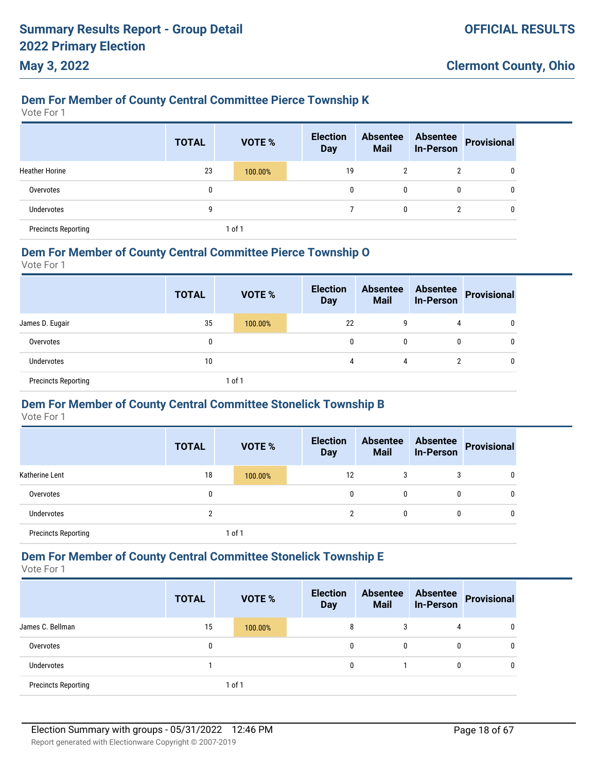# **Dem For Member of County Central Committee Pierce Township K**

Vote For 1

**May 3, 2022**

|                            | <b>TOTAL</b> | <b>VOTE %</b> | <b>Election</b><br><b>Day</b> | <b>Absentee</b><br><b>Mail</b> | <b>Absentee</b><br><b>In-Person</b> | <b>Provisional</b> |
|----------------------------|--------------|---------------|-------------------------------|--------------------------------|-------------------------------------|--------------------|
| <b>Heather Horine</b>      | 23           | 100.00%       | 19                            | $\mathbf{2}^{\prime}$          | $\overline{2}$                      | 0                  |
| Overvotes                  | 0            |               | 0                             | $\mathbf{0}$                   | 0                                   | 0                  |
| Undervotes                 | 9            |               |                               | 0                              | 2                                   | 0                  |
| <b>Precincts Reporting</b> |              | of 1          |                               |                                |                                     |                    |

## **Dem For Member of County Central Committee Pierce Township O**

Vote For 1

|                            | <b>TOTAL</b> | <b>VOTE %</b> | <b>Election</b><br><b>Day</b> | <b>Absentee</b><br><b>Mail</b> | <b>In-Person</b> | <b>Absentee Provisional</b> |
|----------------------------|--------------|---------------|-------------------------------|--------------------------------|------------------|-----------------------------|
| James D. Eugair            | 35           | 100.00%       | 22                            | 9                              | 4                | 0                           |
| Overvotes                  | 0            |               | 0                             | 0                              | 0                |                             |
| <b>Undervotes</b>          | 10           |               | 4                             | 4                              | ົາ               | 0                           |
| <b>Precincts Reporting</b> |              | 1 of 1        |                               |                                |                  |                             |

#### **Dem For Member of County Central Committee Stonelick Township B**

Vote For 1

|                            | <b>TOTAL</b> | <b>VOTE %</b> | <b>Election</b><br><b>Day</b> | <b>Absentee</b><br><b>Mail</b> | <b>Absentee</b><br><b>In-Person</b> | Provisional |
|----------------------------|--------------|---------------|-------------------------------|--------------------------------|-------------------------------------|-------------|
| Katherine Lent             | 18           | 100.00%       | 12                            | 3                              | 3                                   |             |
| Overvotes                  | 0            |               | 0                             | 0                              | 0                                   |             |
| Undervotes                 | ∩            |               |                               | 0                              | $\mathbf{0}$                        |             |
| <b>Precincts Reporting</b> |              | 1 of 1        |                               |                                |                                     |             |

## **Dem For Member of County Central Committee Stonelick Township E**

|                            | <b>TOTAL</b> | VOTE %  | <b>Election</b><br><b>Day</b> | <b>Absentee</b><br><b>Mail</b> | <b>Absentee</b><br><b>In-Person</b> | Provisional |
|----------------------------|--------------|---------|-------------------------------|--------------------------------|-------------------------------------|-------------|
| James C. Bellman           | 15           | 100.00% | 8                             | 3                              | 4                                   | 0           |
| Overvotes                  | 0            |         | 0                             | 0                              | $\mathbf{0}$                        | 0           |
| Undervotes                 |              |         | 0                             |                                |                                     | 0           |
| <b>Precincts Reporting</b> |              | 1 of 1  |                               |                                |                                     |             |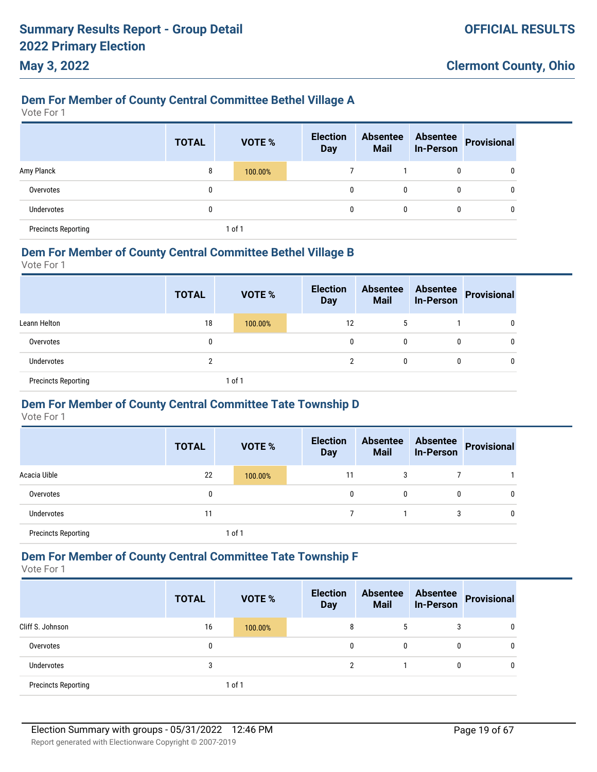# **Dem For Member of County Central Committee Bethel Village A**

Vote For 1

**May 3, 2022**

|                            | <b>TOTAL</b> | <b>VOTE %</b> | <b>Election</b><br><b>Day</b> | <b>Absentee</b><br><b>Mail</b> | <b>Absentee</b><br><b>In-Person</b> | Provisional  |
|----------------------------|--------------|---------------|-------------------------------|--------------------------------|-------------------------------------|--------------|
| Amy Planck                 | 8            | 100.00%       |                               |                                | 0                                   | 0            |
| Overvotes                  | 0            |               | 0                             | $\mathbf{0}$                   | 0                                   | 0            |
| <b>Undervotes</b>          | 0            |               | 0                             | $\mathbf{0}$                   | 0                                   | $\mathbf{0}$ |
| <b>Precincts Reporting</b> |              | 1 of 1        |                               |                                |                                     |              |

### **Dem For Member of County Central Committee Bethel Village B**

Vote For 1

|                            | <b>TOTAL</b> |        | <b>VOTE %</b> | <b>Election</b><br><b>Day</b> | <b>Absentee</b><br><b>Mail</b> |   | Absentee<br>In-Person Provisional |
|----------------------------|--------------|--------|---------------|-------------------------------|--------------------------------|---|-----------------------------------|
| Leann Helton               | 18           |        | 100.00%       | 12                            | <sup>5</sup>                   |   | 0                                 |
| Overvotes                  | 0            |        |               | 0                             |                                | 0 | 0                                 |
| <b>Undervotes</b>          | າ            |        |               |                               | 0                              | 0 | 0                                 |
| <b>Precincts Reporting</b> |              | 1 of 1 |               |                               |                                |   |                                   |

## **Dem For Member of County Central Committee Tate Township D**

Vote For 1

|                            | <b>TOTAL</b> | <b>VOTE %</b> | <b>Election</b><br><b>Day</b> | <b>Absentee</b><br><b>Mail</b> | <b>Absentee</b><br><b>In-Person</b> | <b>Provisional</b> |
|----------------------------|--------------|---------------|-------------------------------|--------------------------------|-------------------------------------|--------------------|
| Acacia Uible               | 22           | 100.00%       | 11                            | 3                              |                                     |                    |
| Overvotes                  | 0            |               | 0                             | 0                              | 0                                   | 0                  |
| <b>Undervotes</b>          | 11           |               |                               |                                | 3                                   | 0                  |
| <b>Precincts Reporting</b> |              | 1 of 1        |                               |                                |                                     |                    |

### **Dem For Member of County Central Committee Tate Township F**

|                            | <b>TOTAL</b> | <b>VOTE %</b> | <b>Election</b><br><b>Day</b> | <b>Absentee</b><br><b>Mail</b> | <b>Absentee</b><br><b>In-Person</b> | Provisional |
|----------------------------|--------------|---------------|-------------------------------|--------------------------------|-------------------------------------|-------------|
| Cliff S. Johnson           | 16           | 100.00%       | 8                             | 5                              | 3                                   | 0           |
| Overvotes                  | 0            |               | 0                             | $\mathbf{0}$                   | $\mathbf{0}$                        | 0           |
| Undervotes                 |              |               | ŋ                             |                                |                                     | 0           |
| <b>Precincts Reporting</b> |              | 1 of 1        |                               |                                |                                     |             |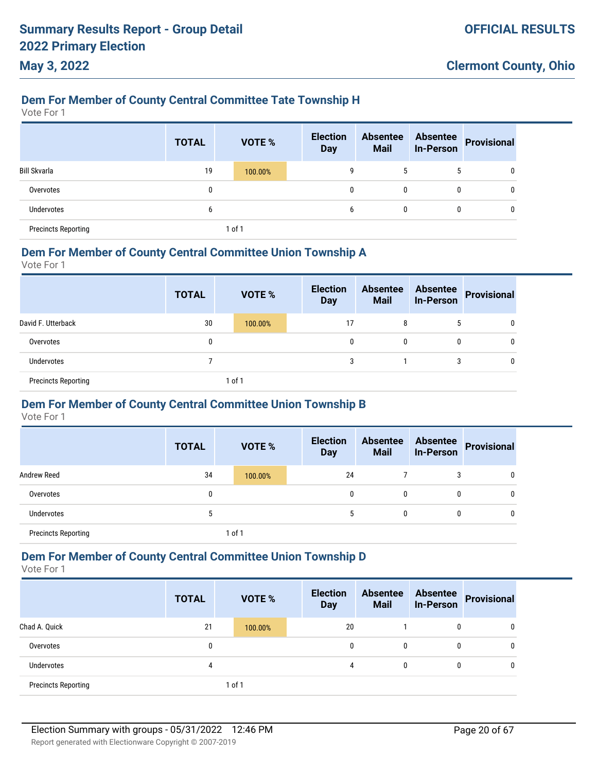## **Dem For Member of County Central Committee Tate Township H**

Vote For 1

**May 3, 2022**

|                            | <b>TOTAL</b> | <b>VOTE %</b> | <b>Election</b><br><b>Day</b> | <b>Absentee</b><br><b>Mail</b> | <b>Absentee</b><br><b>In-Person</b> | <b>Provisional</b> |
|----------------------------|--------------|---------------|-------------------------------|--------------------------------|-------------------------------------|--------------------|
| Bill Skvarla               | 19           | 100.00%       | 9                             | 5                              | 5                                   | 0                  |
| Overvotes                  | 0            |               | 0                             | $\mathbf{0}$                   | $\mathbf{0}$                        | $\mathbf{0}$       |
| <b>Undervotes</b>          | 6            |               | 6                             | $\mathbf{0}$                   | 0                                   | $\mathbf{0}$       |
| <b>Precincts Reporting</b> |              | 1 of 1        |                               |                                |                                     |                    |

### **Dem For Member of County Central Committee Union Township A**

Vote For 1

|                            | <b>TOTAL</b> | <b>VOTE %</b> | <b>Election</b><br><b>Day</b> | <b>Absentee</b><br><b>Mail</b> | <b>In-Person</b> | <b>Absentee Provisional</b> |
|----------------------------|--------------|---------------|-------------------------------|--------------------------------|------------------|-----------------------------|
| David F. Utterback         | 30           | 100.00%       | 17                            | 8                              | -5               | 0                           |
| Overvotes                  | 0            |               | 0                             | 0                              | $\mathbf{0}$     |                             |
| Undervotes                 |              |               | 3                             |                                | 3                | 0                           |
| <b>Precincts Reporting</b> |              | 1 of 1        |                               |                                |                  |                             |

## **Dem For Member of County Central Committee Union Township B**

Vote For 1

|                            | <b>TOTAL</b> | <b>VOTE %</b> | <b>Election</b><br><b>Day</b> | <b>Absentee</b><br><b>Mail</b> | <b>Absentee</b><br><b>In-Person</b> | <b>Provisional</b> |
|----------------------------|--------------|---------------|-------------------------------|--------------------------------|-------------------------------------|--------------------|
| <b>Andrew Reed</b>         | 34           | 100.00%       | 24                            |                                | 3                                   | 0                  |
| Overvotes                  | 0            |               | 0                             | 0                              | 0                                   | 0                  |
| <b>Undervotes</b>          | 5            |               | 5                             | 0                              | 0                                   | 0                  |
| <b>Precincts Reporting</b> |              | 1 of 1        |                               |                                |                                     |                    |

### **Dem For Member of County Central Committee Union Township D**

|                            | <b>TOTAL</b> | <b>VOTE %</b> | <b>Election</b><br><b>Day</b> | <b>Absentee</b><br><b>Mail</b> | <b>Absentee</b><br><b>In-Person</b> | Provisional |
|----------------------------|--------------|---------------|-------------------------------|--------------------------------|-------------------------------------|-------------|
| Chad A. Quick              | 21           | 100.00%       | 20                            |                                | 0                                   | 0           |
| Overvotes                  | 0            |               | $\mathbf{0}$                  | 0                              | 0                                   | 0           |
| Undervotes                 | 4            |               | 4                             | $\mathbf{0}$                   | $\mathbf{0}$                        | 0           |
| <b>Precincts Reporting</b> |              | 1 of 1        |                               |                                |                                     |             |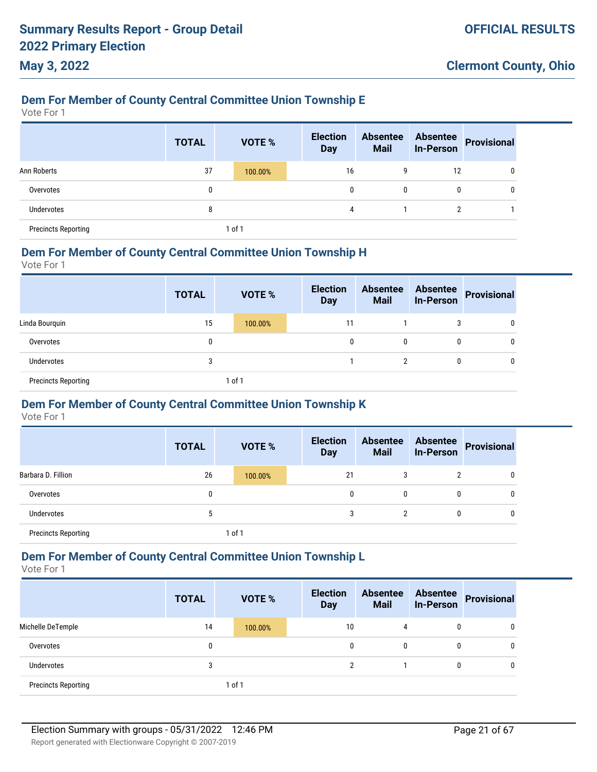# **Dem For Member of County Central Committee Union Township E**

Vote For 1

**May 3, 2022**

|                            | <b>TOTAL</b> | <b>VOTE %</b> | <b>Election</b><br><b>Day</b> | <b>Absentee</b><br><b>Mail</b> | <b>Absentee</b><br><b>In-Person</b> | <b>Provisional</b> |
|----------------------------|--------------|---------------|-------------------------------|--------------------------------|-------------------------------------|--------------------|
| Ann Roberts                | 37           | 100.00%       | 16                            | 9                              | 12                                  | 0                  |
| Overvotes                  | 0            |               | $\mathbf{0}$                  | 0                              | $\mathbf{0}$                        | 0                  |
| <b>Undervotes</b>          | 8            |               | 4                             |                                | C.                                  |                    |
| <b>Precincts Reporting</b> |              | 1 of 1        |                               |                                |                                     |                    |

### **Dem For Member of County Central Committee Union Township H**

Vote For 1

|                            | <b>TOTAL</b> |        | <b>VOTE %</b> | <b>Election</b><br><b>Day</b> | <b>Absentee</b><br><b>Mail</b> | <b>Absentee</b><br><b>In-Person</b> | Provisional |
|----------------------------|--------------|--------|---------------|-------------------------------|--------------------------------|-------------------------------------|-------------|
| Linda Bourquin             | 15           |        | 100.00%       | 11                            |                                | 3                                   | 0           |
| Overvotes                  | 0            |        |               | $\mathbf{0}$                  | 0                              | 0                                   | 0           |
| Undervotes                 | 3            |        |               |                               | 2                              | 0                                   | 0           |
| <b>Precincts Reporting</b> |              | 1 of 1 |               |                               |                                |                                     |             |

## **Dem For Member of County Central Committee Union Township K**

Vote For 1

|                            | <b>TOTAL</b> | <b>VOTE %</b> | <b>Election</b><br><b>Day</b> | <b>Absentee</b><br><b>Mail</b> | <b>Absentee</b><br><b>In-Person</b> | Provisional |
|----------------------------|--------------|---------------|-------------------------------|--------------------------------|-------------------------------------|-------------|
| Barbara D. Fillion         | 26           | 100.00%       | 21                            | 3                              |                                     | 0           |
| Overvotes                  | 0            |               | 0                             | 0                              | 0                                   | 0           |
| Undervotes                 | 5            |               | 3                             | 2                              |                                     | 0           |
| <b>Precincts Reporting</b> |              | 1 of 1        |                               |                                |                                     |             |

### **Dem For Member of County Central Committee Union Township L**

|                            | <b>TOTAL</b> | <b>VOTE %</b> | <b>Election</b><br><b>Day</b> | <b>Absentee</b><br><b>Mail</b> | <b>Absentee</b><br><b>In-Person</b> | <b>Provisional</b> |
|----------------------------|--------------|---------------|-------------------------------|--------------------------------|-------------------------------------|--------------------|
| Michelle DeTemple          | 14           | 100.00%       | 10                            | 4                              | $\mathbf 0$                         | 0                  |
| Overvotes                  | 0            |               | 0                             | 0                              | $\mathbf 0$                         | 0                  |
| <b>Undervotes</b>          | 3            |               | ∩                             |                                | 0                                   | 0                  |
| <b>Precincts Reporting</b> |              | i of 1        |                               |                                |                                     |                    |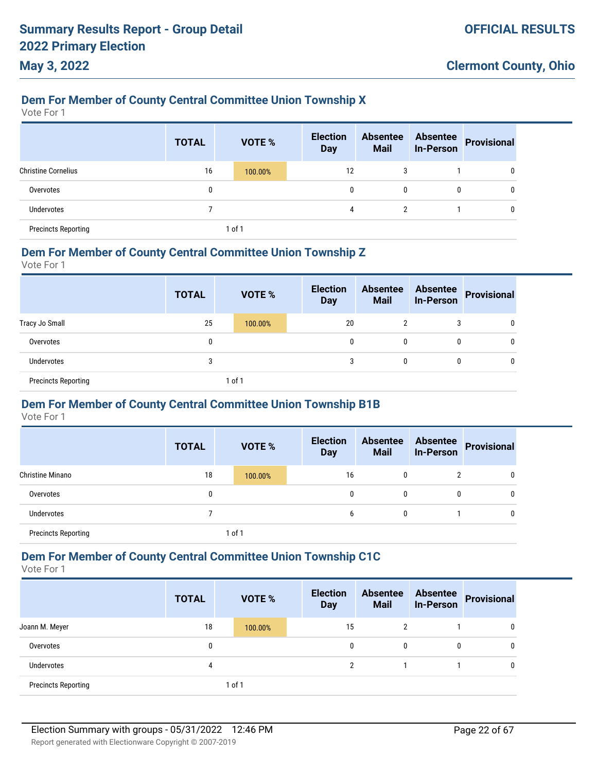# **Dem For Member of County Central Committee Union Township X**

Vote For 1

**May 3, 2022**

|                            | <b>TOTAL</b> | <b>VOTE %</b> | <b>Election</b><br><b>Day</b> | <b>Absentee</b><br><b>Mail</b> | <b>Absentee</b><br><b>In-Person</b> | Provisional |
|----------------------------|--------------|---------------|-------------------------------|--------------------------------|-------------------------------------|-------------|
| <b>Christine Cornelius</b> | 16           | 100.00%       | 12                            | 3                              |                                     | 0           |
| Overvotes                  | 0            |               | 0                             | 0                              | 0                                   | 0           |
| Undervotes                 |              |               | 4                             | 2                              |                                     | 0           |
| <b>Precincts Reporting</b> |              | 1 of 1        |                               |                                |                                     |             |

### **Dem For Member of County Central Committee Union Township Z**

Vote For 1

|                            | <b>TOTAL</b> | <b>VOTE %</b> | <b>Election</b><br><b>Day</b> | <b>Absentee</b><br><b>Mail</b> | <b>Absentee</b><br><b>In-Person</b> | Provisional |
|----------------------------|--------------|---------------|-------------------------------|--------------------------------|-------------------------------------|-------------|
| Tracy Jo Small             | 25           | 100.00%       | 20                            | ∠                              | 3                                   | 0           |
| Overvotes                  | 0            |               | 0                             | 0                              | 0                                   | 0           |
| Undervotes                 | 3            |               | 3                             | 0                              | 0                                   | 0           |
| <b>Precincts Reporting</b> |              | 1 of 1        |                               |                                |                                     |             |

## **Dem For Member of County Central Committee Union Township B1B**

Vote For 1

|                            | <b>TOTAL</b> | VOTE %  | <b>Election</b><br><b>Day</b> | <b>Absentee</b><br><b>Mail</b> | <b>Absentee</b><br><b>In-Person</b> | <b>Provisional</b> |
|----------------------------|--------------|---------|-------------------------------|--------------------------------|-------------------------------------|--------------------|
| <b>Christine Minano</b>    | 18           | 100.00% | 16                            | 0                              | $\overline{2}$                      |                    |
| Overvotes                  | 0            |         | 0                             | $\mathbf{0}$                   |                                     |                    |
| Undervotes                 |              |         | 6                             | $\mathbf{0}$                   |                                     |                    |
| <b>Precincts Reporting</b> |              | 1 of 1  |                               |                                |                                     |                    |

### **Dem For Member of County Central Committee Union Township C1C**

|                            | <b>TOTAL</b> | <b>VOTE %</b> | <b>Election</b><br><b>Day</b> | <b>Absentee</b><br><b>Mail</b> | <b>Absentee</b><br><b>In-Person</b> | <b>Provisional</b> |
|----------------------------|--------------|---------------|-------------------------------|--------------------------------|-------------------------------------|--------------------|
| Joann M. Meyer             | 18           | 100.00%       | 15                            | 2                              |                                     | 0                  |
| Overvotes                  | 0            |               | 0                             | 0                              | $\mathbf{0}$                        | 0                  |
| Undervotes                 | 4            |               | <sup>2</sup>                  |                                |                                     | 0                  |
| <b>Precincts Reporting</b> |              | 1 of 1        |                               |                                |                                     |                    |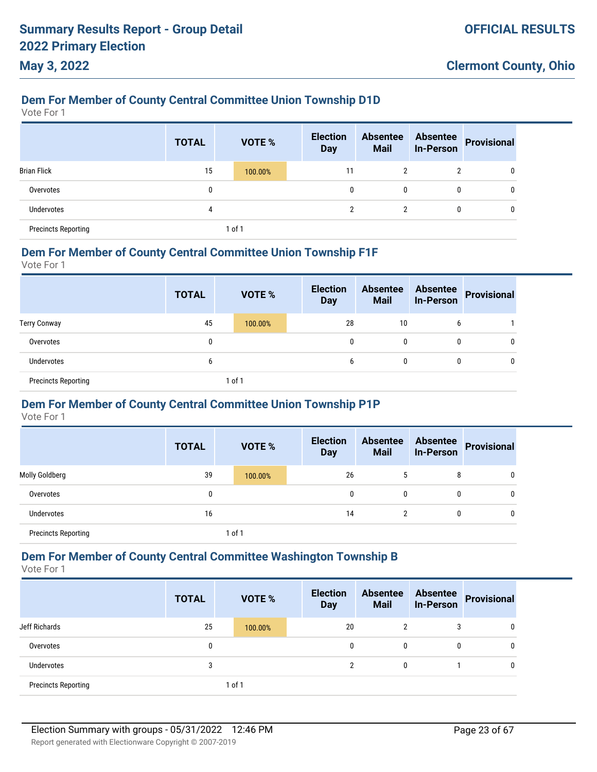# **Dem For Member of County Central Committee Union Township D1D**

Vote For 1

**May 3, 2022**

|                            | <b>TOTAL</b> | <b>VOTE %</b> | <b>Election</b><br><b>Day</b> | <b>Absentee</b><br><b>Mail</b> | <b>Absentee</b><br><b>In-Person</b> | <b>Provisional</b> |
|----------------------------|--------------|---------------|-------------------------------|--------------------------------|-------------------------------------|--------------------|
| <b>Brian Flick</b>         | 15           | 100.00%       | 11                            | $\mathfrak{p}$                 | 2                                   | 0                  |
| Overvotes                  | 0            |               | 0                             | 0                              | 0                                   | 0                  |
| Undervotes                 | 4            |               | 2                             | 2                              | 0                                   | 0                  |
| <b>Precincts Reporting</b> |              | 1 of 1        |                               |                                |                                     |                    |

### **Dem For Member of County Central Committee Union Township F1F**

Vote For 1

|                            | <b>TOTAL</b> | <b>VOTE %</b> | <b>Election</b><br><b>Day</b> | <b>Absentee</b><br><b>Mail</b> | <b>Absentee</b><br><b>In-Person</b> | Provisional |
|----------------------------|--------------|---------------|-------------------------------|--------------------------------|-------------------------------------|-------------|
| <b>Terry Conway</b>        | 45           | 100.00%       | 28                            | 10                             | 6                                   |             |
| Overvotes                  | 0            |               | 0                             | 0                              | 0                                   | 0           |
| <b>Undervotes</b>          | b            |               | 6                             | 0                              | $\mathbf{0}$                        | 0           |
| <b>Precincts Reporting</b> |              | 1 of 1        |                               |                                |                                     |             |

## **Dem For Member of County Central Committee Union Township P1P**

Vote For 1

|                            | <b>TOTAL</b> |        | <b>VOTE %</b> | <b>Election</b><br><b>Day</b> | <b>Absentee</b><br><b>Mail</b> | <b>Absentee</b><br><b>In-Person</b> | Provisional |
|----------------------------|--------------|--------|---------------|-------------------------------|--------------------------------|-------------------------------------|-------------|
| Molly Goldberg             | 39           |        | 100.00%       | 26                            | 5                              | 8                                   | 0           |
| Overvotes                  | 0            |        |               |                               | 0<br>$\mathbf{0}$              | 0                                   | 0           |
| Undervotes                 | 16           |        |               | 14                            | 2                              | 0                                   | 0           |
| <b>Precincts Reporting</b> |              | 1 of 1 |               |                               |                                |                                     |             |

### **Dem For Member of County Central Committee Washington Township B**

|                            | <b>TOTAL</b> | VOTE %  | <b>Election</b><br><b>Day</b> | <b>Absentee</b><br><b>Mail</b> | <b>Absentee</b><br><b>In-Person</b> | <b>Provisional</b> |
|----------------------------|--------------|---------|-------------------------------|--------------------------------|-------------------------------------|--------------------|
| Jeff Richards              | 25           | 100.00% | 20                            | 2                              | 3                                   | 0                  |
| Overvotes                  | 0            |         | 0                             | 0                              | $\mathbf{0}$                        | 0                  |
| Undervotes                 | 3            |         | C                             | 0                              |                                     | 0                  |
| <b>Precincts Reporting</b> |              | 1 of 1  |                               |                                |                                     |                    |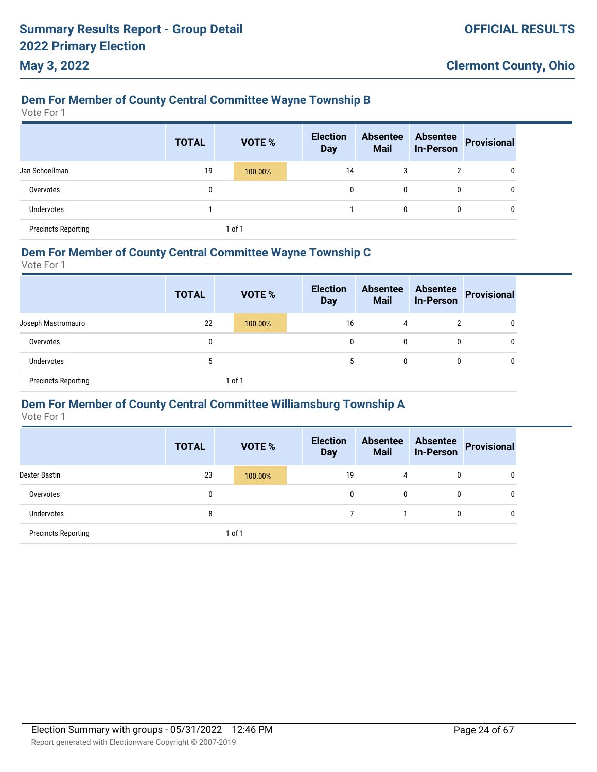# **Dem For Member of County Central Committee Wayne Township B**

Vote For 1

**May 3, 2022**

|                            | <b>TOTAL</b> | <b>VOTE %</b> | <b>Election</b><br><b>Day</b> | <b>Absentee</b><br><b>Mail</b> | <b>Absentee</b><br><b>In-Person</b> | <b>Provisional</b> |
|----------------------------|--------------|---------------|-------------------------------|--------------------------------|-------------------------------------|--------------------|
| Jan Schoellman             | 19           | 100.00%       | 14                            | 3                              | 2                                   | 0                  |
| Overvotes                  | 0            |               | $\Omega$                      | 0                              | $\mathbf{0}$                        | 0                  |
| Undervotes                 |              |               |                               | 0                              |                                     | 0                  |
| <b>Precincts Reporting</b> |              | 1 of 1        |                               |                                |                                     |                    |

## **Dem For Member of County Central Committee Wayne Township C**

Vote For 1

|                            | <b>TOTAL</b> | <b>VOTE %</b> | <b>Election</b><br><b>Day</b> | <b>Absentee</b><br><b>Mail</b> | <b>In-Person</b> | <b>Absentee Provisional</b> |
|----------------------------|--------------|---------------|-------------------------------|--------------------------------|------------------|-----------------------------|
| Joseph Mastromauro         | 22           | 100.00%       | 16                            | 4                              | ∩                | 0                           |
| Overvotes                  | 0            |               | 0                             |                                | 0                | 0                           |
| Undervotes                 | 5            |               |                               | $\mathbf{0}$                   | 0                | $\mathbf{0}$                |
| <b>Precincts Reporting</b> |              | 1 of 1        |                               |                                |                  |                             |

#### **Dem For Member of County Central Committee Williamsburg Township A**

|                            | <b>TOTAL</b> | <b>VOTE %</b> | <b>Election</b><br><b>Day</b> | <b>Absentee</b><br><b>Mail</b> | <b>Absentee</b><br><b>In-Person</b> | <b>Provisional</b> |
|----------------------------|--------------|---------------|-------------------------------|--------------------------------|-------------------------------------|--------------------|
| Dexter Bastin              | 23           | 100.00%       | 19                            | 4                              | 0                                   | $\mathbf{0}$       |
| Overvotes                  | 0            |               | 0                             | 0                              | 0                                   | 0                  |
| Undervotes                 | 8            |               |                               |                                | 0                                   | 0                  |
| <b>Precincts Reporting</b> |              | 1 of 1        |                               |                                |                                     |                    |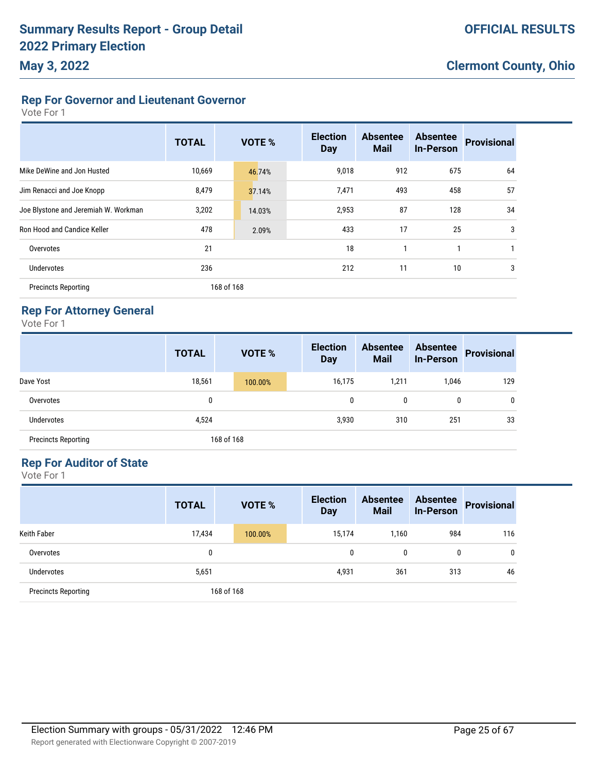# **Rep For Governor and Lieutenant Governor**

Vote For 1

|                                      | <b>TOTAL</b> | <b>VOTE %</b> | <b>Election</b><br>Day | <b>Absentee</b><br><b>Mail</b> | <b>Absentee</b><br><b>In-Person</b> | <b>Provisional</b> |
|--------------------------------------|--------------|---------------|------------------------|--------------------------------|-------------------------------------|--------------------|
| Mike DeWine and Jon Husted           | 10,669       | 46.74%        | 9,018                  | 912                            | 675                                 | 64                 |
| Jim Renacci and Joe Knopp            | 8,479        | 37.14%        | 7,471                  | 493                            | 458                                 | 57                 |
| Joe Blystone and Jeremiah W. Workman | 3,202        | 14.03%        | 2,953                  | 87                             | 128                                 | 34                 |
| Ron Hood and Candice Keller          | 478          | 2.09%         | 433                    | 17                             | 25                                  | 3                  |
| Overvotes                            | 21           |               | 18                     | 1                              |                                     |                    |
| Undervotes                           | 236          |               | 212                    | 11                             | 10                                  | 3                  |
| <b>Precincts Reporting</b>           |              | 168 of 168    |                        |                                |                                     |                    |

## **Rep For Attorney General**

Vote For 1

|                            | <b>TOTAL</b> | <b>VOTE %</b> | <b>Election</b><br><b>Day</b> | <b>Absentee</b><br><b>Mail</b> | <b>Absentee</b><br><b>In-Person</b> | <b>Provisional</b> |
|----------------------------|--------------|---------------|-------------------------------|--------------------------------|-------------------------------------|--------------------|
| Dave Yost                  | 18,561       | 100.00%       | 16,175                        | 1,211                          | 1,046                               | 129                |
| Overvotes                  | 0            |               | 0                             | 0                              | 0                                   | 0                  |
| Undervotes                 | 4,524        |               | 3,930                         | 310                            | 251                                 | 33                 |
| <b>Precincts Reporting</b> |              | 168 of 168    |                               |                                |                                     |                    |

## **Rep For Auditor of State**

|                            | <b>TOTAL</b> | <b>VOTE %</b> | <b>Election</b><br><b>Day</b> | <b>Absentee</b><br><b>Mail</b> | <b>Absentee</b><br><b>In-Person</b> | <b>Provisional</b> |
|----------------------------|--------------|---------------|-------------------------------|--------------------------------|-------------------------------------|--------------------|
| <b>Keith Faber</b>         | 17,434       | 100.00%       | 15,174                        | 1,160                          | 984                                 | 116                |
| Overvotes                  | 0            |               | 0                             | 0                              | 0                                   | 0                  |
| Undervotes                 | 5,651        |               | 4,931                         | 361                            | 313                                 | 46                 |
| <b>Precincts Reporting</b> |              | 168 of 168    |                               |                                |                                     |                    |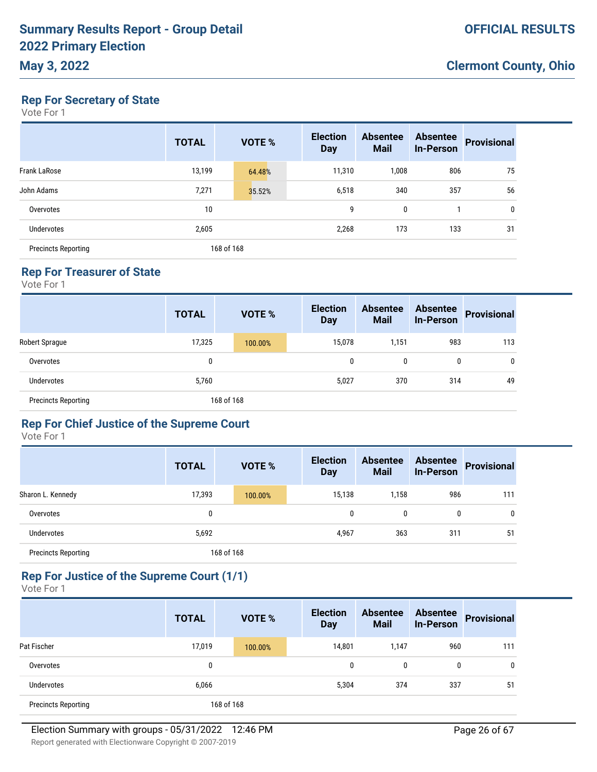# **May 3, 2022**

**Rep For Secretary of State**

Vote For 1

|                            | <b>TOTAL</b> | <b>VOTE %</b> | <b>Election</b><br><b>Day</b> | <b>Absentee</b><br><b>Mail</b> | <b>Absentee</b><br><b>In-Person</b> | <b>Provisional</b> |
|----------------------------|--------------|---------------|-------------------------------|--------------------------------|-------------------------------------|--------------------|
| <b>Frank LaRose</b>        | 13,199       | 64.48%        | 11,310                        | 1,008                          | 806                                 | 75                 |
| John Adams                 | 7,271        | 35.52%        | 6,518                         | 340                            | 357                                 | 56                 |
| Overvotes                  | 10           |               | 9                             | 0                              |                                     | 0                  |
| Undervotes                 | 2,605        |               | 2,268                         | 173                            | 133                                 | 31                 |
| <b>Precincts Reporting</b> |              | 168 of 168    |                               |                                |                                     |                    |

# **Rep For Treasurer of State**

Vote For 1

|                            | <b>TOTAL</b> | <b>VOTE %</b> | <b>Election</b><br><b>Day</b> | <b>Absentee</b><br><b>Mail</b> | <b>Absentee</b><br><b>In-Person</b> | <b>Provisional</b> |
|----------------------------|--------------|---------------|-------------------------------|--------------------------------|-------------------------------------|--------------------|
| Robert Sprague             | 17,325       | 100.00%       | 15,078                        | 1,151                          | 983                                 | 113                |
| Overvotes                  | 0            |               | 0                             | 0                              | $\mathbf{0}$                        | 0                  |
| Undervotes                 | 5,760        |               | 5,027                         | 370                            | 314                                 | 49                 |
| <b>Precincts Reporting</b> |              | 168 of 168    |                               |                                |                                     |                    |

## **Rep For Chief Justice of the Supreme Court**

Vote For 1

|                            | <b>TOTAL</b> | <b>VOTE %</b> | <b>Election</b><br><b>Day</b> | <b>Absentee</b><br><b>Mail</b> | <b>Absentee</b><br><b>In-Person</b> | <b>Provisional</b> |
|----------------------------|--------------|---------------|-------------------------------|--------------------------------|-------------------------------------|--------------------|
| Sharon L. Kennedy          | 17,393       | 100.00%       | 15,138                        | 1,158                          | 986                                 | 111                |
| Overvotes                  | 0            |               |                               | 0                              | 0                                   |                    |
| <b>Undervotes</b>          | 5,692        |               | 4,967                         | 363                            | 311                                 | 51                 |
| <b>Precincts Reporting</b> |              | 168 of 168    |                               |                                |                                     |                    |

## **Rep For Justice of the Supreme Court (1/1)**

|                            | <b>TOTAL</b> | VOTE %     | <b>Election</b><br><b>Day</b> | <b>Absentee</b><br><b>Mail</b> | <b>Absentee</b><br><b>In-Person</b> | <b>Provisional</b> |
|----------------------------|--------------|------------|-------------------------------|--------------------------------|-------------------------------------|--------------------|
| Pat Fischer                | 17,019       | 100.00%    | 14,801                        | 1,147                          | 960                                 | 111                |
| Overvotes                  | 0            |            | 0                             | $\mathbf{0}$                   | 0                                   | 0                  |
| Undervotes                 | 6,066        |            | 5,304                         | 374                            | 337                                 | 51                 |
| <b>Precincts Reporting</b> |              | 168 of 168 |                               |                                |                                     |                    |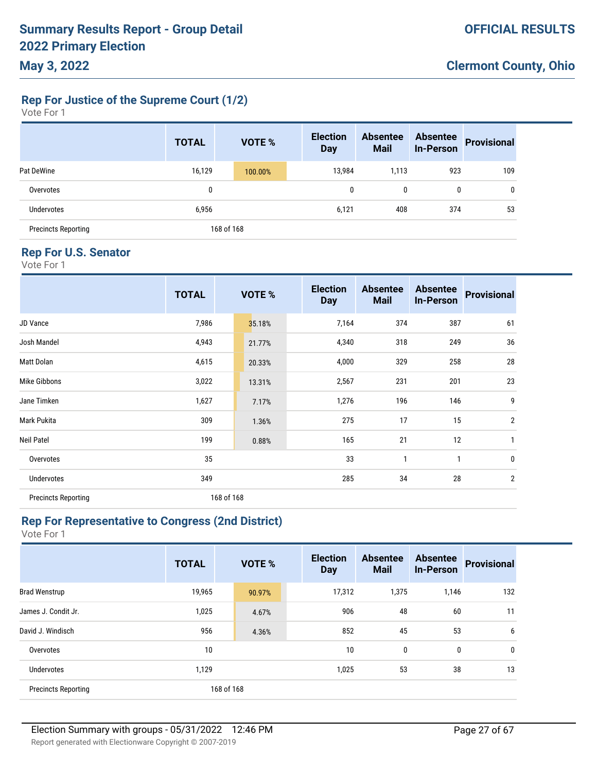**Rep For Justice of the Supreme Court (1/2)**

| Vote For 1 |  |  |
|------------|--|--|
|------------|--|--|

|                            | <b>TOTAL</b> | VOTE %     | <b>Election</b><br><b>Day</b> | <b>Absentee</b><br><b>Mail</b> | <b>Absentee</b><br><b>In-Person</b> | <b>Provisional</b> |
|----------------------------|--------------|------------|-------------------------------|--------------------------------|-------------------------------------|--------------------|
| Pat DeWine                 | 16,129       | 100.00%    | 13,984                        | 1,113                          | 923                                 | 109                |
| Overvotes                  | 0            |            | 0                             | 0                              | 0                                   | 0                  |
| <b>Undervotes</b>          | 6,956        |            | 6,121                         | 408                            | 374                                 | 53                 |
| <b>Precincts Reporting</b> |              | 168 of 168 |                               |                                |                                     |                    |

#### **Rep For U.S. Senator**

Vote For 1

|                            | <b>TOTAL</b> |            | VOTE % | <b>Election</b><br><b>Day</b> | <b>Absentee</b><br><b>Mail</b> | <b>Absentee</b><br><b>In-Person</b> | <b>Provisional</b> |
|----------------------------|--------------|------------|--------|-------------------------------|--------------------------------|-------------------------------------|--------------------|
| JD Vance                   | 7,986        |            | 35.18% | 7,164                         | 374                            | 387                                 | 61                 |
| Josh Mandel                | 4,943        |            | 21.77% | 4,340                         | 318                            | 249                                 | 36                 |
| Matt Dolan                 | 4,615        |            | 20.33% | 4,000                         | 329                            | 258                                 | 28                 |
| Mike Gibbons               | 3,022        |            | 13.31% | 2,567                         | 231                            | 201                                 | 23                 |
| Jane Timken                | 1,627        |            | 7.17%  | 1,276                         | 196                            | 146                                 | 9                  |
| Mark Pukita                | 309          |            | 1.36%  | 275                           | 17                             | 15                                  | $\overline{2}$     |
| <b>Neil Patel</b>          | 199          |            | 0.88%  | 165                           | 21                             | 12                                  |                    |
| Overvotes                  | 35           |            |        | 33                            | 1                              |                                     | 0                  |
| Undervotes                 | 349          |            |        | 285                           | 34                             | 28                                  | $\overline{2}$     |
| <b>Precincts Reporting</b> |              | 168 of 168 |        |                               |                                |                                     |                    |

## **Rep For Representative to Congress (2nd District)**

|                            | <b>TOTAL</b> | <b>VOTE %</b> | <b>Election</b><br><b>Day</b> | <b>Absentee</b><br><b>Mail</b> | <b>Absentee</b><br><b>In-Person</b> | <b>Provisional</b> |
|----------------------------|--------------|---------------|-------------------------------|--------------------------------|-------------------------------------|--------------------|
| <b>Brad Wenstrup</b>       | 19,965       | 90.97%        | 17,312                        | 1,375                          | 1,146                               | 132                |
| James J. Condit Jr.        | 1,025        | 4.67%         | 906                           | 48                             | 60                                  | 11                 |
| David J. Windisch          | 956          | 4.36%         | 852                           | 45                             | 53                                  | 6                  |
| Overvotes                  | 10           |               | 10                            | 0                              | 0                                   | 0                  |
| <b>Undervotes</b>          | 1,129        |               | 1,025                         | 53                             | 38                                  | 13                 |
| <b>Precincts Reporting</b> |              | 168 of 168    |                               |                                |                                     |                    |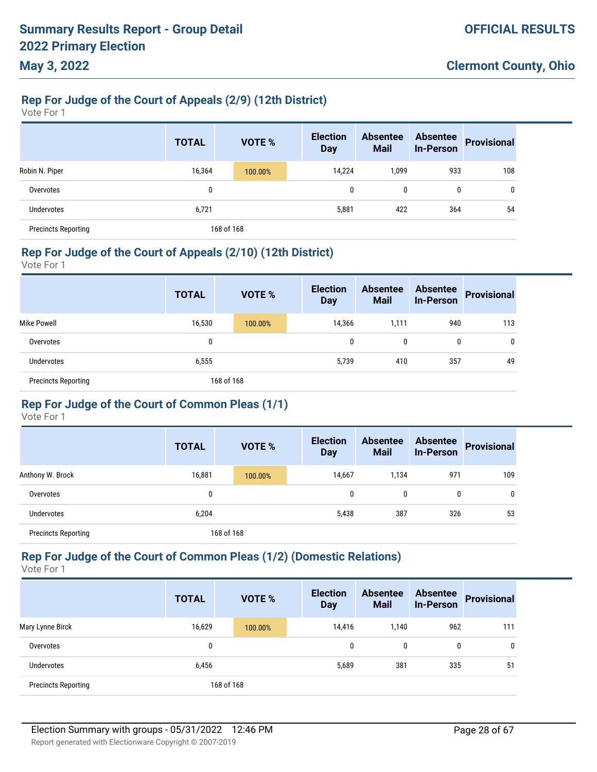# **May 3, 2022**

# **Rep For Judge of the Court of Appeals (2/9) (12th District)**

Vote For 1

|                            | <b>TOTAL</b> | VOTE %     | <b>Election</b><br><b>Day</b> | <b>Absentee</b><br><b>Mail</b> | <b>Absentee</b><br><b>In-Person</b> | <b>Provisional</b> |
|----------------------------|--------------|------------|-------------------------------|--------------------------------|-------------------------------------|--------------------|
| Robin N. Piper             | 16,364       | 100.00%    | 14,224                        | 1,099                          | 933                                 | 108                |
| Overvotes                  | 0            |            | 0                             | 0                              | 0                                   | 0                  |
| Undervotes                 | 6,721        |            | 5,881                         | 422                            | 364                                 | 54                 |
| <b>Precincts Reporting</b> |              | 168 of 168 |                               |                                |                                     |                    |

## **Rep For Judge of the Court of Appeals (2/10) (12th District)**

Vote For 1

|                            | <b>TOTAL</b> | <b>VOTE %</b> | <b>Election</b><br><b>Day</b> | <b>Absentee</b><br><b>Mail</b> | <b>Absentee</b><br><b>In-Person</b> | <b>Provisional</b> |
|----------------------------|--------------|---------------|-------------------------------|--------------------------------|-------------------------------------|--------------------|
| Mike Powell                | 16,530       | 100.00%       | 14,366                        | 1,111                          | 940                                 | 113                |
| Overvotes                  | 0            |               | 0                             | 0                              | $\mathbf{0}$                        | 0                  |
| <b>Undervotes</b>          | 6,555        |               | 5,739                         | 410                            | 357                                 | 49                 |
| <b>Precincts Reporting</b> |              | 168 of 168    |                               |                                |                                     |                    |

## **Rep For Judge of the Court of Common Pleas (1/1)**

Vote For 1

|                            | <b>TOTAL</b> |            | VOTE %  | <b>Election</b><br><b>Day</b> | <b>Absentee</b><br><b>Mail</b> | <b>Absentee</b><br><b>In-Person</b> | <b>Provisional</b> |
|----------------------------|--------------|------------|---------|-------------------------------|--------------------------------|-------------------------------------|--------------------|
| Anthony W. Brock           | 16,881       |            | 100.00% | 14,667                        | 1,134                          | 971                                 | 109                |
| Overvotes                  | 0            |            |         | 0                             | 0                              | 0                                   | 0                  |
| Undervotes                 | 6,204        |            |         | 5,438                         | 387                            | 326                                 | 53                 |
| <b>Precincts Reporting</b> |              | 168 of 168 |         |                               |                                |                                     |                    |

## **Rep For Judge of the Court of Common Pleas (1/2) (Domestic Relations)**

|                            | <b>TOTAL</b> | VOTE %     | <b>Election</b><br><b>Day</b> | <b>Absentee</b><br><b>Mail</b> | <b>Absentee</b><br><b>In-Person</b> | <b>Provisional</b> |
|----------------------------|--------------|------------|-------------------------------|--------------------------------|-------------------------------------|--------------------|
| Mary Lynne Birck           | 16,629       | 100.00%    | 14,416                        | 1,140                          | 962                                 | 111                |
| Overvotes                  | 0            |            | 0                             | 0                              | $\mathbf{0}$                        | 0                  |
| <b>Undervotes</b>          | 6,456        |            | 5,689                         | 381                            | 335                                 | 51                 |
| <b>Precincts Reporting</b> |              | 168 of 168 |                               |                                |                                     |                    |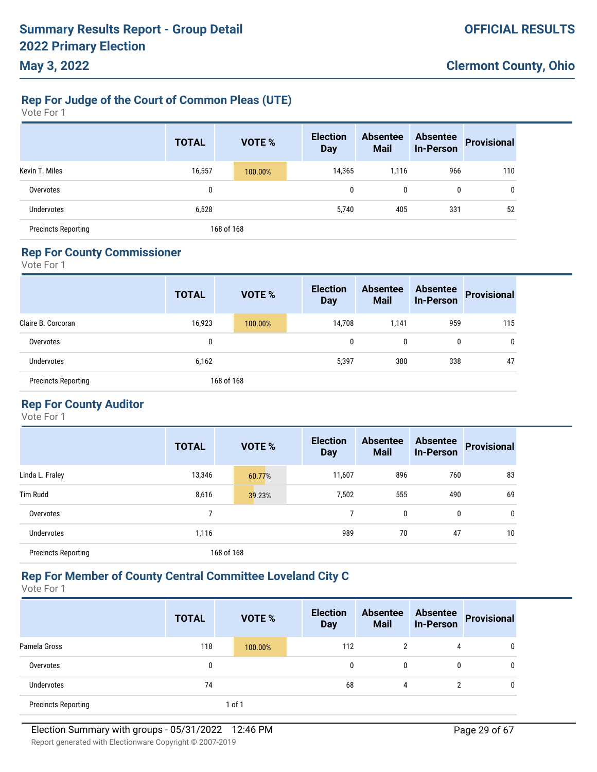# **Rep For Judge of the Court of Common Pleas (UTE)**

Vote For 1

|                            | <b>TOTAL</b> | VOTE %     | <b>Election</b><br><b>Day</b> | <b>Absentee</b><br><b>Mail</b> | <b>Absentee</b><br><b>In-Person</b> | <b>Provisional</b> |
|----------------------------|--------------|------------|-------------------------------|--------------------------------|-------------------------------------|--------------------|
| Kevin T. Miles             | 16,557       | 100.00%    | 14,365                        | 1,116                          | 966                                 | 110                |
| Overvotes                  | 0            |            | 0                             | 0                              | 0                                   | 0                  |
| <b>Undervotes</b>          | 6,528        |            | 5,740                         | 405                            | 331                                 | 52                 |
| <b>Precincts Reporting</b> |              | 168 of 168 |                               |                                |                                     |                    |

## **Rep For County Commissioner**

Vote For 1

|                            | <b>TOTAL</b> | VOTE %     | <b>Election</b><br><b>Day</b> | <b>Absentee</b><br><b>Mail</b> | <b>Absentee</b><br><b>In-Person</b> | <b>Provisional</b> |
|----------------------------|--------------|------------|-------------------------------|--------------------------------|-------------------------------------|--------------------|
| Claire B. Corcoran         | 16,923       | 100.00%    | 14,708                        | 1,141                          | 959                                 | 115                |
| Overvotes                  | 0            |            | 0                             | 0                              | 0                                   | 0                  |
| Undervotes                 | 6,162        |            | 5,397                         | 380                            | 338                                 | 47                 |
| <b>Precincts Reporting</b> |              | 168 of 168 |                               |                                |                                     |                    |

## **Rep For County Auditor**

Vote For 1

|                            | <b>TOTAL</b> | <b>VOTE %</b> | <b>Election</b><br><b>Day</b> | <b>Absentee</b><br><b>Mail</b> | <b>Absentee</b><br><b>In-Person</b> | <b>Provisional</b> |
|----------------------------|--------------|---------------|-------------------------------|--------------------------------|-------------------------------------|--------------------|
| Linda L. Fraley            | 13,346       | 60.77%        | 11,607                        | 896                            | 760                                 | 83                 |
| <b>Tim Rudd</b>            | 8,616        | 39.23%        | 7,502                         | 555                            | 490                                 | 69                 |
| Overvotes                  |              |               |                               | $\mathbf{0}$                   | 0                                   | 0                  |
| <b>Undervotes</b>          | 1,116        |               | 989                           | 70                             | 47                                  | 10                 |
| <b>Precincts Reporting</b> |              | 168 of 168    |                               |                                |                                     |                    |

## **Rep For Member of County Central Committee Loveland City C**

|                            | <b>TOTAL</b> | <b>VOTE %</b> | <b>Election</b><br><b>Day</b> | <b>Absentee</b><br><b>Mail</b> | <b>Absentee</b><br><b>In-Person</b> | <b>Provisional</b> |
|----------------------------|--------------|---------------|-------------------------------|--------------------------------|-------------------------------------|--------------------|
| Pamela Gross               | 118          | 100.00%       | 112                           | $\overline{2}$                 | 4                                   | 0                  |
| Overvotes                  | 0            |               | 0                             | 0                              | 0                                   | 0                  |
| <b>Undervotes</b>          | 74           |               | 68                            | 4                              |                                     | 0                  |
| <b>Precincts Reporting</b> |              | 1 of 1        |                               |                                |                                     |                    |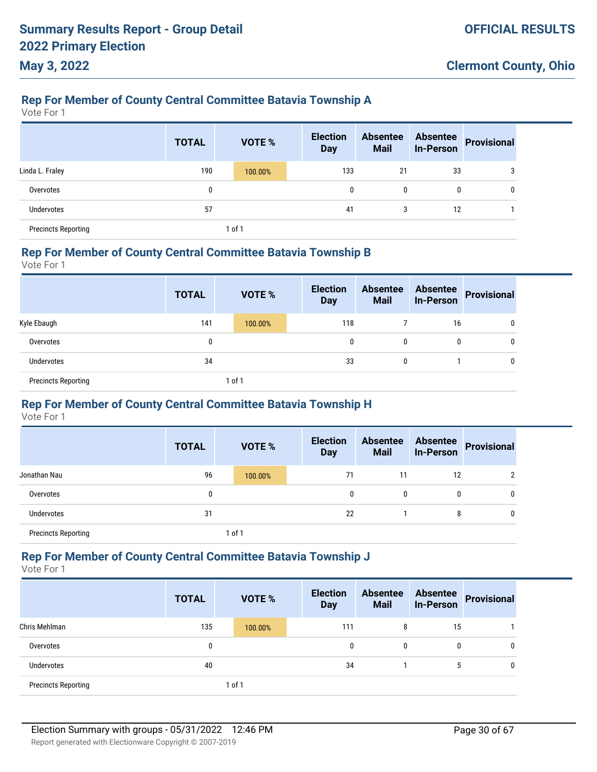# **Rep For Member of County Central Committee Batavia Township A**

Vote For 1

**May 3, 2022**

|                            | <b>TOTAL</b> | <b>VOTE %</b> | <b>Election</b><br><b>Day</b> | <b>Absentee</b><br><b>Mail</b> | <b>Absentee</b><br><b>In-Person</b> | Provisional |
|----------------------------|--------------|---------------|-------------------------------|--------------------------------|-------------------------------------|-------------|
| Linda L. Fraley            | 190          | 100.00%       | 133                           | 21                             | 33                                  | 3           |
| Overvotes                  |              |               | 0                             | $\mathbf{0}$                   | 0                                   | 0           |
| Undervotes                 | 57           |               | 41                            | 3                              | 12                                  |             |
| <b>Precincts Reporting</b> |              | 1 of 1        |                               |                                |                                     |             |

#### **Rep For Member of County Central Committee Batavia Township B**

Vote For 1

|                            | <b>TOTAL</b> | <b>VOTE %</b> | <b>Election</b><br><b>Day</b> | <b>Absentee</b><br><b>Mail</b> | <b>Absentee</b><br><b>In-Person</b> | Provisional |
|----------------------------|--------------|---------------|-------------------------------|--------------------------------|-------------------------------------|-------------|
| Kyle Ebaugh                | 141          | 100.00%       | 118                           |                                | 16                                  | 0           |
| Overvotes                  | 0            |               | $\mathbf{0}$                  | 0                              | 0                                   | 0           |
| Undervotes                 | 34           |               | 33                            | 0                              |                                     | 0           |
| <b>Precincts Reporting</b> |              | 1 of 1        |                               |                                |                                     |             |

## **Rep For Member of County Central Committee Batavia Township H**

Vote For 1

|                            | <b>TOTAL</b> | VOTE %  | <b>Election</b><br><b>Day</b> | <b>Absentee</b><br><b>Mail</b> | <b>Absentee</b><br><b>In-Person</b> | <b>Provisional</b> |
|----------------------------|--------------|---------|-------------------------------|--------------------------------|-------------------------------------|--------------------|
| Jonathan Nau               | 96           | 100.00% | 71                            | 11                             | 12                                  |                    |
| Overvotes                  | 0            |         | 0                             | 0                              | 0                                   | 0                  |
| Undervotes                 | 31           |         | 22                            |                                | 8                                   | 0                  |
| <b>Precincts Reporting</b> |              | 1 of 1  |                               |                                |                                     |                    |

## **Rep For Member of County Central Committee Batavia Township J**

|                            | <b>TOTAL</b> | <b>VOTE %</b> | <b>Election</b><br><b>Day</b> | <b>Absentee</b><br><b>Mail</b> | <b>Absentee</b><br><b>In-Person</b> | <b>Provisional</b> |
|----------------------------|--------------|---------------|-------------------------------|--------------------------------|-------------------------------------|--------------------|
| Chris Mehlman              | 135          | 100.00%       | 111                           | 8                              | 15                                  |                    |
| Overvotes                  | 0            |               | 0                             | $\mathbf{0}$                   | 0                                   | 0                  |
| Undervotes                 | 40           |               | 34                            |                                | 5                                   |                    |
| <b>Precincts Reporting</b> |              | 1 of 1        |                               |                                |                                     |                    |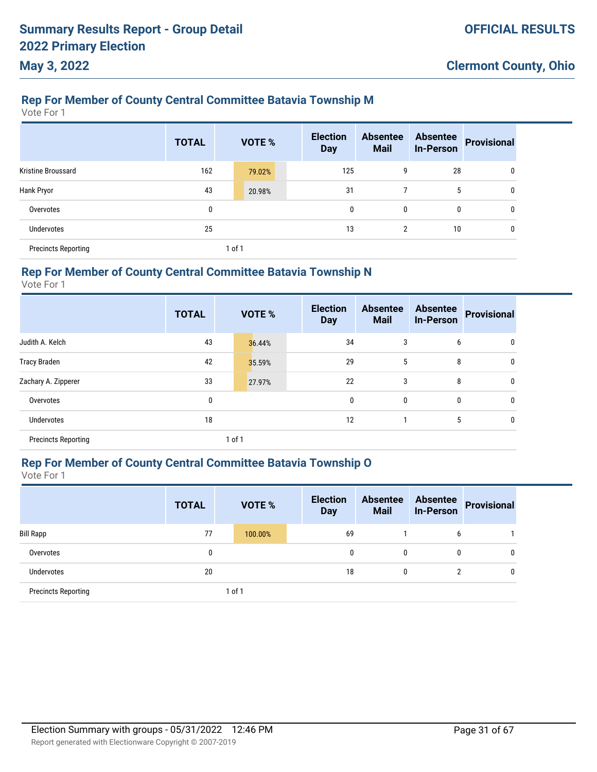# **Rep For Member of County Central Committee Batavia Township M**

Vote For 1

|                            | <b>TOTAL</b> |        | <b>VOTE %</b> | <b>Election</b><br><b>Day</b> | <b>Absentee</b><br><b>Mail</b> | <b>Absentee</b><br><b>In-Person</b> | <b>Provisional</b> |
|----------------------------|--------------|--------|---------------|-------------------------------|--------------------------------|-------------------------------------|--------------------|
| Kristine Broussard         | 162          |        | 79.02%        | 125                           | 9                              | 28                                  | 0                  |
| Hank Pryor                 | 43           |        | 20.98%        | 31                            | 7                              | 5                                   | 0                  |
| Overvotes                  | 0            |        |               | $\mathbf 0$                   | 0                              | 0                                   | 0                  |
| <b>Undervotes</b>          | 25           |        |               | 13                            | $\overline{2}$                 | 10                                  | 0                  |
| <b>Precincts Reporting</b> |              | 1 of 1 |               |                               |                                |                                     |                    |

## **Rep For Member of County Central Committee Batavia Township N**

Vote For 1

|                            | <b>TOTAL</b> |        | <b>VOTE %</b> | <b>Election</b><br><b>Day</b> | <b>Absentee</b><br><b>Mail</b> | <b>Absentee</b><br><b>In-Person</b> | <b>Provisional</b> |
|----------------------------|--------------|--------|---------------|-------------------------------|--------------------------------|-------------------------------------|--------------------|
| Judith A. Kelch            | 43           |        | 36.44%        | 34                            | 3                              | 6                                   | 0                  |
| Tracy Braden               | 42           |        | 35.59%        | 29                            | 5                              | 8                                   | 0                  |
| Zachary A. Zipperer        | 33           |        | 27.97%        | 22                            | 3                              | 8                                   | 0                  |
| Overvotes                  | 0            |        |               | $\mathbf 0$                   | 0                              | 0                                   | 0                  |
| <b>Undervotes</b>          | 18           |        |               | 12                            | 1                              | 5                                   | 0                  |
| <b>Precincts Reporting</b> |              | 1 of 1 |               |                               |                                |                                     |                    |

## **Rep For Member of County Central Committee Batavia Township O**

|                            | <b>TOTAL</b> | <b>VOTE %</b> | <b>Election</b><br><b>Day</b> | <b>Absentee</b><br><b>Mail</b> | <b>Absentee</b><br><b>In-Person</b> | <b>Provisional</b> |
|----------------------------|--------------|---------------|-------------------------------|--------------------------------|-------------------------------------|--------------------|
| <b>Bill Rapp</b>           | 77           | 100.00%       | 69                            |                                | 6                                   |                    |
| Overvotes                  | 0            |               | 0                             | 0                              | 0                                   | 0                  |
| <b>Undervotes</b>          | 20           |               | 18                            |                                | $\overline{2}$                      | 0                  |
| <b>Precincts Reporting</b> |              | 1 of 1        |                               |                                |                                     |                    |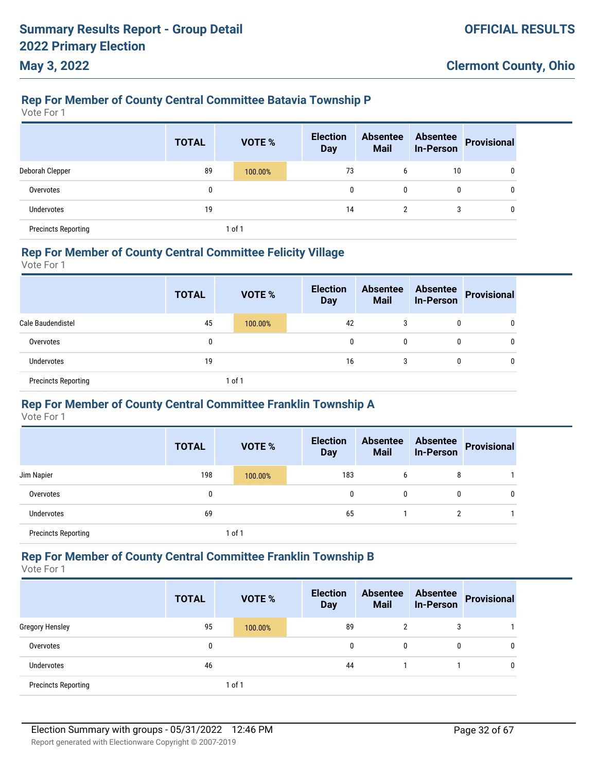# **Rep For Member of County Central Committee Batavia Township P**

Vote For 1

**May 3, 2022**

|                            | <b>TOTAL</b> | <b>VOTE %</b> | <b>Election</b><br><b>Day</b> | <b>Absentee</b><br><b>Mail</b> | <b>Absentee</b><br><b>In-Person</b> | Provisional |
|----------------------------|--------------|---------------|-------------------------------|--------------------------------|-------------------------------------|-------------|
| Deborah Clepper            | 89           | 100.00%       | 73                            | 6                              | 10                                  | 0           |
| Overvotes                  |              |               | 0                             | $\mathbf{0}$                   | $\mathbf{0}$                        | 0           |
| Undervotes                 | 19           |               | 14                            | 2                              | 3                                   | 0           |
| <b>Precincts Reporting</b> |              | 1 of 1        |                               |                                |                                     |             |

#### **Rep For Member of County Central Committee Felicity Village**

Vote For 1

|                            | <b>TOTAL</b> | <b>VOTE %</b> | <b>Election</b><br><b>Day</b> | <b>Absentee</b><br><b>Mail</b> | <b>Absentee</b><br><b>In-Person</b> | Provisional |
|----------------------------|--------------|---------------|-------------------------------|--------------------------------|-------------------------------------|-------------|
| Cale Baudendistel          | 45           | 100.00%       | 42                            | 3                              | 0                                   | 0           |
| Overvotes                  | 0            |               | 0                             | 0                              | $\mathbf{0}$                        |             |
| Undervotes                 | 19           |               | 16                            | 3                              | 0                                   | 0           |
| <b>Precincts Reporting</b> |              | 1 of 1        |                               |                                |                                     |             |

## **Rep For Member of County Central Committee Franklin Township A**

Vote For 1

|                            | <b>TOTAL</b> | <b>VOTE %</b> | <b>Election</b><br><b>Day</b> | <b>Absentee</b><br><b>Mail</b> | <b>Absentee</b><br><b>In-Person</b> | Provisional |
|----------------------------|--------------|---------------|-------------------------------|--------------------------------|-------------------------------------|-------------|
| Jim Napier                 | 198          | 100.00%       | 183                           | 6                              | 8                                   |             |
| Overvotes                  | 0            |               | 0                             | 0                              | 0                                   | 0           |
| Undervotes                 | 69           |               | 65                            |                                | 2                                   |             |
| <b>Precincts Reporting</b> |              | 1 of 1        |                               |                                |                                     |             |

### **Rep For Member of County Central Committee Franklin Township B**

|                            | <b>TOTAL</b> | <b>VOTE %</b> | <b>Election</b><br><b>Day</b> | <b>Absentee</b><br><b>Mail</b> | <b>Absentee</b><br><b>In-Person</b> | Provisional |
|----------------------------|--------------|---------------|-------------------------------|--------------------------------|-------------------------------------|-------------|
| <b>Gregory Hensley</b>     | 95           | 100.00%       | 89                            | 2                              | 3                                   |             |
| Overvotes                  | 0            |               | 0                             | $\mathbf{0}$                   | 0                                   | 0           |
| Undervotes                 | 46           |               | 44                            |                                |                                     | 0           |
| <b>Precincts Reporting</b> |              | 1 of 1        |                               |                                |                                     |             |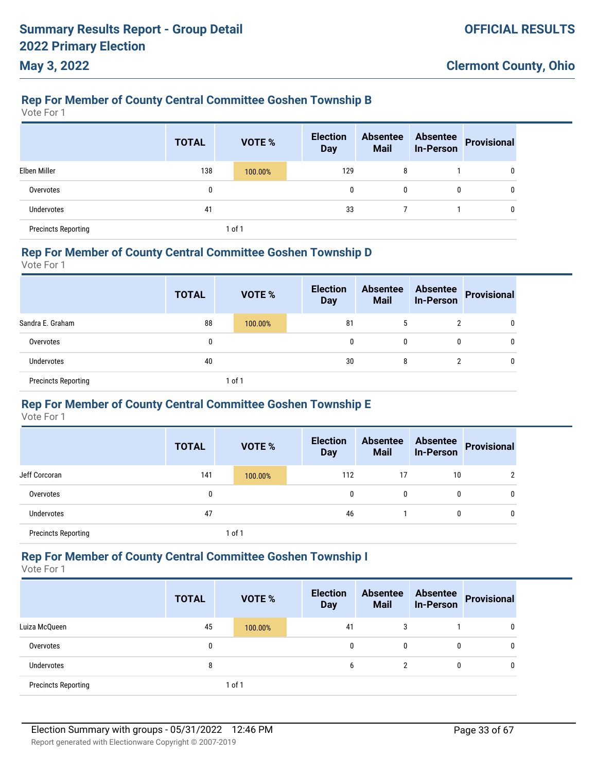# **Rep For Member of County Central Committee Goshen Township B**

Vote For 1

**May 3, 2022**

|                            | <b>TOTAL</b> | <b>VOTE %</b> | <b>Election</b><br><b>Day</b> | <b>Absentee</b><br><b>Mail</b> | <b>Absentee</b><br><b>In-Person</b> | Provisional |
|----------------------------|--------------|---------------|-------------------------------|--------------------------------|-------------------------------------|-------------|
| Elben Miller               | 138          | 100.00%       | 129                           | 8                              |                                     | 0           |
| Overvotes                  | 0            |               | 0                             | 0                              | $\mathbf{0}$                        | 0           |
| Undervotes                 | 41           |               | 33                            |                                |                                     | 0           |
| <b>Precincts Reporting</b> |              | 1 of 1        |                               |                                |                                     |             |

### **Rep For Member of County Central Committee Goshen Township D**

Vote For 1

|                            | <b>TOTAL</b> | <b>VOTE %</b> | <b>Election</b><br><b>Day</b> | <b>Absentee</b><br><b>Mail</b> | <b>Absentee</b><br><b>In-Person</b> | Provisional |
|----------------------------|--------------|---------------|-------------------------------|--------------------------------|-------------------------------------|-------------|
| Sandra E. Graham           | 88           | 100.00%       | 81                            | 5                              | 2                                   | 0           |
| Overvotes                  | 0            |               | 0                             | 0                              | $\mathbf{0}$                        | 0           |
| Undervotes                 | 40           |               | 30                            | 8                              | າ                                   | 0           |
| <b>Precincts Reporting</b> |              | 1 of 1        |                               |                                |                                     |             |

## **Rep For Member of County Central Committee Goshen Township E**

Vote For 1

|                            | <b>TOTAL</b> | VOTE %  | <b>Election</b><br><b>Day</b> | <b>Absentee</b><br><b>Mail</b> | <b>Absentee</b><br><b>In-Person</b> | <b>Provisional</b> |
|----------------------------|--------------|---------|-------------------------------|--------------------------------|-------------------------------------|--------------------|
| Jeff Corcoran              | 141          | 100.00% | 112                           | 17                             | 10                                  |                    |
| Overvotes                  | 0            |         | 0                             | 0                              | 0                                   | 0                  |
| Undervotes                 | 47           |         | 46                            |                                | 0                                   | 0                  |
| <b>Precincts Reporting</b> |              | 1 of 1  |                               |                                |                                     |                    |

### **Rep For Member of County Central Committee Goshen Township I**

|                            | <b>TOTAL</b> | <b>VOTE %</b> | <b>Election</b><br><b>Day</b> | <b>Absentee</b><br><b>Mail</b> | <b>Absentee</b><br><b>In-Person</b> | <b>Provisional</b> |
|----------------------------|--------------|---------------|-------------------------------|--------------------------------|-------------------------------------|--------------------|
| Luiza McQueen              | 45           | 100.00%       | 41                            | 3                              |                                     | 0                  |
| Overvotes                  | 0            |               | 0                             | 0                              | 0                                   | 0                  |
| Undervotes                 | 8            |               | 6                             | 2                              | 0                                   | 0                  |
| <b>Precincts Reporting</b> |              | 1 of 1        |                               |                                |                                     |                    |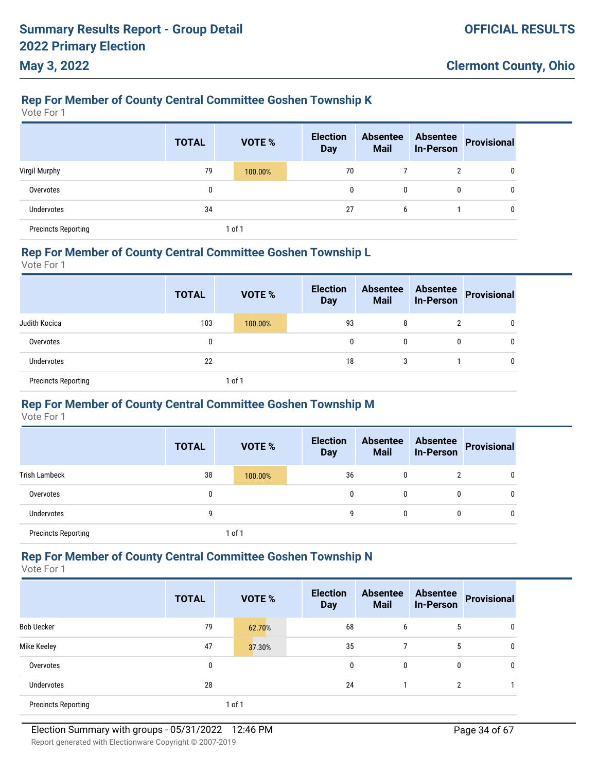# **Rep For Member of County Central Committee Goshen Township K**

Vote For 1

**May 3, 2022**

|                            | <b>TOTAL</b> | VOTE %  | <b>Election</b><br><b>Day</b> | <b>Absentee</b><br><b>Mail</b> | <b>Absentee</b><br><b>In-Person</b> | <b>Provisional</b> |
|----------------------------|--------------|---------|-------------------------------|--------------------------------|-------------------------------------|--------------------|
| Virgil Murphy              | 79           | 100.00% | 70                            |                                | 2                                   | 0                  |
| Overvotes                  | 0            |         | 0                             | 0                              | $\mathbf{0}$                        | 0                  |
| Undervotes                 | 34           |         | 27                            | 6                              |                                     | 0                  |
| <b>Precincts Reporting</b> |              | 1 of 1  |                               |                                |                                     |                    |

### **Rep For Member of County Central Committee Goshen Township L**

Vote For 1

|                            | <b>TOTAL</b> |        | <b>VOTE %</b> | <b>Election</b><br><b>Day</b> | <b>Absentee</b><br><b>Mail</b> | <b>Absentee</b><br><b>In-Person</b> | Provisional |
|----------------------------|--------------|--------|---------------|-------------------------------|--------------------------------|-------------------------------------|-------------|
| Judith Kocica              | 103          |        | 100.00%       | 93                            | 8                              | 2                                   | 0           |
| Overvotes                  | 0            |        |               | $\mathbf 0$                   | 0                              | 0                                   | 0           |
| <b>Undervotes</b>          | 22           |        |               | 18                            | 3                              |                                     | 0           |
| <b>Precincts Reporting</b> |              | 1 of 1 |               |                               |                                |                                     |             |

## **Rep For Member of County Central Committee Goshen Township M**

Vote For 1

|                            | <b>TOTAL</b> | VOTE %     | <b>Election</b><br><b>Day</b> | <b>Absentee</b><br><b>Mail</b> | <b>Absentee</b><br><b>In-Person</b> | Provisional |
|----------------------------|--------------|------------|-------------------------------|--------------------------------|-------------------------------------|-------------|
| <b>Trish Lambeck</b>       | 38           | 100.00%    | 36                            | 0                              | 2                                   |             |
| Overvotes                  | 0            |            | 0                             | 0                              | 0                                   |             |
| Undervotes                 | 9            |            | 9                             | 0                              | $\mathbf{0}$                        |             |
| <b>Precincts Reporting</b> |              | $1$ of $1$ |                               |                                |                                     |             |

### **Rep For Member of County Central Committee Goshen Township N**

|                            | <b>TOTAL</b> | VOTE % | <b>Election</b><br><b>Day</b> | <b>Absentee</b><br><b>Mail</b> | <b>Absentee</b><br><b>In-Person</b> | <b>Provisional</b> |
|----------------------------|--------------|--------|-------------------------------|--------------------------------|-------------------------------------|--------------------|
| <b>Bob Uecker</b>          | 79           | 62.70% | 68                            | 6                              | 5                                   | 0                  |
| Mike Keeley                | 47           | 37.30% | 35                            | 7                              | 5                                   | 0                  |
| Overvotes                  | 0            |        | 0                             | 0                              | 0                                   | 0                  |
| Undervotes                 | 28           |        | 24                            |                                | 2                                   |                    |
| <b>Precincts Reporting</b> |              | 1 of 1 |                               |                                |                                     |                    |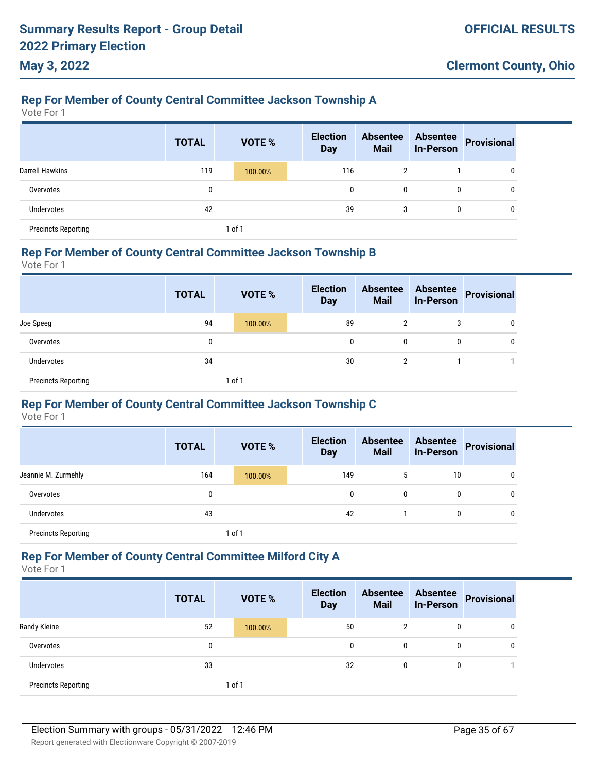# **Rep For Member of County Central Committee Jackson Township A**

Vote For 1

**May 3, 2022**

|                            | <b>TOTAL</b> | <b>VOTE %</b> | <b>Election</b><br><b>Day</b> | <b>Absentee</b><br><b>Mail</b> | <b>Absentee</b><br>In-Person | Provisional |
|----------------------------|--------------|---------------|-------------------------------|--------------------------------|------------------------------|-------------|
| <b>Darrell Hawkins</b>     | 119          | 100.00%       | 116                           | $\overline{2}$                 |                              | 0           |
| Overvotes                  | 0            |               | 0                             | 0                              | $\mathbf{0}$                 | 0           |
| Undervotes                 | 42           |               | 39                            | 3                              | 0                            | 0           |
| <b>Precincts Reporting</b> |              | $1$ of $1$    |                               |                                |                              |             |

#### **Rep For Member of County Central Committee Jackson Township B**

Vote For 1

|                            | <b>TOTAL</b> | <b>VOTE %</b> | <b>Election</b><br><b>Day</b> | <b>Absentee</b><br><b>Mail</b> | <b>Absentee</b><br><b>In-Person</b> | Provisional |
|----------------------------|--------------|---------------|-------------------------------|--------------------------------|-------------------------------------|-------------|
| Joe Speeg                  | 94           | 100.00%       | 89                            | 2                              | 3                                   | 0           |
| Overvotes                  | 0            |               | 0                             | 0                              | 0                                   | 0           |
| Undervotes                 | 34           |               | 30                            | 2                              |                                     |             |
| <b>Precincts Reporting</b> |              | 1 of 1        |                               |                                |                                     |             |

## **Rep For Member of County Central Committee Jackson Township C**

Vote For 1

|                            | <b>TOTAL</b> | <b>VOTE %</b> | <b>Election</b><br><b>Day</b> | <b>Absentee</b><br><b>Mail</b> | <b>Absentee</b><br><b>In-Person</b> | Provisional |
|----------------------------|--------------|---------------|-------------------------------|--------------------------------|-------------------------------------|-------------|
| Jeannie M. Zurmehly        | 164          | 100.00%       | 149                           | 5                              | 10                                  | 0           |
| Overvotes                  | 0            |               | $\mathbf{0}$                  | $\mathbf{0}$                   | 0                                   | 0           |
| Undervotes                 | 43           |               | 42                            |                                | 0                                   | 0           |
| <b>Precincts Reporting</b> |              | 1 of 1        |                               |                                |                                     |             |

## **Rep For Member of County Central Committee Milford City A**

|                            | <b>TOTAL</b> | <b>VOTE %</b> | <b>Election</b><br><b>Day</b> | <b>Absentee</b><br><b>Mail</b> | <b>Absentee</b><br><b>In-Person</b> | Provisional |
|----------------------------|--------------|---------------|-------------------------------|--------------------------------|-------------------------------------|-------------|
| Randy Kleine               | 52           | 100.00%       | 50                            | 2                              | $\mathbf{0}$                        | 0           |
| Overvotes                  | 0            |               | 0                             | 0                              | $\mathbf{0}$                        | 0           |
| Undervotes                 | 33           |               | 32                            | $\mathbf{0}$                   |                                     |             |
| <b>Precincts Reporting</b> |              | 1 of 1        |                               |                                |                                     |             |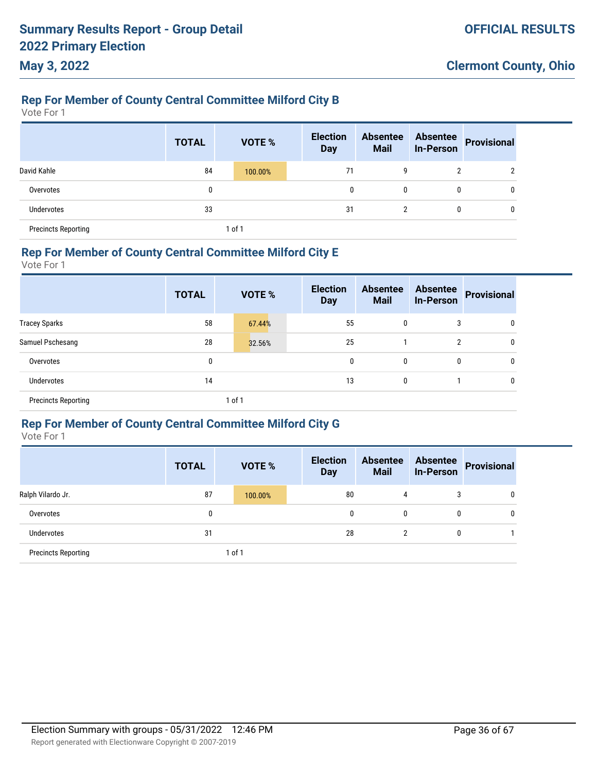# **Rep For Member of County Central Committee Milford City B**

Vote For 1

**May 3, 2022**

|                            | <b>TOTAL</b> |        | <b>VOTE %</b> | <b>Election</b><br><b>Day</b> | <b>Absentee</b><br><b>Mail</b> | <b>Absentee</b><br><b>In-Person</b> | <b>Provisional</b> |
|----------------------------|--------------|--------|---------------|-------------------------------|--------------------------------|-------------------------------------|--------------------|
| David Kahle                | 84           |        | 100.00%       | 71                            | 9                              | 2                                   | າ                  |
| Overvotes                  | 0            |        |               | $\mathbf{0}$                  | 0                              | 0                                   |                    |
| <b>Undervotes</b>          | 33           |        |               | 31                            | 2                              | 0                                   | 0                  |
| <b>Precincts Reporting</b> |              | 1 of 1 |               |                               |                                |                                     |                    |

#### **Rep For Member of County Central Committee Milford City E**

Vote For 1

|                            | <b>TOTAL</b> | <b>VOTE %</b> | <b>Election</b><br><b>Day</b> | <b>Absentee</b><br><b>Mail</b> | <b>Absentee</b><br><b>In-Person</b> | Provisional |
|----------------------------|--------------|---------------|-------------------------------|--------------------------------|-------------------------------------|-------------|
| <b>Tracey Sparks</b>       | 58           | 67.44%        | 55                            | 0                              | 3                                   | 0           |
| Samuel Pschesang           | 28           | 32.56%        | 25                            |                                | 2                                   | 0           |
| Overvotes                  | 0            |               | $\mathbf{0}$                  | 0                              | 0                                   | 0           |
| Undervotes                 | 14           |               | 13                            | 0                              |                                     | 0           |
| <b>Precincts Reporting</b> |              | 1 of 1        |                               |                                |                                     |             |

## **Rep For Member of County Central Committee Milford City G**

|                            | <b>TOTAL</b> |        | <b>VOTE %</b> | <b>Election</b><br><b>Day</b> | <b>Absentee</b><br><b>Mail</b> | <b>Absentee</b><br><b>In-Person</b> | <b>Provisional</b> |
|----------------------------|--------------|--------|---------------|-------------------------------|--------------------------------|-------------------------------------|--------------------|
| Ralph Vilardo Jr.          | 87           |        | 100.00%       | 80                            | 4                              | 3                                   | 0                  |
| Overvotes                  | 0            |        |               | 0                             | 0                              | 0                                   | 0                  |
| <b>Undervotes</b>          | 31           |        |               | 28                            | $\overline{2}$                 | 0                                   |                    |
| <b>Precincts Reporting</b> |              | 1 of 1 |               |                               |                                |                                     |                    |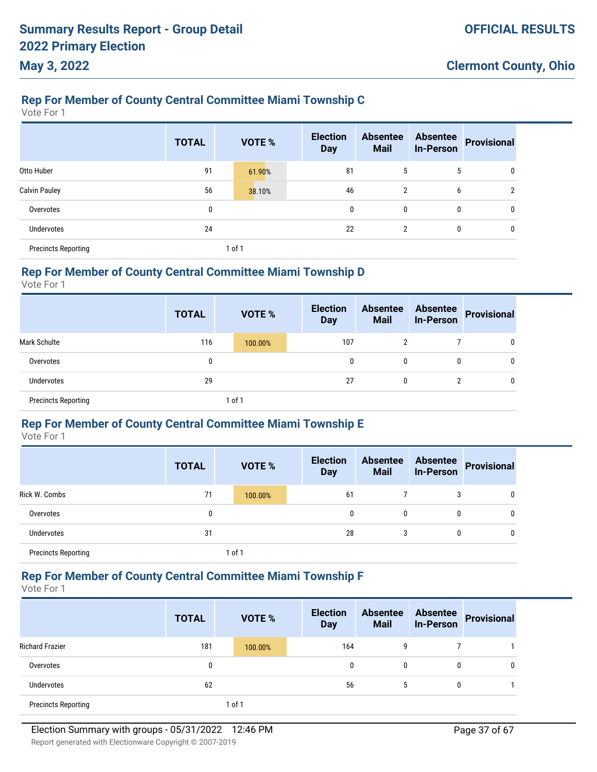# **Rep For Member of County Central Committee Miami Township C**

Vote For 1

|                            | <b>TOTAL</b> | VOTE % | <b>Election</b><br><b>Day</b> | <b>Absentee</b><br><b>Mail</b> | <b>Absentee</b><br><b>In-Person</b> | <b>Provisional</b> |
|----------------------------|--------------|--------|-------------------------------|--------------------------------|-------------------------------------|--------------------|
| Otto Huber                 | 91           | 61.90% | 81                            | 5                              | 5                                   | 0                  |
| <b>Calvin Pauley</b>       | 56           | 38.10% | 46                            | 2                              | 6                                   | $\mathcal{P}$      |
| Overvotes                  | 0            |        | $\mathbf 0$                   | 0                              | 0                                   | 0                  |
| Undervotes                 | 24           |        | 22                            | 2                              | 0                                   | 0                  |
| <b>Precincts Reporting</b> |              | 1 of 1 |                               |                                |                                     |                    |

## **Rep For Member of County Central Committee Miami Township D**

Vote For 1

|                            | <b>TOTAL</b> | <b>VOTE %</b> | <b>Election</b><br><b>Day</b> | <b>Absentee</b><br><b>Mail</b> | <b>Absentee</b><br><b>In-Person</b> | Provisional |
|----------------------------|--------------|---------------|-------------------------------|--------------------------------|-------------------------------------|-------------|
| Mark Schulte               | 116          | 100.00%       | 107                           | 2                              |                                     | 0           |
| Overvotes                  | 0            |               | $\mathbf{0}$                  | 0                              | 0                                   | 0           |
| Undervotes                 | 29           |               | 27                            | 0                              | 2                                   | 0           |
| <b>Precincts Reporting</b> |              | 1 of 1        |                               |                                |                                     |             |

## **Rep For Member of County Central Committee Miami Township E**

Vote For 1

|                            | <b>TOTAL</b> | VOTE %  | <b>Election</b><br><b>Day</b> | <b>Absentee</b><br><b>Mail</b> | <b>Absentee</b><br><b>In-Person</b> | <b>Provisional</b> |
|----------------------------|--------------|---------|-------------------------------|--------------------------------|-------------------------------------|--------------------|
| Rick W. Combs              | 71           | 100.00% | 61                            |                                | 3                                   |                    |
| Overvotes                  | 0            |         | 0                             | $\mathbf{0}$                   | 0                                   |                    |
| <b>Undervotes</b>          | 31           |         | 28                            | 3                              | 0                                   |                    |
| <b>Precincts Reporting</b> |              | 1 of 1  |                               |                                |                                     |                    |

## **Rep For Member of County Central Committee Miami Township F**

Vote For 1

|                            | <b>TOTAL</b> | <b>VOTE %</b> | <b>Election</b><br><b>Day</b> | <b>Absentee</b><br><b>Mail</b> | <b>Absentee</b><br><b>In-Person</b> | Provisional |
|----------------------------|--------------|---------------|-------------------------------|--------------------------------|-------------------------------------|-------------|
| <b>Richard Frazier</b>     | 181          | 100.00%       | 164                           | 9                              |                                     |             |
| Overvotes                  | 0            |               | 0                             | 0                              | $\mathbf{0}$                        |             |
| <b>Undervotes</b>          | 62           |               | 56                            | 5                              | 0                                   |             |
| <b>Precincts Reporting</b> |              | 1 of 1        |                               |                                |                                     |             |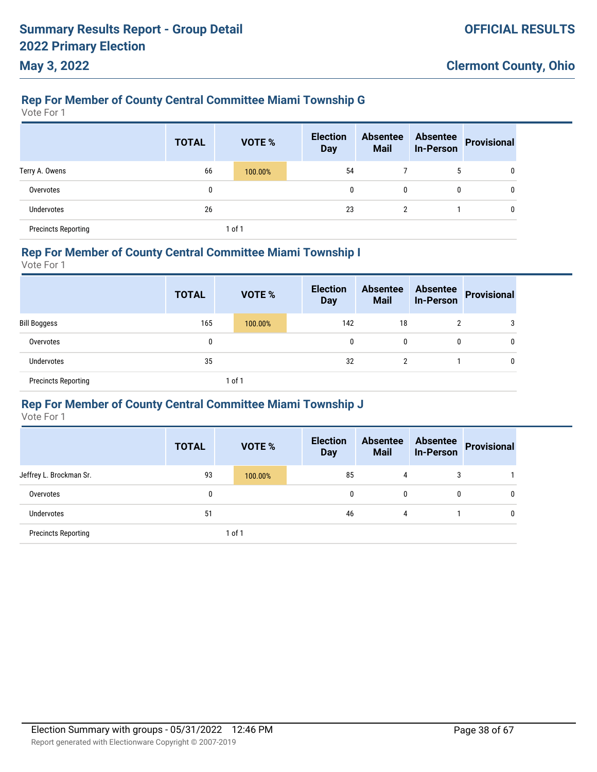# **Rep For Member of County Central Committee Miami Township G**

Vote For 1

**May 3, 2022**

|                            | <b>TOTAL</b> | <b>VOTE %</b> | <b>Election</b><br><b>Day</b> | <b>Absentee</b><br><b>Mail</b> | <b>Absentee</b><br><b>In-Person</b> | <b>Provisional</b> |
|----------------------------|--------------|---------------|-------------------------------|--------------------------------|-------------------------------------|--------------------|
| Terry A. Owens             | 66           | 100.00%       | 54                            |                                | 5                                   | 0                  |
| Overvotes                  | 0            |               | 0                             | 0                              | 0                                   | 0                  |
| Undervotes                 | 26           |               | 23                            | $\overline{2}$                 |                                     | 0                  |
| <b>Precincts Reporting</b> |              | 1 of 1        |                               |                                |                                     |                    |

#### **Rep For Member of County Central Committee Miami Township I**

Vote For 1

|                            | <b>TOTAL</b> |         | <b>VOTE %</b> |     | <b>Absentee</b><br><b>Mail</b> | <b>Absentee</b><br><b>In-Person</b> | Provisional |
|----------------------------|--------------|---------|---------------|-----|--------------------------------|-------------------------------------|-------------|
| <b>Bill Boggess</b>        | 165          | 100.00% |               | 142 | 18                             | າ                                   | 3           |
| Overvotes                  | 0            |         |               | 0   | 0                              | 0                                   | 0           |
| Undervotes                 | 35           |         |               | 32  | 2                              |                                     | 0           |
| <b>Precincts Reporting</b> |              | l of 1  |               |     |                                |                                     |             |

## **Rep For Member of County Central Committee Miami Township J**

|                            | <b>TOTAL</b> | <b>VOTE %</b> | <b>Election</b><br><b>Day</b> | <b>Absentee</b><br><b>Mail</b> | <b>Absentee</b><br><b>In-Person</b> | <b>Provisional</b> |
|----------------------------|--------------|---------------|-------------------------------|--------------------------------|-------------------------------------|--------------------|
| Jeffrey L. Brockman Sr.    | 93           | 100.00%       | 85                            | 4                              |                                     |                    |
| Overvotes                  | 0            |               | 0                             | 0                              |                                     | 0                  |
| <b>Undervotes</b>          | 51           |               | 46                            | 4                              |                                     | 0                  |
| <b>Precincts Reporting</b> |              | 1 of 1        |                               |                                |                                     |                    |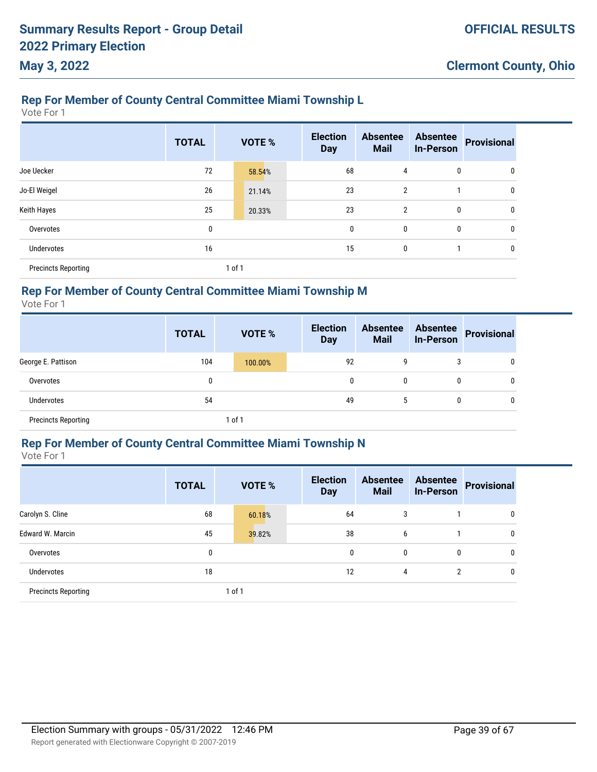# **Rep For Member of County Central Committee Miami Township L**

Vote For 1

|                            | <b>TOTAL</b> | <b>VOTE %</b> | <b>Election</b><br><b>Day</b> | <b>Absentee</b><br><b>Mail</b> | <b>Absentee</b><br><b>In-Person</b> | <b>Provisional</b> |
|----------------------------|--------------|---------------|-------------------------------|--------------------------------|-------------------------------------|--------------------|
| Joe Uecker                 | 72           | 58.54%        | 68                            | 4                              | 0                                   | 0                  |
| Jo-El Weigel               | 26           | 21.14%        | 23                            | $\overline{2}$                 |                                     | 0                  |
| Keith Hayes                | 25           | 20.33%        | 23                            | $\overline{2}$                 | $\mathbf{0}$                        | $\mathbf{0}$       |
| Overvotes                  | 0            |               | 0                             | 0                              | 0                                   | 0                  |
| Undervotes                 | 16           |               | 15                            | $\bf{0}$                       |                                     | 0                  |
| <b>Precincts Reporting</b> |              | 1 of 1        |                               |                                |                                     |                    |

## **Rep For Member of County Central Committee Miami Township M**

Vote For 1

|                            | <b>TOTAL</b> | <b>VOTE %</b> | <b>Election</b><br><b>Day</b> | <b>Absentee</b><br><b>Mail</b> | <b>Absentee</b><br><b>In-Person</b> | <b>Provisional</b> |
|----------------------------|--------------|---------------|-------------------------------|--------------------------------|-------------------------------------|--------------------|
| George E. Pattison         | 104          | 100.00%       | 92                            | 9                              | 3                                   | 0                  |
| Overvotes                  | 0            |               | 0                             | 0                              | 0                                   | 0                  |
| <b>Undervotes</b>          | 54           |               | 49                            | 5                              | 0                                   | 0                  |
| <b>Precincts Reporting</b> |              | 1 of 1        |                               |                                |                                     |                    |

## **Rep For Member of County Central Committee Miami Township N**

Vote For 1

|                            | <b>TOTAL</b> | <b>VOTE %</b> | <b>Election</b><br><b>Day</b> | <b>Absentee</b><br><b>Mail</b> | <b>Absentee</b><br><b>In-Person</b> | <b>Provisional</b> |
|----------------------------|--------------|---------------|-------------------------------|--------------------------------|-------------------------------------|--------------------|
| Carolyn S. Cline           | 68           | 60.18%        | 64                            | 3                              |                                     | 0                  |
| Edward W. Marcin           | 45           | 39.82%        | 38                            | 6                              |                                     | 0                  |
| Overvotes                  | 0            |               | 0                             | 0                              | 0                                   | 0                  |
| <b>Undervotes</b>          | 18           |               | 12                            | 4                              | $\overline{2}$                      | 0                  |
| <b>Precincts Reporting</b> |              | 1 of 1        |                               |                                |                                     |                    |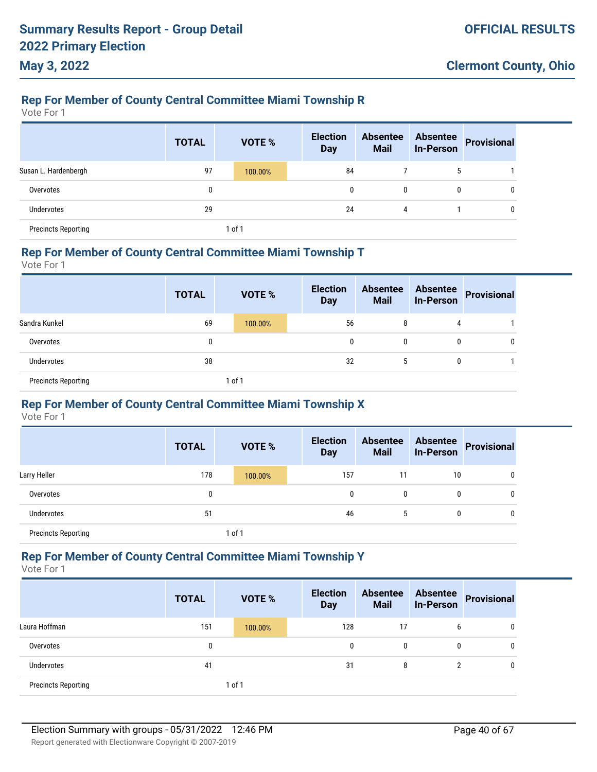# **Rep For Member of County Central Committee Miami Township R**

Vote For 1

**May 3, 2022**

|                            | <b>TOTAL</b> | <b>VOTE %</b> | <b>Election</b><br><b>Day</b> | <b>Absentee</b><br><b>Mail</b> | <b>Absentee</b><br><b>In-Person</b> | Provisional |
|----------------------------|--------------|---------------|-------------------------------|--------------------------------|-------------------------------------|-------------|
| Susan L. Hardenbergh       | 97           | 100.00%       | 84                            |                                | 5                                   |             |
| Overvotes                  |              |               | 0                             | $\mathbf{0}$                   | $\mathbf{0}$                        | 0           |
| Undervotes                 | 29           |               | 24                            | 4                              |                                     | 0           |
| <b>Precincts Reporting</b> |              | 1 of 1        |                               |                                |                                     |             |

#### **Rep For Member of County Central Committee Miami Township T**

Vote For 1

|                            | <b>TOTAL</b> | <b>VOTE %</b> | <b>Election</b><br><b>Day</b> | <b>Absentee</b><br><b>Mail</b> | <b>Absentee</b><br><b>In-Person</b> | Provisional |
|----------------------------|--------------|---------------|-------------------------------|--------------------------------|-------------------------------------|-------------|
| Sandra Kunkel              | 69           | 100.00%       | 56                            | 8                              | 4                                   |             |
| Overvotes                  | 0            |               | 0                             | 0                              | 0                                   | 0           |
| <b>Undervotes</b>          | 38           |               | 32                            | ა                              | 0                                   |             |
| <b>Precincts Reporting</b> |              | 1 of 1        |                               |                                |                                     |             |

## **Rep For Member of County Central Committee Miami Township X**

Vote For 1

|                            | <b>TOTAL</b> | VOTE %     | <b>Election</b><br><b>Day</b> | <b>Absentee</b><br><b>Mail</b> | <b>Absentee</b><br><b>In-Person</b> | Provisional |
|----------------------------|--------------|------------|-------------------------------|--------------------------------|-------------------------------------|-------------|
| Larry Heller               | 178          | 100.00%    | 157                           | 11                             | 10                                  | 0           |
| Overvotes                  | 0            |            | 0                             | 0                              | 0                                   |             |
| Undervotes                 | 51           |            | 46                            | 5                              | 0                                   | 0           |
| <b>Precincts Reporting</b> |              | $1$ of $1$ |                               |                                |                                     |             |

## **Rep For Member of County Central Committee Miami Township Y**

|                            | <b>TOTAL</b> | VOTE %  | <b>Election</b><br><b>Day</b> | <b>Absentee</b><br><b>Mail</b> | <b>Absentee</b><br><b>In-Person</b> | <b>Provisional</b> |
|----------------------------|--------------|---------|-------------------------------|--------------------------------|-------------------------------------|--------------------|
| Laura Hoffman              | 151          | 100.00% | 128                           | 17                             | 6                                   | 0                  |
| Overvotes                  | 0            |         | $\mathbf{0}$                  | $\mathbf{0}$                   | 0                                   | 0                  |
| <b>Undervotes</b>          | 41           |         | 31                            | 8                              | 2                                   | 0                  |
| <b>Precincts Reporting</b> |              | 1 of 1  |                               |                                |                                     |                    |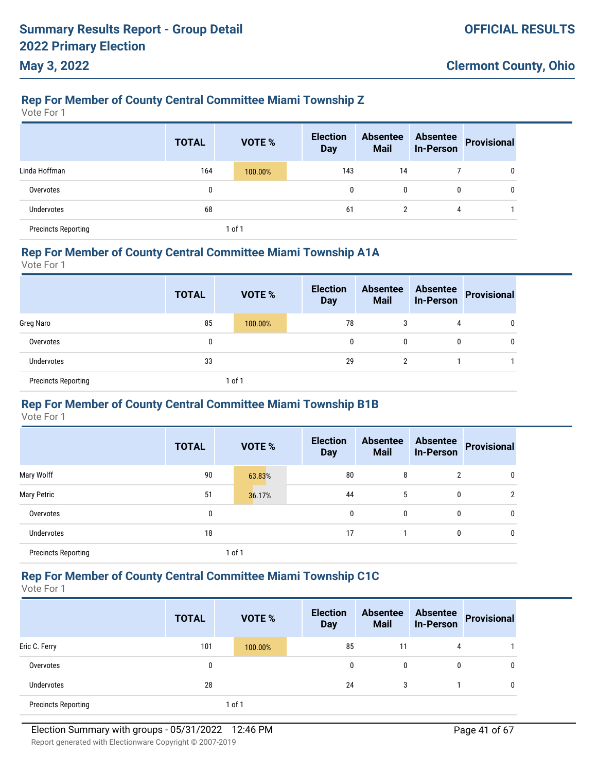# **Rep For Member of County Central Committee Miami Township Z**

Vote For 1

**May 3, 2022**

|                            | <b>TOTAL</b> | <b>VOTE %</b> | <b>Election</b><br><b>Day</b> | <b>Absentee</b><br><b>Mail</b> | <b>Absentee</b><br><b>In-Person</b> | <b>Provisional</b> |
|----------------------------|--------------|---------------|-------------------------------|--------------------------------|-------------------------------------|--------------------|
| Linda Hoffman              | 164          | 100.00%       | 143                           | 14                             |                                     | 0                  |
| Overvotes                  | 0            |               | 0                             | 0                              | 0                                   |                    |
| <b>Undervotes</b>          | 68           |               | 61                            | 2                              | 4                                   |                    |
| <b>Precincts Reporting</b> |              | 1 of 1        |                               |                                |                                     |                    |

#### **Rep For Member of County Central Committee Miami Township A1A**

Vote For 1

|                            | <b>TOTAL</b> | <b>VOTE %</b> | <b>Election</b><br><b>Day</b> | <b>Absentee</b><br><b>Mail</b> | <b>Absentee</b><br><b>In-Person</b> | Provisional  |
|----------------------------|--------------|---------------|-------------------------------|--------------------------------|-------------------------------------|--------------|
| Greg Naro                  | 85           | 100.00%       | 78                            | 3                              | 4                                   | $\mathbf{0}$ |
| Overvotes                  | 0            |               | 0                             | 0                              | 0                                   | 0            |
| <b>Undervotes</b>          | 33           |               | 29                            | 2                              |                                     |              |
| <b>Precincts Reporting</b> |              | $ $ of 1      |                               |                                |                                     |              |

## **Rep For Member of County Central Committee Miami Township B1B**

Vote For 1

|                            | <b>TOTAL</b> | <b>VOTE %</b> | <b>Election</b><br><b>Day</b> | <b>Absentee</b><br><b>Mail</b> | <b>Absentee</b><br><b>In-Person</b> | <b>Provisional</b> |
|----------------------------|--------------|---------------|-------------------------------|--------------------------------|-------------------------------------|--------------------|
| Mary Wolff                 | 90           | 63.83%        | 80                            | 8                              | $\overline{2}$                      | 0                  |
| <b>Mary Petric</b>         | 51           | 36.17%        | 44                            | 5                              | 0                                   |                    |
| Overvotes                  | 0            |               | 0                             | 0                              | 0                                   |                    |
| <b>Undervotes</b>          | 18           |               | 17                            |                                | 0                                   |                    |
| <b>Precincts Reporting</b> |              | 1 of 1        |                               |                                |                                     |                    |

## **Rep For Member of County Central Committee Miami Township C1C**

Vote For 1

|                            | <b>TOTAL</b> | <b>VOTE %</b> | <b>Election</b><br><b>Day</b> | <b>Absentee</b><br><b>Mail</b> | <b>Absentee</b><br><b>In-Person</b> | Provisional |
|----------------------------|--------------|---------------|-------------------------------|--------------------------------|-------------------------------------|-------------|
| Eric C. Ferry              | 101          | 100.00%       | 85                            | 11                             | 4                                   |             |
| Overvotes                  | $\mathbf{0}$ |               | $\mathbf{0}$                  | 0                              | 0                                   | 0           |
| <b>Undervotes</b>          | 28           |               | 24                            | 3                              |                                     | 0           |
| <b>Precincts Reporting</b> |              | 1 of 1        |                               |                                |                                     |             |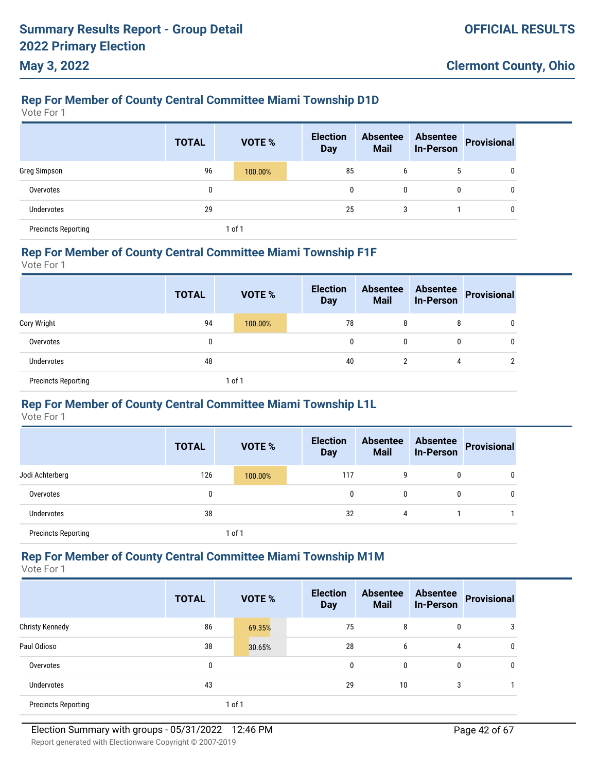# **Rep For Member of County Central Committee Miami Township D1D**

Vote For 1

**May 3, 2022**

|                            | <b>TOTAL</b> | <b>VOTE %</b> | <b>Election</b><br><b>Day</b> | <b>Absentee</b><br><b>Mail</b> | <b>Absentee</b><br><b>In-Person</b> | <b>Provisional</b> |
|----------------------------|--------------|---------------|-------------------------------|--------------------------------|-------------------------------------|--------------------|
| Greg Simpson               | 96           | 100.00%       | 85                            | 6                              | 5                                   | 0                  |
| Overvotes                  | 0            |               | 0                             | $\mathbf{0}$                   | 0                                   | 0                  |
| Undervotes                 | 29           |               | 25                            | 3                              |                                     | 0                  |
| <b>Precincts Reporting</b> |              | 1 of 1        |                               |                                |                                     |                    |

### **Rep For Member of County Central Committee Miami Township F1F**

Vote For 1

|                            | <b>TOTAL</b> | <b>VOTE %</b> | <b>Election</b><br><b>Day</b> | <b>Absentee</b><br><b>Mail</b> | <b>Absentee</b><br><b>In-Person</b> | Provisional |
|----------------------------|--------------|---------------|-------------------------------|--------------------------------|-------------------------------------|-------------|
| Cory Wright                | 94           | 100.00%       | 78                            | 8                              | 8                                   | 0           |
| Overvotes                  | 0            |               | 0                             | 0                              | 0                                   | 0           |
| <b>Undervotes</b>          | 48           |               | 40                            | 2                              | 4                                   | C           |
| <b>Precincts Reporting</b> |              | 1 of 1        |                               |                                |                                     |             |

## **Rep For Member of County Central Committee Miami Township L1L**

Vote For 1

|                            | <b>TOTAL</b> |        | <b>VOTE %</b> | <b>Election</b><br><b>Day</b> | <b>Absentee</b><br><b>Mail</b> | <b>Absentee</b><br><b>In-Person</b> | <b>Provisional</b> |
|----------------------------|--------------|--------|---------------|-------------------------------|--------------------------------|-------------------------------------|--------------------|
| Jodi Achterberg            | 126          |        | 100.00%       | 117                           | 9                              | 0                                   |                    |
| Overvotes                  | 0            |        |               |                               | 0                              | 0                                   |                    |
| <b>Undervotes</b>          | 38           |        |               | 32                            | 4                              |                                     |                    |
| <b>Precincts Reporting</b> |              | 1 of 1 |               |                               |                                |                                     |                    |

### **Rep For Member of County Central Committee Miami Township M1M**

|                            | <b>TOTAL</b> | VOTE % | <b>Election</b><br><b>Day</b> | <b>Absentee</b><br><b>Mail</b> | <b>Absentee</b><br><b>In-Person</b> | <b>Provisional</b> |
|----------------------------|--------------|--------|-------------------------------|--------------------------------|-------------------------------------|--------------------|
| <b>Christy Kennedy</b>     | 86           | 69.35% | 75                            | 8                              | 0                                   | 3                  |
| Paul Odioso                | 38           | 30.65% | 28                            | 6                              | 4                                   | 0                  |
| Overvotes                  | 0            |        | 0                             | 0                              | 0                                   | 0                  |
| Undervotes                 | 43           |        | 29                            | 10                             | 3                                   |                    |
| <b>Precincts Reporting</b> |              | 1 of 1 |                               |                                |                                     |                    |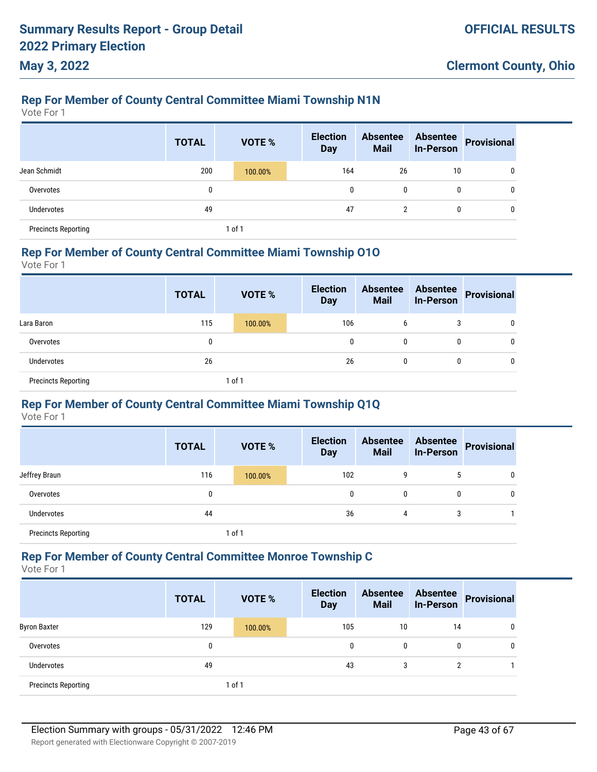# **Rep For Member of County Central Committee Miami Township N1N**

Vote For 1

**May 3, 2022**

|                            | <b>TOTAL</b> | <b>VOTE %</b> | <b>Election</b><br><b>Day</b> | <b>Absentee</b><br><b>Mail</b> | <b>Absentee</b><br><b>In-Person</b> | Provisional |
|----------------------------|--------------|---------------|-------------------------------|--------------------------------|-------------------------------------|-------------|
| Jean Schmidt               | 200          | 100.00%       | 164                           | 26                             | 10                                  | 0           |
| Overvotes                  | 0            |               | 0                             | 0                              | $\mathbf{0}$                        | 0           |
| Undervotes                 | 49           |               | 47                            | $\overline{2}$                 | 0                                   | 0           |
| <b>Precincts Reporting</b> |              | 1 of 1        |                               |                                |                                     |             |

#### **Rep For Member of County Central Committee Miami Township O1O**

Vote For 1

|                            | <b>TOTAL</b> | <b>VOTE %</b> | <b>Election</b><br><b>Day</b> | <b>Absentee</b><br><b>Mail</b> | <b>Absentee</b><br><b>In-Person</b> | Provisional |
|----------------------------|--------------|---------------|-------------------------------|--------------------------------|-------------------------------------|-------------|
| Lara Baron                 | 115          | 100.00%       | 106                           | b                              | 3                                   | 0           |
| Overvotes                  | 0            |               | 0                             | 0                              | 0                                   | 0           |
| Undervotes                 | 26           |               | 26                            | 0                              | $\mathbf{0}$                        | 0           |
| <b>Precincts Reporting</b> |              | 1 of 1        |                               |                                |                                     |             |

## **Rep For Member of County Central Committee Miami Township Q1Q**

Vote For 1

|                            | <b>TOTAL</b> |            | <b>VOTE %</b> | <b>Election</b><br><b>Day</b> | <b>Absentee</b><br><b>Mail</b> | <b>Absentee</b><br><b>In-Person</b> | Provisional |
|----------------------------|--------------|------------|---------------|-------------------------------|--------------------------------|-------------------------------------|-------------|
| Jeffrey Braun              | 116          |            | 100.00%       | 102                           | 9                              | 5                                   | 0           |
| Overvotes                  | 0            |            |               | 0                             | 0                              | 0                                   | 0           |
| Undervotes                 | 44           |            |               | 36                            | 4                              | 3                                   |             |
| <b>Precincts Reporting</b> |              | $1$ of $1$ |               |                               |                                |                                     |             |

### **Rep For Member of County Central Committee Monroe Township C**

|                            | <b>TOTAL</b> | <b>VOTE %</b> | <b>Election</b><br><b>Day</b> | <b>Absentee</b><br><b>Mail</b> | <b>Absentee</b><br><b>In-Person</b> | Provisional |
|----------------------------|--------------|---------------|-------------------------------|--------------------------------|-------------------------------------|-------------|
| <b>Byron Baxter</b>        | 129          | 100.00%       | 105                           | 10                             | 14                                  |             |
| Overvotes                  | 0            |               | 0                             | 0                              | 0                                   |             |
| Undervotes                 | 49           |               | 43                            | 3                              | $\overline{2}$                      |             |
| <b>Precincts Reporting</b> |              | 1 of 1        |                               |                                |                                     |             |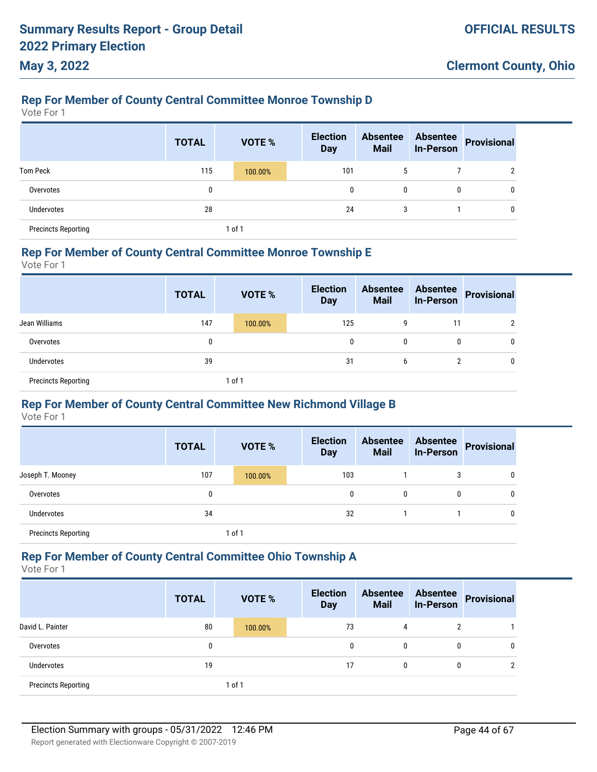# **Rep For Member of County Central Committee Monroe Township D**

Vote For 1

**May 3, 2022**

|                            | <b>TOTAL</b> | <b>VOTE %</b> | <b>Election</b><br><b>Day</b> | <b>Absentee</b><br><b>Mail</b> | <b>Absentee</b><br><b>In-Person</b> | <b>Provisional</b> |
|----------------------------|--------------|---------------|-------------------------------|--------------------------------|-------------------------------------|--------------------|
| <b>Tom Peck</b>            | 115          | 100.00%       | 101                           | 5                              |                                     | $\overline{2}$     |
| Overvotes                  | 0            |               | 0                             | $\mathbf{0}$                   | 0                                   | 0                  |
| Undervotes                 | 28           |               | 24                            | 3                              |                                     | 0                  |
| <b>Precincts Reporting</b> |              | 1 of 1        |                               |                                |                                     |                    |

### **Rep For Member of County Central Committee Monroe Township E**

Vote For 1

|                            | <b>TOTAL</b> | <b>VOTE %</b> | <b>Election</b><br><b>Day</b> | <b>Absentee</b><br><b>Mail</b> | <b>In-Person</b> | <b>Absentee Provisional</b> |
|----------------------------|--------------|---------------|-------------------------------|--------------------------------|------------------|-----------------------------|
| Jean Williams              | 147          | 100.00%       | 125                           | 9                              | 11               | າ                           |
| Overvotes                  | 0            |               | $\mathbf{0}$                  | 0                              | $\mathbf{0}$     | 0                           |
| Undervotes                 | 39           |               | 31                            | b                              | C                | 0                           |
| <b>Precincts Reporting</b> |              | 1 of 1        |                               |                                |                  |                             |

## **Rep For Member of County Central Committee New Richmond Village B**

Vote For 1

|                            | <b>TOTAL</b> | VOTE %  | <b>Election</b><br><b>Day</b> | <b>Absentee</b><br><b>Mail</b> | <b>Absentee</b><br><b>In-Person</b> | <b>Provisional</b> |
|----------------------------|--------------|---------|-------------------------------|--------------------------------|-------------------------------------|--------------------|
| Joseph T. Mooney           | 107          | 100.00% | 103                           |                                | 3                                   | 0                  |
| Overvotes                  | 0            |         | 0                             | 0                              | 0                                   | 0                  |
| <b>Undervotes</b>          | 34           |         | 32                            |                                |                                     | 0                  |
| <b>Precincts Reporting</b> |              | 1 of 1  |                               |                                |                                     |                    |

### **Rep For Member of County Central Committee Ohio Township A**

|                            | <b>TOTAL</b> | VOTE %  | <b>Election</b><br><b>Day</b> | <b>Absentee</b><br><b>Mail</b> | <b>Absentee</b><br><b>In-Person</b> | Provisional |
|----------------------------|--------------|---------|-------------------------------|--------------------------------|-------------------------------------|-------------|
| David L. Painter           | 80           | 100.00% | 73                            | 4                              | າ                                   |             |
| Overvotes                  | 0            |         | 0                             | 0                              | 0                                   |             |
| <b>Undervotes</b>          | 19           |         | 17                            | 0                              | 0                                   |             |
| <b>Precincts Reporting</b> |              | 1 of 1  |                               |                                |                                     |             |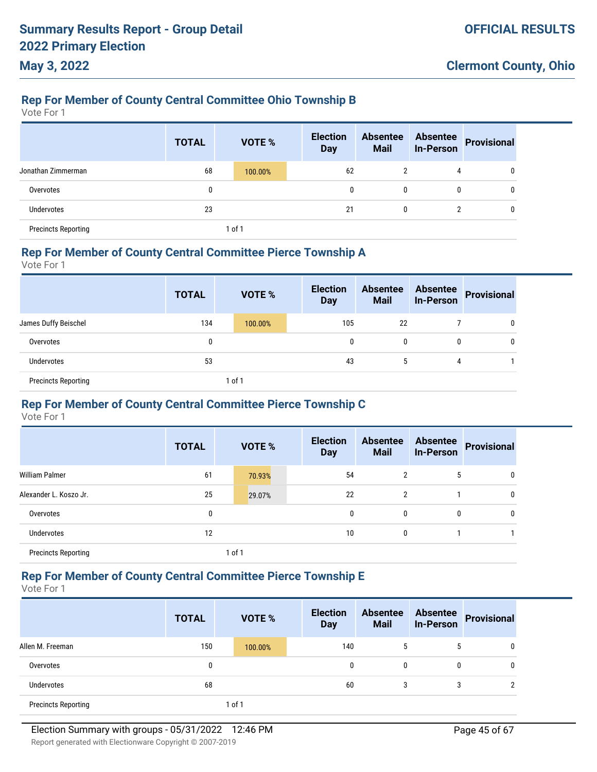# **Rep For Member of County Central Committee Ohio Township B**

Vote For 1

**May 3, 2022**

|                            | <b>TOTAL</b> | <b>VOTE %</b> | <b>Election</b><br><b>Day</b> | <b>Absentee</b><br><b>Mail</b> | <b>Absentee</b><br><b>In-Person</b> | <b>Provisional</b> |
|----------------------------|--------------|---------------|-------------------------------|--------------------------------|-------------------------------------|--------------------|
| Jonathan Zimmerman         | 68           | 100.00%       | 62                            | 2                              | 4                                   | 0                  |
| Overvotes                  | 0            |               | $\mathbf{0}$                  | $\mathbf{0}$                   | 0                                   | 0                  |
| Undervotes                 | 23           |               | 21                            | 0                              | າ                                   | 0                  |
| <b>Precincts Reporting</b> |              | 1 of 1        |                               |                                |                                     |                    |

### **Rep For Member of County Central Committee Pierce Township A**

Vote For 1

|                            | <b>TOTAL</b> | <b>VOTE %</b> | <b>Election</b><br><b>Day</b> | <b>Absentee</b><br><b>Mail</b> | <b>Absentee</b><br><b>In-Person</b> | Provisional |
|----------------------------|--------------|---------------|-------------------------------|--------------------------------|-------------------------------------|-------------|
| James Duffy Beischel       | 134          | 100.00%       | 105                           | 22                             |                                     | 0           |
| Overvotes                  | 0            |               | 0                             | 0                              | 0                                   | 0           |
| <b>Undervotes</b>          | 53           |               | 43                            | ა                              | 4                                   |             |
| <b>Precincts Reporting</b> |              | 1 of 1        |                               |                                |                                     |             |

# **Rep For Member of County Central Committee Pierce Township C**

Vote For 1

|                            | <b>TOTAL</b> | <b>VOTE %</b> | <b>Election</b><br><b>Day</b> | <b>Absentee</b><br><b>Mail</b> | <b>Absentee</b><br><b>In-Person</b> | <b>Provisional</b> |
|----------------------------|--------------|---------------|-------------------------------|--------------------------------|-------------------------------------|--------------------|
| <b>William Palmer</b>      | 61           | 70.93%        | 54                            | 2                              | 5                                   | 0                  |
| Alexander L. Koszo Jr.     | 25           | 29.07%        | 22                            | 2                              |                                     | 0                  |
| Overvotes                  | 0            |               | 0                             | $\mathbf{0}$                   | 0                                   | 0                  |
| <b>Undervotes</b>          | 12           |               | 10                            | 0                              |                                     |                    |
| <b>Precincts Reporting</b> |              | 1 of 1        |                               |                                |                                     |                    |

## **Rep For Member of County Central Committee Pierce Township E**

|                            | <b>TOTAL</b> | <b>VOTE %</b> | <b>Election</b><br><b>Day</b> | <b>Absentee</b><br><b>Mail</b> | <b>Absentee</b><br><b>In-Person</b> | <b>Provisional</b> |
|----------------------------|--------------|---------------|-------------------------------|--------------------------------|-------------------------------------|--------------------|
| Allen M. Freeman           | 150          | 100.00%       | 140                           | 5                              | 5                                   | 0                  |
| Overvotes                  | 0            |               | 0                             | 0                              | 0                                   | 0                  |
| Undervotes                 | 68           |               | 60                            | 3                              | 3                                   | C<br>▵             |
| <b>Precincts Reporting</b> |              | 1 of 1        |                               |                                |                                     |                    |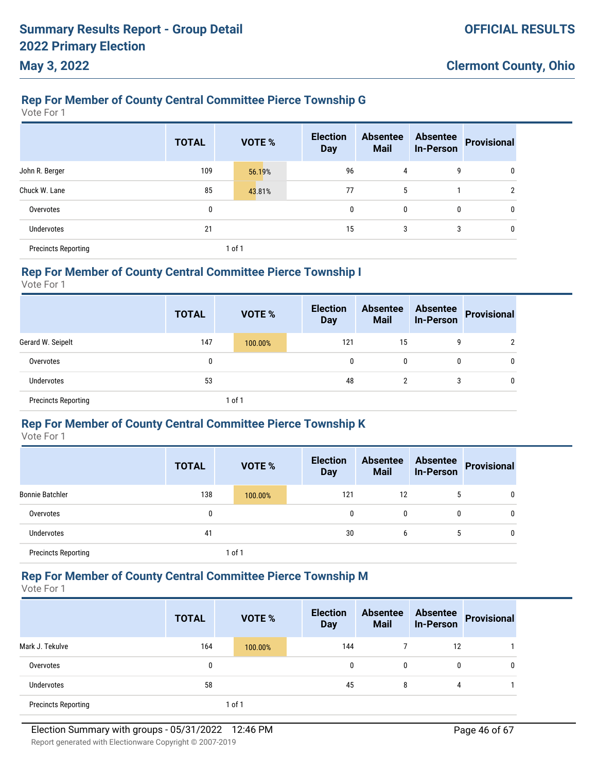# **Rep For Member of County Central Committee Pierce Township G**

Vote For 1

|                            | <b>TOTAL</b> | <b>VOTE %</b> | <b>Election</b><br><b>Day</b> | <b>Absentee</b><br><b>Mail</b> | <b>Absentee</b><br><b>In-Person</b> | Provisional    |
|----------------------------|--------------|---------------|-------------------------------|--------------------------------|-------------------------------------|----------------|
| John R. Berger             | 109          | 56.19%        | 96                            | 4                              | 9                                   | 0              |
| Chuck W. Lane              | 85           | 43.81%        | 77                            | 5                              |                                     | $\overline{2}$ |
| Overvotes                  | 0            |               | 0                             | 0                              | 0                                   | 0              |
| <b>Undervotes</b>          | 21           |               | 15                            | 3                              | 3                                   | 0              |
| <b>Precincts Reporting</b> |              | 1 of 1        |                               |                                |                                     |                |

## **Rep For Member of County Central Committee Pierce Township I**

Vote For 1

|                            | <b>TOTAL</b> | <b>VOTE %</b> | <b>Election</b><br><b>Day</b> | <b>Absentee</b><br><b>Mail</b> | <b>Absentee</b><br><b>In-Person</b> | Provisional    |
|----------------------------|--------------|---------------|-------------------------------|--------------------------------|-------------------------------------|----------------|
| Gerard W. Seipelt          | 147          | 100.00%       | 121                           | 15                             | 9                                   | $\overline{2}$ |
| Overvotes                  | 0            |               | 0                             | 0                              | 0                                   | 0              |
| Undervotes                 | 53           |               | 48                            | 2                              | 3                                   | 0              |
| <b>Precincts Reporting</b> |              | of 1          |                               |                                |                                     |                |

### **Rep For Member of County Central Committee Pierce Township K**

Vote For 1

|                            | <b>TOTAL</b> | VOTE %  | <b>Election</b><br><b>Day</b> | <b>Absentee</b><br><b>Mail</b> | <b>Absentee</b><br><b>In-Person</b> | <b>Provisional</b> |
|----------------------------|--------------|---------|-------------------------------|--------------------------------|-------------------------------------|--------------------|
| <b>Bonnie Batchler</b>     | 138          | 100.00% | 121                           | 12                             | 5                                   | 0                  |
| Overvotes                  | 0            |         | 0                             | 0                              | 0                                   | 0                  |
| <b>Undervotes</b>          | 41           |         | 30                            | 6                              | 5                                   | 0                  |
| <b>Precincts Reporting</b> |              | 1 of 1  |                               |                                |                                     |                    |

## **Rep For Member of County Central Committee Pierce Township M**

Vote For 1

|                            | <b>TOTAL</b> | VOTE %  | <b>Election</b><br><b>Day</b> | <b>Absentee</b><br><b>Mail</b> | <b>Absentee</b><br><b>In-Person</b> | Provisional |
|----------------------------|--------------|---------|-------------------------------|--------------------------------|-------------------------------------|-------------|
| Mark J. Tekulve            | 164          | 100.00% | 144                           |                                | 12                                  |             |
| Overvotes                  | 0            |         | 0                             | $\mathbf{0}$                   | 0                                   | 0           |
| <b>Undervotes</b>          | 58           |         | 45                            | 8                              | 4                                   |             |
| <b>Precincts Reporting</b> |              | 1 of 1  |                               |                                |                                     |             |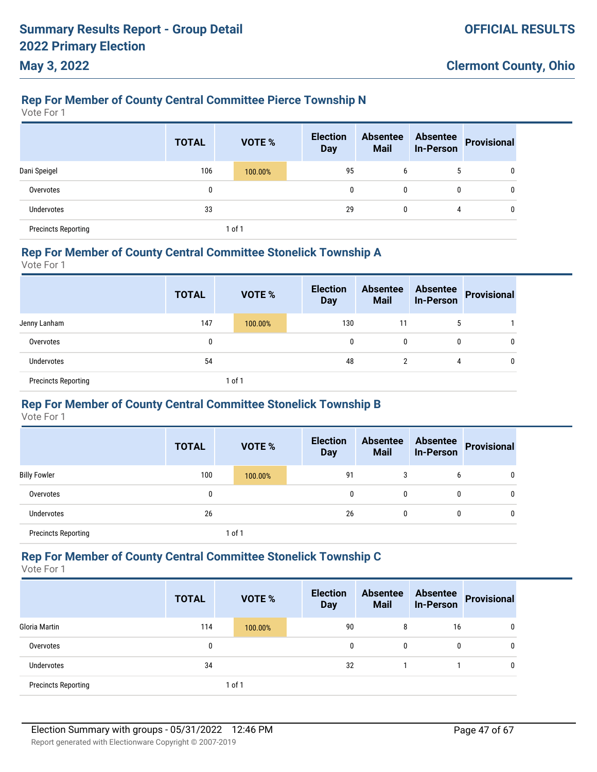# **Rep For Member of County Central Committee Pierce Township N**

Vote For 1

**May 3, 2022**

|                            | <b>TOTAL</b> | <b>VOTE %</b> | <b>Election</b><br><b>Day</b> | <b>Absentee</b><br><b>Mail</b> | <b>Absentee</b><br><b>In-Person</b> | <b>Provisional</b> |
|----------------------------|--------------|---------------|-------------------------------|--------------------------------|-------------------------------------|--------------------|
| Dani Speigel               | 106          | 100.00%       | 95                            | 6                              | 5                                   | 0                  |
| Overvotes                  | 0            |               | 0                             | 0                              | 0                                   | 0                  |
| Undervotes                 | 33           |               | 29                            | $\mathbf{0}$                   | 4                                   | 0                  |
| <b>Precincts Reporting</b> |              | 1 of 1        |                               |                                |                                     |                    |

### **Rep For Member of County Central Committee Stonelick Township A**

Vote For 1

|                            | <b>TOTAL</b> | <b>VOTE %</b> | <b>Election</b><br><b>Day</b> | <b>Absentee</b><br><b>Mail</b> | <b>Absentee</b><br><b>In-Person</b> | Provisional  |
|----------------------------|--------------|---------------|-------------------------------|--------------------------------|-------------------------------------|--------------|
| Jenny Lanham               | 147          | 100.00%       | 130                           | 11                             | 5                                   |              |
| Overvotes                  | 0            |               | 0                             | 0                              | 0                                   | $\mathbf{0}$ |
| <b>Undervotes</b>          | 54           |               | 48                            | 2                              | 4                                   | $\mathbf{0}$ |
| <b>Precincts Reporting</b> |              | of 1          |                               |                                |                                     |              |

## **Rep For Member of County Central Committee Stonelick Township B**

Vote For 1

|                            | <b>TOTAL</b> | <b>VOTE %</b> | <b>Election</b><br><b>Day</b> | <b>Absentee</b><br><b>Mail</b> | <b>Absentee</b><br><b>In-Person</b> | Provisional |
|----------------------------|--------------|---------------|-------------------------------|--------------------------------|-------------------------------------|-------------|
| <b>Billy Fowler</b>        | 100          | 100.00%       | 91                            | 3                              | b                                   | 0           |
| Overvotes                  | 0            |               | 0                             | 0                              |                                     | 0           |
| Undervotes                 | 26           |               | 26                            | 0                              | $\mathbf{0}$                        | 0           |
| <b>Precincts Reporting</b> |              | 1 of 1        |                               |                                |                                     |             |

### **Rep For Member of County Central Committee Stonelick Township C**

|                            | <b>TOTAL</b> |        | <b>VOTE %</b> | <b>Election</b><br><b>Day</b> | <b>Absentee</b><br><b>Mail</b> | <b>Absentee</b><br><b>In-Person</b> | <b>Provisional</b> |
|----------------------------|--------------|--------|---------------|-------------------------------|--------------------------------|-------------------------------------|--------------------|
| Gloria Martin              | 114          |        | 100.00%       | 90                            | 8                              | 16                                  | 0                  |
| Overvotes                  | 0            |        |               | $\mathbf{0}$                  | 0                              | 0                                   | 0                  |
| Undervotes                 | 34           |        |               | 32                            |                                |                                     | 0                  |
| <b>Precincts Reporting</b> |              | 1 of 1 |               |                               |                                |                                     |                    |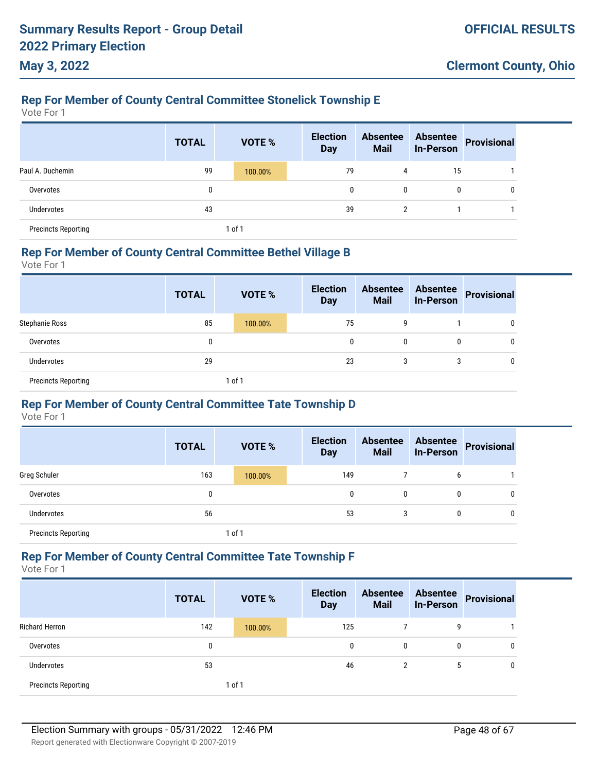# **Rep For Member of County Central Committee Stonelick Township E**

Vote For 1

**May 3, 2022**

|                            | <b>TOTAL</b> | <b>VOTE %</b> | <b>Election</b><br><b>Day</b> | <b>Absentee</b><br><b>Mail</b> | <b>Absentee</b><br><b>In-Person</b> | <b>Provisional</b> |
|----------------------------|--------------|---------------|-------------------------------|--------------------------------|-------------------------------------|--------------------|
| Paul A. Duchemin           | 99           | 100.00%       | 79                            | 4                              | 15                                  |                    |
| Overvotes                  | 0            |               | $\mathbf{0}$                  | $\mathbf{0}$                   | 0                                   | 0                  |
| Undervotes                 | 43           |               | 39                            | 2                              |                                     |                    |
| <b>Precincts Reporting</b> |              | $1$ of $1$    |                               |                                |                                     |                    |

#### **Rep For Member of County Central Committee Bethel Village B**

Vote For 1

|                            | <b>TOTAL</b> | <b>VOTE %</b> | <b>Election</b><br><b>Day</b> | <b>Absentee</b><br><b>Mail</b> | <b>Absentee</b><br><b>In-Person</b> | Provisional |
|----------------------------|--------------|---------------|-------------------------------|--------------------------------|-------------------------------------|-------------|
| <b>Stephanie Ross</b>      | 85           | 100.00%       | 75                            | 9                              |                                     | 0           |
| Overvotes                  | 0            |               | 0                             | 0                              | $\mathbf{0}$                        | U           |
| <b>Undervotes</b>          | 29           |               | 23                            | 3                              | 3                                   | 0           |
| <b>Precincts Reporting</b> |              | 1 of 1        |                               |                                |                                     |             |

## **Rep For Member of County Central Committee Tate Township D**

Vote For 1

|                            | <b>TOTAL</b> | <b>VOTE %</b> | <b>Election</b><br><b>Day</b> | <b>Absentee</b><br><b>Mail</b> | <b>Absentee</b><br><b>In-Person</b> | <b>Provisional</b> |
|----------------------------|--------------|---------------|-------------------------------|--------------------------------|-------------------------------------|--------------------|
| Greg Schuler               | 163          | 100.00%       | 149                           |                                | 6                                   |                    |
| Overvotes                  | 0            |               | 0                             | 0                              | 0                                   | 0                  |
| Undervotes                 | 56           |               | 53                            | 3                              | 0                                   | 0                  |
| <b>Precincts Reporting</b> |              | $1$ of $1$    |                               |                                |                                     |                    |

### **Rep For Member of County Central Committee Tate Township F**

|                            | <b>TOTAL</b> | <b>VOTE %</b> | <b>Election</b><br><b>Day</b> | <b>Absentee</b><br><b>Mail</b> | <b>Absentee</b><br><b>In-Person</b> | <b>Provisional</b> |
|----------------------------|--------------|---------------|-------------------------------|--------------------------------|-------------------------------------|--------------------|
| <b>Richard Herron</b>      | 142          | 100.00%       | 125                           |                                | 9                                   |                    |
| Overvotes                  | 0            |               | $\mathbf{0}$                  | 0                              | 0                                   | 0                  |
| Undervotes                 | 53           |               | 46                            | 2                              | 5                                   | 0                  |
| <b>Precincts Reporting</b> |              | 1 of 1        |                               |                                |                                     |                    |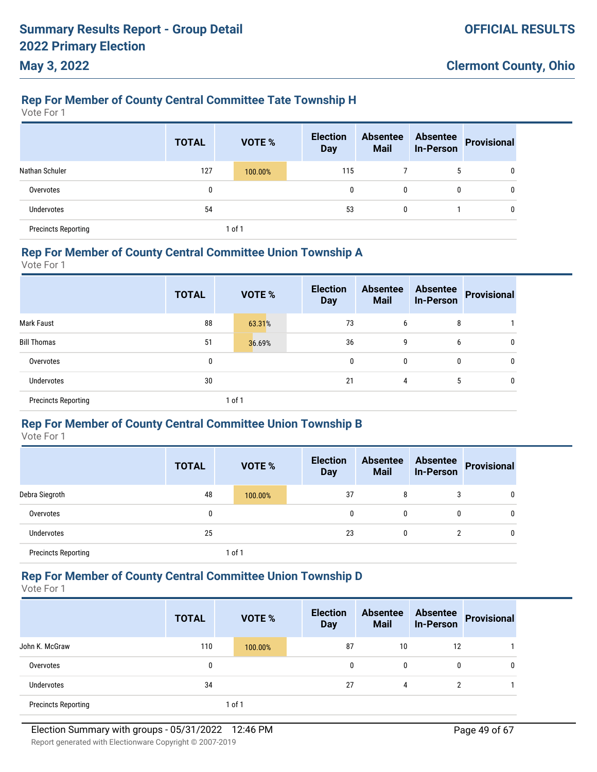# **Rep For Member of County Central Committee Tate Township H**

Vote For 1

**May 3, 2022**

|                            | <b>TOTAL</b> | <b>VOTE %</b> | <b>Election</b><br><b>Day</b> | <b>Absentee</b><br><b>Mail</b> | <b>Absentee</b><br><b>In-Person</b> | Provisional |
|----------------------------|--------------|---------------|-------------------------------|--------------------------------|-------------------------------------|-------------|
| Nathan Schuler             | 127          | 100.00%       | 115                           |                                | 5                                   | 0           |
| Overvotes                  | 0            |               | 0                             | 0                              | 0                                   | 0           |
| Undervotes                 | 54           |               | 53                            | $\mathbf{0}$                   |                                     | 0           |
| <b>Precincts Reporting</b> |              | 1 of 1        |                               |                                |                                     |             |

#### **Rep For Member of County Central Committee Union Township A**

Vote For 1

|                            | <b>TOTAL</b> |        | VOTE % | <b>Election</b><br><b>Day</b> | <b>Absentee</b><br><b>Mail</b> | <b>Absentee</b><br><b>In-Person</b> | <b>Provisional</b> |
|----------------------------|--------------|--------|--------|-------------------------------|--------------------------------|-------------------------------------|--------------------|
| <b>Mark Faust</b>          | 88           |        | 63.31% | 73                            | 6                              | 8                                   |                    |
| <b>Bill Thomas</b>         | 51           |        | 36.69% | 36                            | 9                              | 6                                   | 0                  |
| Overvotes                  | 0            |        |        | $\mathbf{0}$                  | 0                              | 0                                   | 0                  |
| <b>Undervotes</b>          | 30           |        |        | 21                            | 4                              | 5                                   | 0                  |
| <b>Precincts Reporting</b> |              | 1 of 1 |        |                               |                                |                                     |                    |

## **Rep For Member of County Central Committee Union Township B**

Vote For 1

|                            | <b>TOTAL</b> | VOTE %  | <b>Election</b><br><b>Day</b> | <b>Absentee</b><br><b>Mail</b> | <b>Absentee</b><br><b>In-Person</b> | <b>Provisional</b> |
|----------------------------|--------------|---------|-------------------------------|--------------------------------|-------------------------------------|--------------------|
| Debra Siegroth             | 48           | 100.00% | 37                            | 8                              | 3                                   |                    |
| Overvotes                  | 0            |         | 0                             | 0                              | $\mathbf{0}$                        |                    |
| <b>Undervotes</b>          | 25           |         | 23                            | 0                              | 2                                   |                    |
| <b>Precincts Reporting</b> |              | 1 of 1  |                               |                                |                                     |                    |

## **Rep For Member of County Central Committee Union Township D**

Vote For 1

|                            | <b>TOTAL</b> | <b>VOTE %</b> | <b>Election</b><br><b>Day</b> | <b>Absentee</b><br><b>Mail</b> | <b>Absentee</b><br><b>In-Person</b> | Provisional |
|----------------------------|--------------|---------------|-------------------------------|--------------------------------|-------------------------------------|-------------|
| John K. McGraw             | 110          | 100.00%       | 87                            | 10                             | 12                                  |             |
| Overvotes                  | 0            |               | 0                             | $\mathbf{0}$                   | 0                                   | 0           |
| <b>Undervotes</b>          | 34           |               | 27                            | 4                              | 2                                   |             |
| <b>Precincts Reporting</b> |              | 1 of 1        |                               |                                |                                     |             |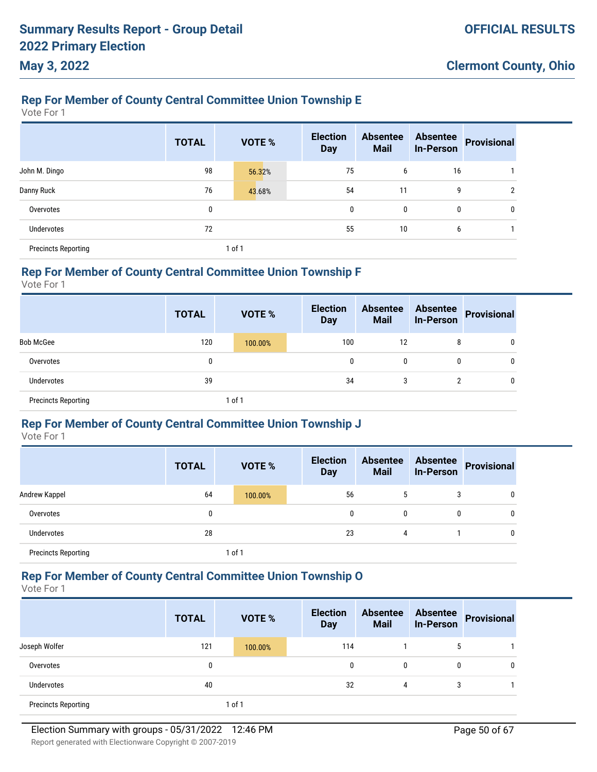# **Rep For Member of County Central Committee Union Township E**

Vote For 1

|                            | <b>TOTAL</b> | <b>VOTE %</b> | <b>Election</b><br><b>Day</b> | <b>Absentee</b><br><b>Mail</b> | <b>Absentee</b><br><b>In-Person</b> | <b>Provisional</b> |
|----------------------------|--------------|---------------|-------------------------------|--------------------------------|-------------------------------------|--------------------|
| John M. Dingo              | 98           | 56.32%        | 75                            | 6                              | 16                                  |                    |
| Danny Ruck                 | 76           | 43.68%        | 54                            | 11                             | 9                                   | 2                  |
| Overvotes                  | 0            |               | $\mathbf 0$                   | 0                              | 0                                   | 0                  |
| <b>Undervotes</b>          | 72           |               | 55                            | 10                             | 6                                   |                    |
| <b>Precincts Reporting</b> |              | 1 of 1        |                               |                                |                                     |                    |

## **Rep For Member of County Central Committee Union Township F**

Vote For 1

|                            | <b>TOTAL</b> | <b>VOTE %</b> | <b>Election</b><br><b>Day</b> | <b>Absentee</b><br><b>Mail</b> | <b>Absentee</b><br><b>In-Person</b> | Provisional |
|----------------------------|--------------|---------------|-------------------------------|--------------------------------|-------------------------------------|-------------|
| <b>Bob McGee</b>           | 120          | 100.00%       | 100                           | 12                             | 8                                   | 0           |
| Overvotes                  | 0            |               | $\mathbf{0}$                  | 0                              | 0                                   | $\mathbf 0$ |
| Undervotes                 | 39           |               | 34                            | 3                              |                                     | 0           |
| <b>Precincts Reporting</b> |              | 1 of 1        |                               |                                |                                     |             |

## **Rep For Member of County Central Committee Union Township J**

Vote For 1

|                            | <b>TOTAL</b> | VOTE %  | <b>Election</b><br><b>Day</b> | <b>Absentee</b><br><b>Mail</b> | <b>Absentee</b><br><b>In-Person</b> | <b>Provisional</b> |
|----------------------------|--------------|---------|-------------------------------|--------------------------------|-------------------------------------|--------------------|
| Andrew Kappel              | 64           | 100.00% | 56                            | 5                              | 3                                   |                    |
| Overvotes                  | 0            |         | 0                             | 0                              | $\mathbf{0}$                        |                    |
| <b>Undervotes</b>          | 28           |         | 23                            | 4                              |                                     |                    |
| <b>Precincts Reporting</b> |              | 1 of 1  |                               |                                |                                     |                    |

## **Rep For Member of County Central Committee Union Township O**

Vote For 1

|                            | <b>TOTAL</b> |        | <b>VOTE %</b> | <b>Election</b><br><b>Day</b> | <b>Absentee</b><br><b>Mail</b> | <b>Absentee</b><br><b>In-Person</b> | Provisional |
|----------------------------|--------------|--------|---------------|-------------------------------|--------------------------------|-------------------------------------|-------------|
| Joseph Wolfer              | 121          |        | 100.00%       | 114                           |                                | 5                                   |             |
| Overvotes                  | 0            |        |               | 0                             | 0                              | 0                                   | 0           |
| <b>Undervotes</b>          | 40           |        |               | 32                            | 4                              | 3                                   |             |
| <b>Precincts Reporting</b> |              | 1 of 1 |               |                               |                                |                                     |             |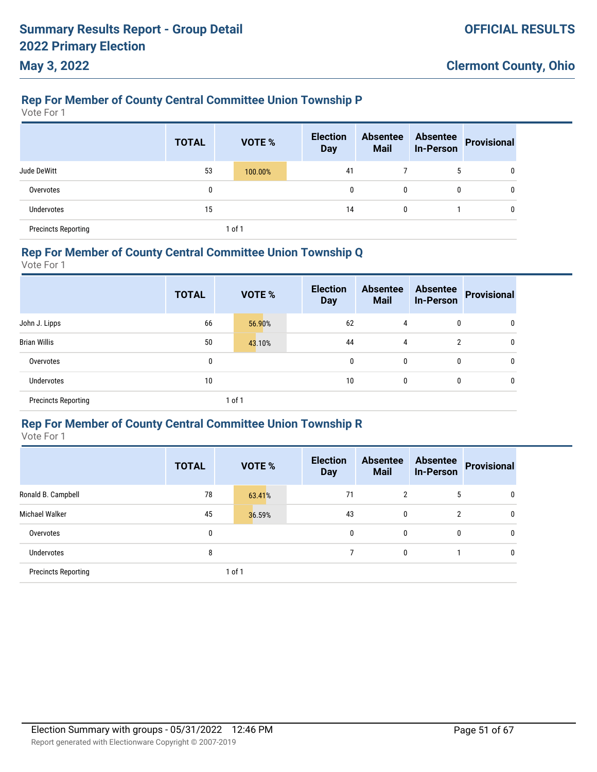# **Rep For Member of County Central Committee Union Township P**

Vote For 1

**May 3, 2022**

|                            | <b>TOTAL</b> | <b>VOTE %</b> | <b>Election</b><br><b>Day</b> | <b>Absentee</b><br><b>Mail</b> | <b>Absentee</b><br><b>In-Person</b> | Provisional |
|----------------------------|--------------|---------------|-------------------------------|--------------------------------|-------------------------------------|-------------|
| Jude DeWitt                | 53           | 100.00%       | 41                            |                                | 5                                   | 0           |
| Overvotes                  |              |               | 0                             | $\mathbf{0}$                   | 0                                   | 0           |
| Undervotes                 | 15           |               | 14                            | $\mathbf{0}$                   |                                     | 0           |
| <b>Precincts Reporting</b> |              | 1 of 1        |                               |                                |                                     |             |

#### **Rep For Member of County Central Committee Union Township Q**

Vote For 1

|                            | <b>TOTAL</b> | VOTE % | <b>Election</b><br><b>Day</b> | <b>Absentee</b><br><b>Mail</b> | <b>Absentee</b><br><b>In-Person</b> | <b>Provisional</b> |
|----------------------------|--------------|--------|-------------------------------|--------------------------------|-------------------------------------|--------------------|
| John J. Lipps              | 66           | 56.90% | 62                            | 4                              | 0                                   | 0                  |
| <b>Brian Willis</b>        | 50           | 43.10% | 44                            | 4                              | $\overline{2}$                      | 0                  |
| Overvotes                  | 0            |        | $\mathbf{0}$                  | 0                              | 0                                   | 0                  |
| <b>Undervotes</b>          | 10           |        | 10                            | 0                              | 0                                   | 0                  |
| <b>Precincts Reporting</b> |              | 1 of 1 |                               |                                |                                     |                    |

## **Rep For Member of County Central Committee Union Township R**

|                            | <b>TOTAL</b> | <b>VOTE %</b> | <b>Election</b><br><b>Day</b> | <b>Absentee</b><br><b>Mail</b> | <b>Absentee</b><br><b>In-Person</b> | <b>Provisional</b> |
|----------------------------|--------------|---------------|-------------------------------|--------------------------------|-------------------------------------|--------------------|
| Ronald B. Campbell         | 78           | 63.41%        | 71                            | 2                              | 5                                   | 0                  |
| Michael Walker             | 45           | 36.59%        | 43                            | 0                              | 2                                   | 0                  |
| Overvotes                  | 0            |               | 0                             | 0                              | $\mathbf{0}$                        | 0                  |
| <b>Undervotes</b>          | 8            |               |                               | 0                              |                                     | 0                  |
| <b>Precincts Reporting</b> |              | $1$ of $1$    |                               |                                |                                     |                    |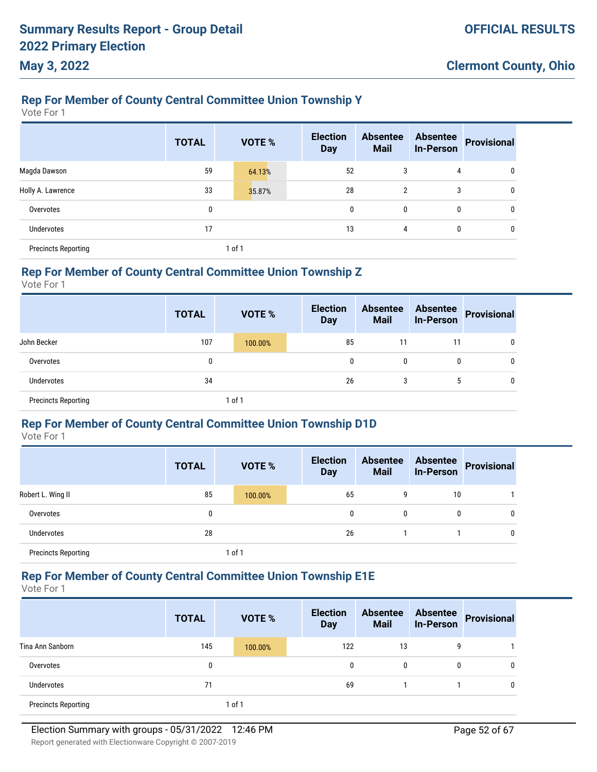# **Rep For Member of County Central Committee Union Township Y**

Vote For 1

|                            | <b>TOTAL</b> | VOTE % | <b>Election</b><br><b>Day</b> | <b>Absentee</b><br><b>Mail</b> | <b>Absentee</b><br><b>In-Person</b> | <b>Provisional</b> |
|----------------------------|--------------|--------|-------------------------------|--------------------------------|-------------------------------------|--------------------|
| Magda Dawson               | 59           | 64.13% | 52                            | 3                              | 4                                   | 0                  |
| Holly A. Lawrence          | 33           | 35.87% | 28                            | $\overline{2}$                 | 3                                   | 0                  |
| Overvotes                  | 0            |        | $\mathbf 0$                   | $\mathbf 0$                    | 0                                   | 0                  |
| <b>Undervotes</b>          | 17           |        | 13                            | 4                              | 0                                   | 0                  |
| <b>Precincts Reporting</b> |              | 1 of 1 |                               |                                |                                     |                    |

## **Rep For Member of County Central Committee Union Township Z**

Vote For 1

|                            | <b>TOTAL</b> | VOTE %  | <b>Election</b><br><b>Day</b> | <b>Absentee</b><br><b>Mail</b> | <b>Absentee</b><br><b>In-Person</b> | Provisional |
|----------------------------|--------------|---------|-------------------------------|--------------------------------|-------------------------------------|-------------|
| John Becker                | 107          | 100.00% | 85                            | 11                             | 11                                  | 0           |
| Overvotes                  | 0            |         | $\mathbf{0}$                  | 0                              | 0                                   | 0           |
| Undervotes                 | 34           |         | 26                            | 3                              | ა                                   | 0           |
| <b>Precincts Reporting</b> |              | 1 of 1  |                               |                                |                                     |             |

### **Rep For Member of County Central Committee Union Township D1D**

Vote For 1

|                            | <b>TOTAL</b> | <b>VOTE %</b> | <b>Election</b><br><b>Day</b> | <b>Absentee</b><br><b>Mail</b> | <b>Absentee</b><br><b>In-Person</b> | <b>Provisional</b> |
|----------------------------|--------------|---------------|-------------------------------|--------------------------------|-------------------------------------|--------------------|
| Robert L. Wing II          | 85           | 100.00%       | 65                            | 9                              | 10                                  |                    |
| Overvotes                  | 0            |               | 0                             | 0                              | $\mathbf{0}$                        |                    |
| <b>Undervotes</b>          | 28           |               | 26                            |                                |                                     |                    |
| <b>Precincts Reporting</b> |              | 1 of 1        |                               |                                |                                     |                    |

## **Rep For Member of County Central Committee Union Township E1E**

Vote For 1

|                            | <b>TOTAL</b> |        | <b>VOTE %</b> | <b>Election</b><br><b>Day</b> | <b>Absentee</b><br><b>Mail</b> | <b>Absentee</b><br><b>In-Person</b> | <b>Provisional</b> |
|----------------------------|--------------|--------|---------------|-------------------------------|--------------------------------|-------------------------------------|--------------------|
| Tina Ann Sanborn           | 145          |        | 100.00%       | 122                           | 13                             | g                                   |                    |
| Overvotes                  | 0            |        |               | 0                             | 0                              | 0                                   | 0                  |
| <b>Undervotes</b>          | 71           |        |               | 69                            |                                |                                     | 0                  |
| <b>Precincts Reporting</b> |              | 1 of 1 |               |                               |                                |                                     |                    |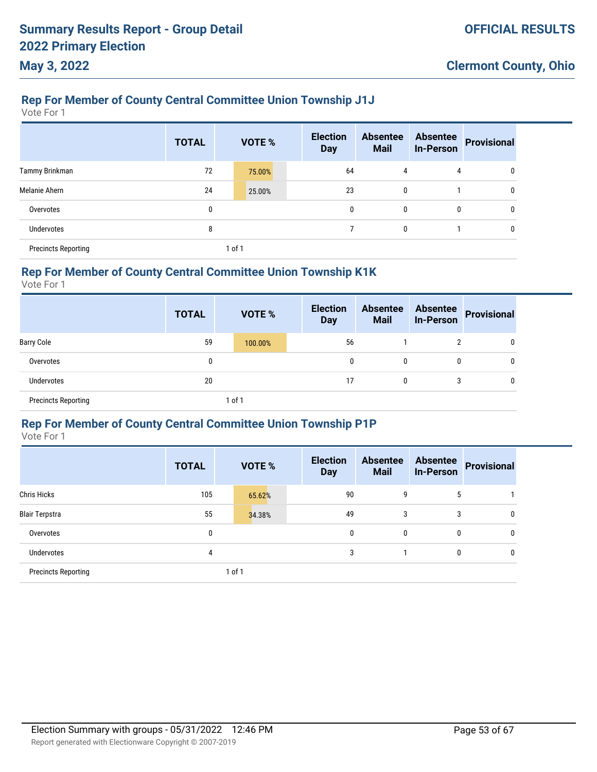# **Rep For Member of County Central Committee Union Township J1J**

Vote For 1

|                            | <b>TOTAL</b> | <b>VOTE %</b> | <b>Election</b><br><b>Day</b> | <b>Absentee</b><br><b>Mail</b> | <b>Absentee</b><br><b>In-Person</b> | <b>Provisional</b> |
|----------------------------|--------------|---------------|-------------------------------|--------------------------------|-------------------------------------|--------------------|
| Tammy Brinkman             | 72           | 75.00%        | 64                            | 4                              | 4                                   | 0                  |
| <b>Melanie Ahern</b>       | 24           | 25.00%        | 23                            | $\mathbf{0}$                   |                                     | 0                  |
| Overvotes                  | 0            |               | $\mathbf 0$                   | $\mathbf{0}$                   | 0                                   | 0                  |
| Undervotes                 | 8            |               | ⇁                             | $\mathbf{0}$                   |                                     | 0                  |
| <b>Precincts Reporting</b> |              | 1 of 1        |                               |                                |                                     |                    |

# **Rep For Member of County Central Committee Union Township K1K**

Vote For 1

|                            | <b>TOTAL</b> | <b>VOTE %</b> | <b>Election</b><br><b>Day</b> | <b>Absentee</b><br><b>Mail</b> | <b>Absentee</b><br><b>In-Person</b> | Provisional |
|----------------------------|--------------|---------------|-------------------------------|--------------------------------|-------------------------------------|-------------|
| <b>Barry Cole</b>          | 59           | 100.00%       | 56                            |                                | 2                                   | 0           |
| Overvotes                  | 0            |               | $\mathbf{0}$                  | 0                              | 0                                   | 0           |
| Undervotes                 | 20           |               | 17                            | 0                              | 3                                   | 0           |
| <b>Precincts Reporting</b> |              | 1 of 1        |                               |                                |                                     |             |

### **Rep For Member of County Central Committee Union Township P1P**

|                            | <b>TOTAL</b> | <b>VOTE %</b> | <b>Election</b><br><b>Day</b> | <b>Absentee</b><br><b>Mail</b> | <b>Absentee</b><br><b>In-Person</b> | <b>Provisional</b> |
|----------------------------|--------------|---------------|-------------------------------|--------------------------------|-------------------------------------|--------------------|
| <b>Chris Hicks</b>         | 105          | 65.62%        | 90                            | 9                              | 5                                   |                    |
| <b>Blair Terpstra</b>      | 55           | 34.38%        | 49                            | 3                              | 3                                   | $\mathbf{0}$       |
| Overvotes                  | 0            |               | 0                             | 0                              | $\mathbf{0}$                        | $\mathbf{0}$       |
| <b>Undervotes</b>          | 4            |               | 3                             |                                | $\mathbf{0}$                        | $\mathbf{0}$       |
| <b>Precincts Reporting</b> |              | $1$ of $1$    |                               |                                |                                     |                    |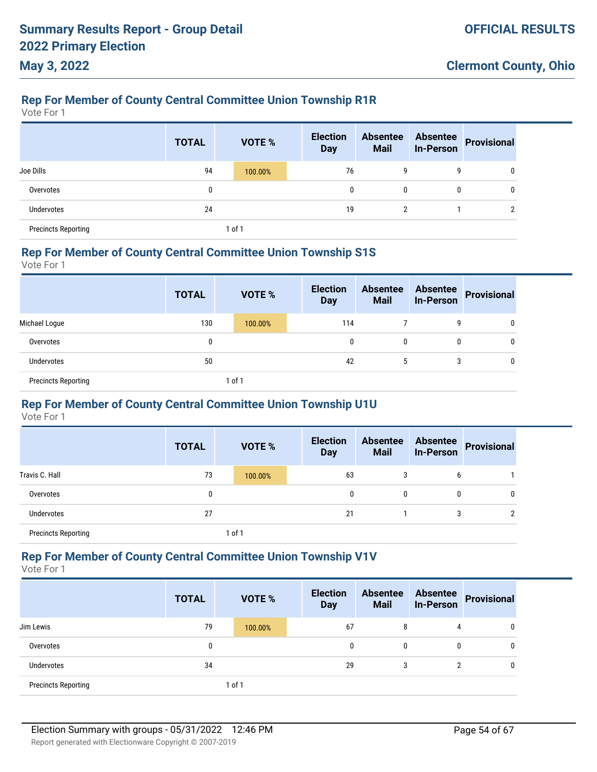# **Rep For Member of County Central Committee Union Township R1R**

Vote For 1

**May 3, 2022**

|                            | <b>TOTAL</b> | <b>VOTE %</b> | <b>Election</b><br><b>Day</b> | <b>Absentee</b><br><b>Mail</b> | <b>Absentee</b><br><b>In-Person</b> | <b>Provisional</b> |
|----------------------------|--------------|---------------|-------------------------------|--------------------------------|-------------------------------------|--------------------|
| Joe Dills                  | 94           | 100.00%       | 76                            | 9                              | 9                                   | 0                  |
| Overvotes                  | 0            |               | 0                             | 0                              | 0                                   | 0                  |
| Undervotes                 | 24           |               | 19                            | $\overline{2}$                 |                                     | $\overline{2}$     |
| <b>Precincts Reporting</b> |              | $1$ of $1$    |                               |                                |                                     |                    |

#### **Rep For Member of County Central Committee Union Township S1S**

Vote For 1

|                            | <b>TOTAL</b> | <b>VOTE %</b> | <b>Election</b><br><b>Day</b> | <b>Absentee</b><br><b>Mail</b> | <b>Absentee</b><br><b>In-Person</b> | Provisional |
|----------------------------|--------------|---------------|-------------------------------|--------------------------------|-------------------------------------|-------------|
| Michael Loque              | 130          | 100.00%       | 114                           |                                | 9                                   | 0           |
| Overvotes                  | 0            |               | $\mathbf{0}$                  | 0                              | 0                                   | 0           |
| <b>Undervotes</b>          | 50           |               | 42                            | $\mathbf b$                    | 3                                   | 0           |
| <b>Precincts Reporting</b> |              | of 1          |                               |                                |                                     |             |

## **Rep For Member of County Central Committee Union Township U1U**

Vote For 1

|                            | <b>TOTAL</b> | VOTE %  | <b>Election</b><br><b>Day</b> | <b>Absentee</b><br><b>Mail</b> | <b>Absentee</b><br><b>In-Person</b> | <b>Provisional</b> |
|----------------------------|--------------|---------|-------------------------------|--------------------------------|-------------------------------------|--------------------|
| Travis C. Hall             | 73           | 100.00% | 63                            | 3                              | 6                                   |                    |
| Overvotes                  | 0            |         | 0                             | $\mathbf{0}$                   | 0                                   | 0                  |
| Undervotes                 | 27           |         | 21                            |                                | 3                                   |                    |
| <b>Precincts Reporting</b> |              | 1 of 1  |                               |                                |                                     |                    |

#### **Rep For Member of County Central Committee Union Township V1V**

|                            | <b>TOTAL</b> | <b>VOTE %</b> | <b>Election</b><br><b>Day</b> | <b>Absentee</b><br><b>Mail</b> | <b>Absentee</b><br><b>In-Person</b> | Provisional |
|----------------------------|--------------|---------------|-------------------------------|--------------------------------|-------------------------------------|-------------|
| Jim Lewis                  | 79           | 100.00%       | 67                            | 8                              | 4                                   | 0           |
| Overvotes                  | 0            |               | $\mathbf{0}$                  | 0                              | 0                                   | 0           |
| Undervotes                 | 34           |               | 29                            | 3                              | C.                                  | 0           |
| <b>Precincts Reporting</b> |              | 1 of 1        |                               |                                |                                     |             |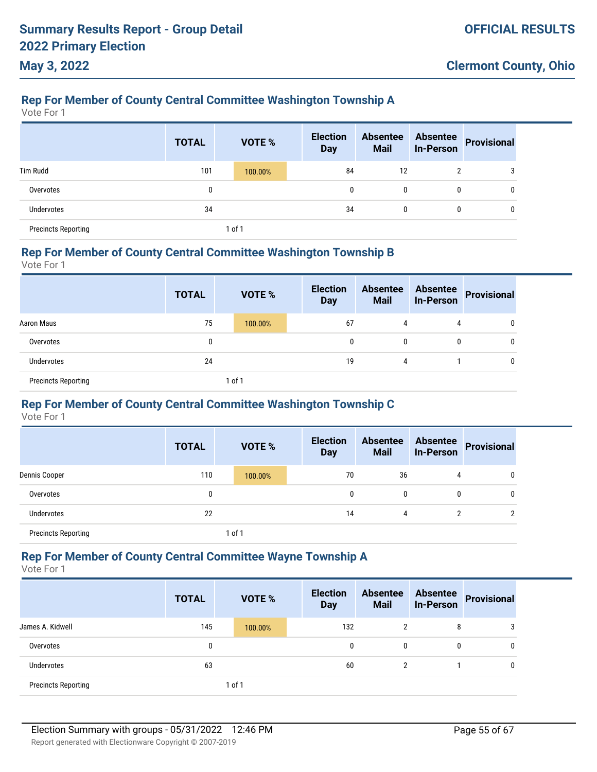# **Rep For Member of County Central Committee Washington Township A**

Vote For 1

**May 3, 2022**

|                            | <b>TOTAL</b> | <b>VOTE %</b> | <b>Election</b><br><b>Day</b> | <b>Absentee</b><br><b>Mail</b> | <b>Absentee</b><br><b>In-Person</b> | <b>Provisional</b> |
|----------------------------|--------------|---------------|-------------------------------|--------------------------------|-------------------------------------|--------------------|
| <b>Tim Rudd</b>            | 101          | 100.00%       | 84                            | 12                             | 2                                   | 3                  |
| Overvotes                  | 0            |               | $\mathbf{0}$                  | $\mathbf{0}$                   | 0                                   | 0                  |
| <b>Undervotes</b>          | 34           |               | 34                            | 0                              | 0                                   | 0                  |
| <b>Precincts Reporting</b> |              | 1 of 1        |                               |                                |                                     |                    |

### **Rep For Member of County Central Committee Washington Township B**

Vote For 1

|                            | <b>TOTAL</b> | <b>VOTE %</b> | <b>Election</b><br><b>Day</b> | <b>Absentee</b><br><b>Mail</b> | <b>Absentee</b><br><b>In-Person</b> | Provisional |
|----------------------------|--------------|---------------|-------------------------------|--------------------------------|-------------------------------------|-------------|
| <b>Aaron Maus</b>          | 75           | 100.00%       | 67                            | 4                              | 4                                   | 0           |
| Overvotes                  | 0            |               | 0                             | $\mathbf{0}$                   | 0                                   | 0           |
| <b>Undervotes</b>          | 24           |               | 19                            | 4                              |                                     | 0           |
| <b>Precincts Reporting</b> |              | of 1          |                               |                                |                                     |             |

## **Rep For Member of County Central Committee Washington Township C**

Vote For 1

|                            | <b>TOTAL</b> | <b>VOTE %</b> | <b>Election</b><br><b>Day</b> | <b>Absentee</b><br><b>Mail</b> | <b>Absentee</b><br><b>In-Person</b> | Provisional |
|----------------------------|--------------|---------------|-------------------------------|--------------------------------|-------------------------------------|-------------|
| Dennis Cooper              | 110          | 100.00%       | 70                            | 36                             | 4                                   |             |
| Overvotes                  | 0            |               | 0                             | 0                              | 0                                   |             |
| Undervotes                 | 22           |               | 14                            | 4                              | $\overline{2}$                      |             |
| <b>Precincts Reporting</b> |              | 1 of 1        |                               |                                |                                     |             |

### **Rep For Member of County Central Committee Wayne Township A**

|                            | <b>TOTAL</b> | <b>VOTE %</b> | <b>Election</b><br><b>Day</b> | <b>Absentee</b><br><b>Mail</b> | <b>Absentee</b><br><b>In-Person</b> | <b>Provisional</b> |
|----------------------------|--------------|---------------|-------------------------------|--------------------------------|-------------------------------------|--------------------|
| James A. Kidwell           | 145          | 100.00%       | 132                           | 2                              | 8                                   | 3                  |
| Overvotes                  | 0            |               | $\mathbf{0}$                  | $\mathbf{0}$                   | 0                                   | 0                  |
| <b>Undervotes</b>          | 63           |               | 60                            | 2                              |                                     | 0                  |
| <b>Precincts Reporting</b> |              | 1 of 1        |                               |                                |                                     |                    |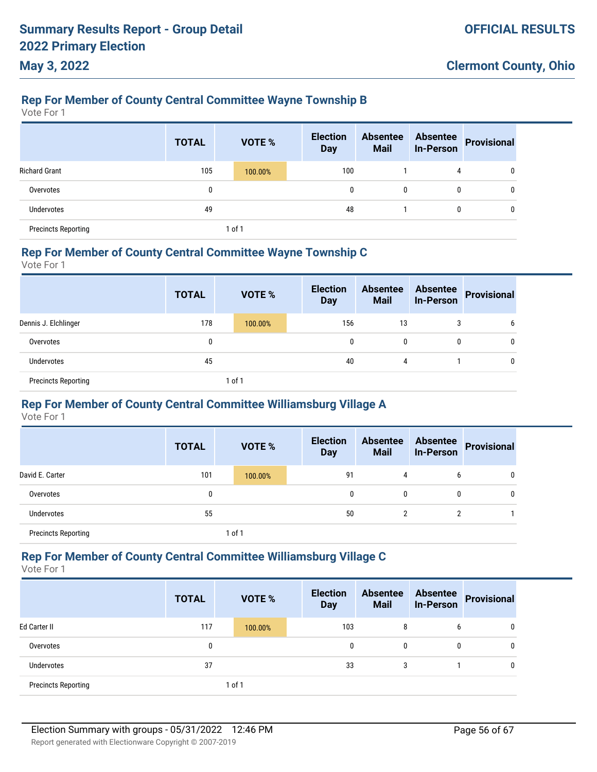# **Rep For Member of County Central Committee Wayne Township B**

Vote For 1

**May 3, 2022**

|                            | <b>TOTAL</b> | <b>VOTE %</b> | <b>Election</b><br><b>Day</b> | <b>Absentee</b><br><b>Mail</b> | <b>Absentee</b><br><b>In-Person</b> | <b>Provisional</b> |
|----------------------------|--------------|---------------|-------------------------------|--------------------------------|-------------------------------------|--------------------|
| <b>Richard Grant</b>       | 105          | 100.00%       | 100                           |                                | 4                                   | 0                  |
| Overvotes                  | 0            |               | $\mathbf{0}$                  | 0                              | 0                                   | 0                  |
| Undervotes                 | 49           |               | 48                            |                                | 0                                   |                    |
| <b>Precincts Reporting</b> |              | 1 of 1        |                               |                                |                                     |                    |

#### **Rep For Member of County Central Committee Wayne Township C**

Vote For 1

|                            | <b>TOTAL</b> | VOTE %  | <b>Election</b><br><b>Day</b> | <b>Absentee</b><br><b>Mail</b> | <b>Absentee</b><br><b>In-Person</b> | Provisional |  |
|----------------------------|--------------|---------|-------------------------------|--------------------------------|-------------------------------------|-------------|--|
| Dennis J. Elchlinger       | 178          | 100.00% | 156                           | 13                             | 3                                   | b           |  |
| Overvotes                  | 0            |         | 0                             | 0                              | 0                                   | 0           |  |
| <b>Undervotes</b>          | 45           |         | 40                            | 4                              |                                     | 0           |  |
| <b>Precincts Reporting</b> |              | l of 1  |                               |                                |                                     |             |  |

## **Rep For Member of County Central Committee Williamsburg Village A**

Vote For 1

|                            | <b>TOTAL</b> |  | <b>VOTE %</b> |  | <b>Election</b><br><b>Day</b> | <b>Absentee</b><br><b>Mail</b> | <b>Absentee</b><br><b>In-Person</b> | Provisional |
|----------------------------|--------------|--|---------------|--|-------------------------------|--------------------------------|-------------------------------------|-------------|
| David E. Carter            | 101          |  | 100.00%       |  | 91                            | 4                              | 6                                   | 0           |
| Overvotes                  |              |  |               |  | 0                             | 0                              |                                     | 0           |
| Undervotes                 | 55           |  |               |  | 50                            | C                              | 2                                   |             |
| <b>Precincts Reporting</b> | 1 of 1       |  |               |  |                               |                                |                                     |             |

#### **Rep For Member of County Central Committee Williamsburg Village C**

|                            | <b>TOTAL</b> | <b>VOTE %</b> | <b>Election</b><br><b>Day</b> | <b>Absentee</b><br><b>Mail</b> | <b>Absentee</b><br><b>In-Person</b> | Provisional |
|----------------------------|--------------|---------------|-------------------------------|--------------------------------|-------------------------------------|-------------|
| Ed Carter II               | 117          | 100.00%       | 103                           | 8                              | b                                   | 0           |
| Overvotes                  | 0            |               | 0                             | 0                              | $\mathbf{0}$                        | 0           |
| Undervotes                 | 37           |               | 33                            | 3                              |                                     | 0           |
| <b>Precincts Reporting</b> |              | 1 of 1        |                               |                                |                                     |             |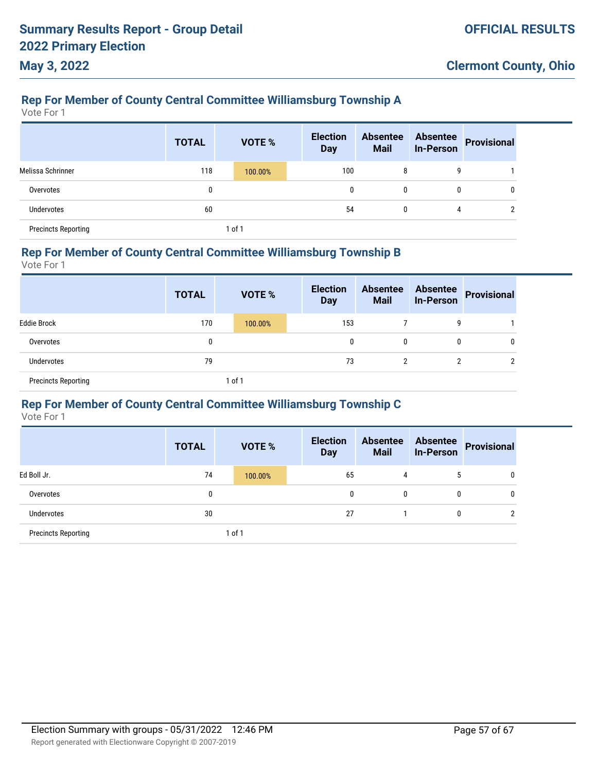# **Rep For Member of County Central Committee Williamsburg Township A**

Vote For 1

**May 3, 2022**

|                            | <b>TOTAL</b> | <b>VOTE %</b> |         | <b>Election</b><br><b>Day</b> | <b>Absentee</b><br><b>Mail</b> | <b>Absentee</b><br><b>In-Person</b> | <b>Provisional</b> |
|----------------------------|--------------|---------------|---------|-------------------------------|--------------------------------|-------------------------------------|--------------------|
| Melissa Schrinner          | 118          |               | 100.00% | 100                           | 8                              | 9                                   |                    |
| Overvotes                  | 0            |               |         | $\mathbf{0}$                  | 0                              | 0                                   | 0                  |
| Undervotes                 | 60           |               |         | 54                            | 0                              | 4                                   | C                  |
| <b>Precincts Reporting</b> |              |               | 1 of 1  |                               |                                |                                     |                    |

## **Rep For Member of County Central Committee Williamsburg Township B**

Vote For 1

|                            | <b>TOTAL</b> | <b>VOTE %</b> | <b>Election</b><br><b>Day</b> | <b>Absentee</b><br><b>Mail</b> | <b>Absentee</b><br><b>In-Person</b> | Provisional |
|----------------------------|--------------|---------------|-------------------------------|--------------------------------|-------------------------------------|-------------|
| <b>Eddie Brock</b>         | 170          | 100.00%       | 153                           |                                | q                                   |             |
| Overvotes                  | 0            |               | $\mathbf{0}$                  | 0                              | 0                                   | 0           |
| Undervotes                 | 79           |               | 73                            | 2                              |                                     | c           |
| <b>Precincts Reporting</b> |              | 1 of 1        |                               |                                |                                     |             |

## **Rep For Member of County Central Committee Williamsburg Township C**

|                            | <b>TOTAL</b> | <b>VOTE %</b> | <b>Election</b><br><b>Day</b> | <b>Absentee</b><br><b>Mail</b> | <b>Absentee</b><br><b>In-Person</b> | <b>Provisional</b> |
|----------------------------|--------------|---------------|-------------------------------|--------------------------------|-------------------------------------|--------------------|
| Ed Boll Jr.                | 74           | 100.00%       | 65                            | 4                              | 5                                   | 0                  |
| Overvotes                  | 0            |               | $\mathbf{0}$                  | 0                              | 0                                   | 0                  |
| Undervotes                 | 30           |               | 27                            |                                | 0                                   | $\overline{2}$     |
| <b>Precincts Reporting</b> |              | 1 of 1        |                               |                                |                                     |                    |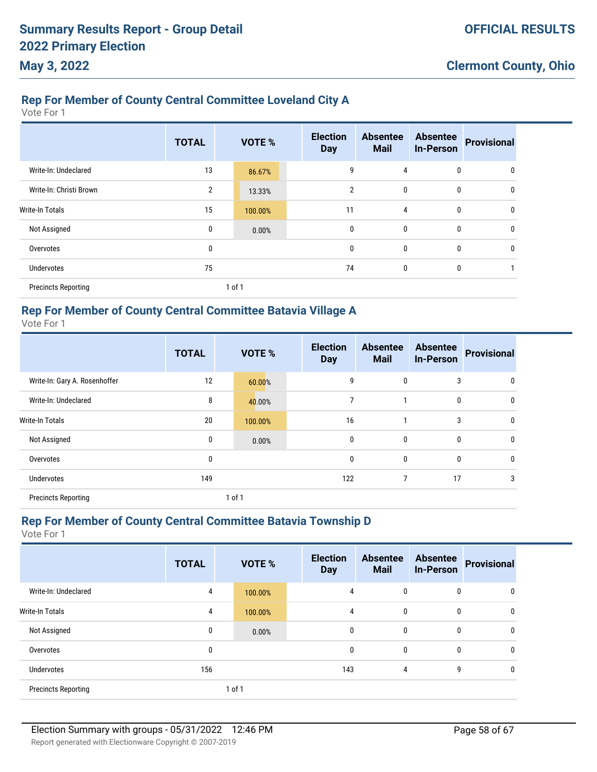# **Rep For Member of County Central Committee Loveland City A**

Vote For 1

|                            | <b>TOTAL</b>   |        | <b>VOTE %</b> | <b>Election</b><br><b>Day</b> | <b>Absentee</b><br><b>Mail</b> | <b>Absentee</b><br><b>In-Person</b> | <b>Provisional</b> |
|----------------------------|----------------|--------|---------------|-------------------------------|--------------------------------|-------------------------------------|--------------------|
| Write-In: Undeclared       | 13             |        | 86.67%        | 9                             | 4                              | $\mathbf{0}$                        | 0                  |
| Write-In: Christi Brown    | $\overline{2}$ |        | 13.33%        | $\mathfrak{p}$                | 0                              | $\mathbf 0$                         | 0                  |
| Write-In Totals            | 15             |        | 100.00%       | 11                            | 4                              | $\mathbf 0$                         | 0                  |
| Not Assigned               | $\bf{0}$       |        | 0.00%         | $\mathbf{0}$                  | 0                              | $\mathbf 0$                         | 0                  |
| Overvotes                  | 0              |        |               | $\mathbf{0}$                  | 0                              | $\mathbf 0$                         | 0                  |
| <b>Undervotes</b>          | 75             |        |               | 74                            | 0                              | $\mathbf 0$                         | и                  |
| <b>Precincts Reporting</b> |                | 1 of 1 |               |                               |                                |                                     |                    |

## **Rep For Member of County Central Committee Batavia Village A**

Vote For 1

|                               | <b>TOTAL</b> | VOTE %  | <b>Election</b><br><b>Day</b> | <b>Absentee</b><br><b>Mail</b> | <b>Absentee</b><br><b>In-Person</b> | <b>Provisional</b> |
|-------------------------------|--------------|---------|-------------------------------|--------------------------------|-------------------------------------|--------------------|
| Write-In: Gary A. Rosenhoffer | 12           | 60.00%  | 9                             | 0                              | 3                                   | 0                  |
| Write-In: Undeclared          | 8            | 40.00%  | 7                             | 1                              | $\mathbf 0$                         | $\mathbf{0}$       |
| <b>Write-In Totals</b>        | 20           | 100.00% | 16                            |                                | 3                                   | $\mathbf{0}$       |
| Not Assigned                  | 0            | 0.00%   | $\mathbf{0}$                  | 0                              | $\bf{0}$                            | $\mathbf{0}$       |
| Overvotes                     | 0            |         | $\mathbf{0}$                  | 0                              | $\mathbf{0}$                        | $\mathbf{0}$       |
| Undervotes                    | 149          |         | 122                           | 7                              | 17                                  | 3                  |
| <b>Precincts Reporting</b>    |              | 1 of 1  |                               |                                |                                     |                    |

## **Rep For Member of County Central Committee Batavia Township D**

|                            | <b>TOTAL</b> | <b>VOTE %</b> | <b>Election</b><br><b>Day</b> | <b>Absentee</b><br><b>Mail</b> | <b>Absentee</b><br><b>In-Person</b> | <b>Provisional</b> |
|----------------------------|--------------|---------------|-------------------------------|--------------------------------|-------------------------------------|--------------------|
| Write-In: Undeclared       | 4            | 100.00%       | 4                             | 0                              | 0                                   | 0                  |
| Write-In Totals            | 4            | 100.00%       | 4                             | $\mathbf{0}$                   | 0                                   | 0                  |
| Not Assigned               | $\mathbf 0$  | 0.00%         | $\mathbf{0}$                  | 0                              | $\bf{0}$                            | 0                  |
| Overvotes                  | 0            |               | 0                             | 0                              | 0                                   | 0                  |
| <b>Undervotes</b>          | 156          |               | 143                           | 4                              | 9                                   | 0                  |
| <b>Precincts Reporting</b> |              | 1 of 1        |                               |                                |                                     |                    |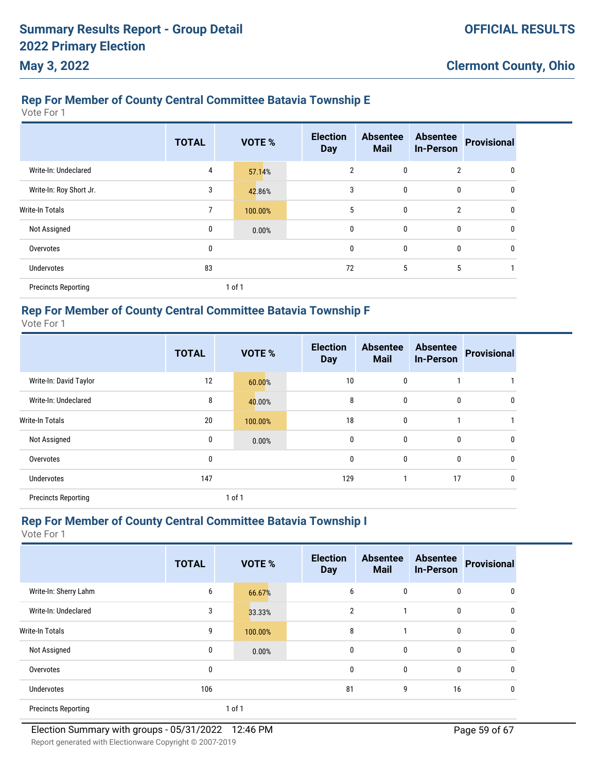## **Rep For Member of County Central Committee Batavia Township E**

Vote For 1

|                            | <b>TOTAL</b> | <b>VOTE %</b> | <b>Election</b><br><b>Day</b> | <b>Absentee</b><br><b>Mail</b> | <b>Absentee</b><br><b>In-Person</b> | <b>Provisional</b> |
|----------------------------|--------------|---------------|-------------------------------|--------------------------------|-------------------------------------|--------------------|
| Write-In: Undeclared       | 4            | 57.14%        | $\overline{2}$                | 0                              | 2                                   | 0                  |
| Write-In: Roy Short Jr.    | 3            | 42.86%        | 3                             | 0                              | 0                                   | $\mathbf{0}$       |
| <b>Write-In Totals</b>     | 7            | 100.00%       | 5                             | 0                              | $\overline{2}$                      | $\mathbf{0}$       |
| Not Assigned               | 0            | 0.00%         | $\mathbf{0}$                  | 0                              | 0                                   | $\mathbf{0}$       |
| Overvotes                  | 0            |               | 0                             | 0                              | 0                                   | $\mathbf 0$        |
| <b>Undervotes</b>          | 83           |               | 72                            | 5                              | 5                                   |                    |
| <b>Precincts Reporting</b> |              | 1 of 1        |                               |                                |                                     |                    |

# **Rep For Member of County Central Committee Batavia Township F**

Vote For 1

|                            | <b>TOTAL</b> | <b>VOTE %</b> | <b>Election</b><br><b>Day</b> | <b>Absentee</b><br><b>Mail</b> | <b>Absentee</b><br><b>In-Person</b> | <b>Provisional</b> |
|----------------------------|--------------|---------------|-------------------------------|--------------------------------|-------------------------------------|--------------------|
| Write-In: David Taylor     | 12           | 60.00%        | 10                            | 0                              |                                     |                    |
| Write-In: Undeclared       | 8            | 40.00%        | 8                             | 0                              | $\mathbf 0$                         | 0                  |
| <b>Write-In Totals</b>     | 20           | 100.00%       | 18                            | 0                              |                                     |                    |
| Not Assigned               | 0            | 0.00%         | $\mathbf{0}$                  | 0                              | $\mathbf 0$                         | $\mathbf{0}$       |
| Overvotes                  | 0            |               | $\mathbf{0}$                  | 0                              | $\mathbf{0}$                        | $\mathbf{0}$       |
| Undervotes                 | 147          |               | 129                           |                                | 17                                  | 0                  |
| <b>Precincts Reporting</b> |              | $1$ of $1$    |                               |                                |                                     |                    |

## **Rep For Member of County Central Committee Batavia Township I**

|                            | <b>TOTAL</b> | <b>VOTE %</b> | <b>Election</b><br><b>Day</b> | <b>Absentee</b><br><b>Mail</b> | <b>Absentee</b><br><b>In-Person</b> | <b>Provisional</b> |
|----------------------------|--------------|---------------|-------------------------------|--------------------------------|-------------------------------------|--------------------|
| Write-In: Sherry Lahm      | 6            | 66.67%        | 6                             | 0                              | 0                                   | 0                  |
| Write-In: Undeclared       | 3            | 33.33%        | 2                             |                                | 0                                   | $\mathbf 0$        |
| <b>Write-In Totals</b>     | 9            | 100.00%       | 8                             |                                | 0                                   | $\mathbf{0}$       |
| Not Assigned               | 0            | 0.00%         | $\mathbf 0$                   | 0                              | 0                                   | 0                  |
| Overvotes                  | $\mathbf 0$  |               | $\mathbf 0$                   | 0                              | 0                                   | 0                  |
| Undervotes                 | 106          |               | 81                            | 9                              | 16                                  | 0                  |
| <b>Precincts Reporting</b> |              | 1 of 1        |                               |                                |                                     |                    |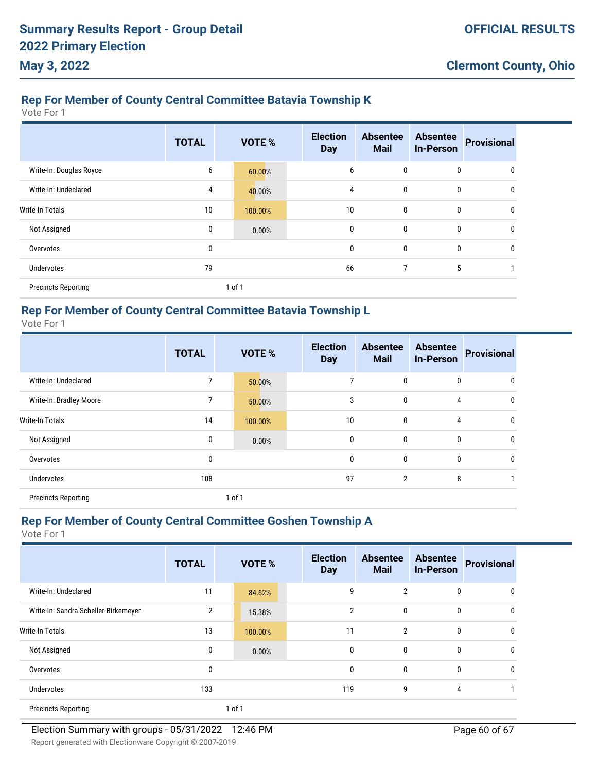## **Rep For Member of County Central Committee Batavia Township K**

Vote For 1

|                            | <b>TOTAL</b> | <b>VOTE %</b> | <b>Election</b><br><b>Day</b> | <b>Absentee</b><br><b>Mail</b> | <b>Absentee</b><br><b>In-Person</b> | <b>Provisional</b> |
|----------------------------|--------------|---------------|-------------------------------|--------------------------------|-------------------------------------|--------------------|
| Write-In: Douglas Royce    | 6            | 60.00%        | 6                             | 0                              | 0                                   | 0                  |
| Write-In: Undeclared       | 4            | 40.00%        | 4                             | 0                              | 0                                   | 0                  |
| <b>Write-In Totals</b>     | 10           | 100.00%       | 10                            | 0                              | $\mathbf 0$                         | 0                  |
| Not Assigned               | 0            | 0.00%         | $\mathbf 0$                   | 0                              | $\mathbf 0$                         | 0                  |
| Overvotes                  | 0            |               | $\mathbf{0}$                  | 0                              | $\mathbf{0}$                        | $\mathbf{0}$       |
| <b>Undervotes</b>          | 79           |               | 66                            | 7                              | 5                                   |                    |
| <b>Precincts Reporting</b> |              | 1 of 1        |                               |                                |                                     |                    |

## **Rep For Member of County Central Committee Batavia Township L**

Vote For 1

|                            | <b>TOTAL</b> | VOTE %     | <b>Election</b><br><b>Day</b> | <b>Absentee</b><br><b>Mail</b> | <b>Absentee</b><br><b>In-Person</b> | <b>Provisional</b> |
|----------------------------|--------------|------------|-------------------------------|--------------------------------|-------------------------------------|--------------------|
| Write-In: Undeclared       | 7            | 50.00%     |                               | 0                              | $\mathbf{0}$                        | 0                  |
| Write-In: Bradley Moore    | 7            | 50.00%     | 3                             | 0                              | $\overline{4}$                      | 0                  |
| <b>Write-In Totals</b>     | 14           | 100.00%    | 10                            | 0                              | $\overline{4}$                      | $\mathbf{0}$       |
| Not Assigned               | 0            | 0.00%      | 0                             | 0                              | $\mathbf 0$                         | $\mathbf{0}$       |
| Overvotes                  | 0            |            | 0                             | 0                              | $\mathbf{0}$                        | $\mathbf{0}$       |
| <b>Undervotes</b>          | 108          |            | 97                            | $\overline{2}$                 | 8                                   |                    |
| <b>Precincts Reporting</b> |              | $1$ of $1$ |                               |                                |                                     |                    |

## **Rep For Member of County Central Committee Goshen Township A**

|                                      | <b>TOTAL</b>   | VOTE %  | <b>Election</b><br><b>Day</b> | <b>Absentee</b><br><b>Mail</b> | <b>Absentee</b><br><b>In-Person</b> | <b>Provisional</b> |
|--------------------------------------|----------------|---------|-------------------------------|--------------------------------|-------------------------------------|--------------------|
| Write-In: Undeclared                 | 11             | 84.62%  | 9                             | $\overline{2}$                 | $\mathbf{0}$                        | 0                  |
| Write-In: Sandra Scheller-Birkemeyer | $\overline{2}$ | 15.38%  | $\overline{2}$                | $\mathbf{0}$                   | $\mathbf{0}$                        | $\Omega$           |
| <b>Write-In Totals</b>               | 13             | 100.00% | 11                            | $\overline{2}$                 | $\mathbf{0}$                        | $\Omega$           |
| Not Assigned                         | 0              | 0.00%   | 0                             | 0                              | 0                                   | $\Omega$           |
| Overvotes                            | 0              |         | 0                             | 0                              | $\mathbf{0}$                        | 0                  |
| <b>Undervotes</b>                    | 133            |         | 119                           | 9                              | 4                                   |                    |
| <b>Precincts Reporting</b>           |                | 1 of 1  |                               |                                |                                     |                    |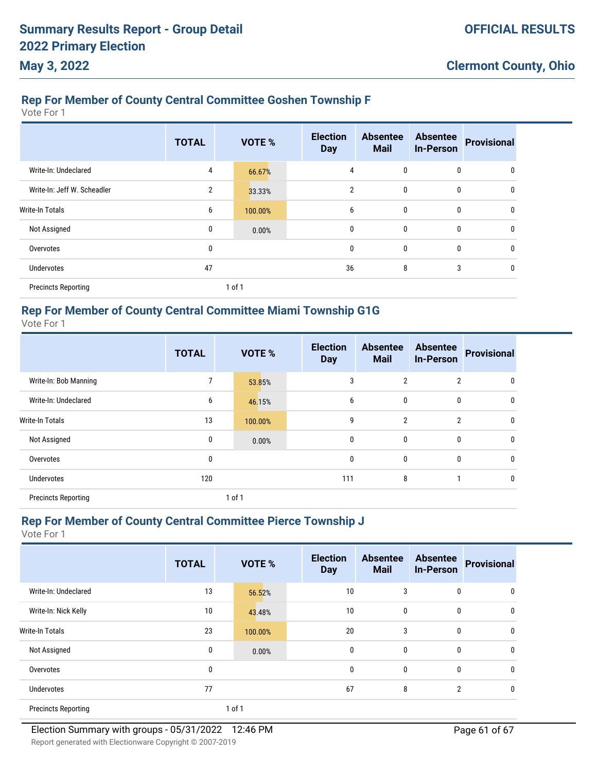## **Rep For Member of County Central Committee Goshen Township F**

Vote For 1

|                             | <b>TOTAL</b>   | <b>VOTE %</b> | <b>Election</b><br><b>Day</b> | <b>Absentee</b><br><b>Mail</b> | <b>Absentee</b><br><b>In-Person</b> | <b>Provisional</b> |
|-----------------------------|----------------|---------------|-------------------------------|--------------------------------|-------------------------------------|--------------------|
| Write-In: Undeclared        | 4              | 66.67%        | 4                             | 0                              | 0                                   | 0                  |
| Write-In: Jeff W. Scheadler | $\overline{2}$ | 33.33%        | $\overline{2}$                | 0                              | 0                                   | $\mathbf{0}$       |
| <b>Write-In Totals</b>      | 6              | 100.00%       | 6                             | $\mathbf 0$                    | 0                                   | 0                  |
| Not Assigned                | 0              | 0.00%         | $\mathbf{0}$                  | 0                              | 0                                   | $\mathbf{0}$       |
| Overvotes                   | 0              |               | 0                             | 0                              | 0                                   | $\mathbf{0}$       |
| <b>Undervotes</b>           | 47             |               | 36                            | 8                              | 3                                   | $\mathbf{0}$       |
| <b>Precincts Reporting</b>  |                | 1 of 1        |                               |                                |                                     |                    |

## **Rep For Member of County Central Committee Miami Township G1G**

Vote For 1

|                            | <b>TOTAL</b> | <b>VOTE %</b> | <b>Election</b><br><b>Day</b> | <b>Absentee</b><br><b>Mail</b> | <b>Absentee</b><br><b>In-Person</b> | <b>Provisional</b> |
|----------------------------|--------------|---------------|-------------------------------|--------------------------------|-------------------------------------|--------------------|
| Write-In: Bob Manning      | 7            | 53.85%        | 3                             | $\overline{2}$                 | $\overline{2}$                      | 0                  |
| Write-In: Undeclared       | 6            | 46.15%        | 6                             | 0                              | $\mathbf 0$                         | $\mathbf{0}$       |
| <b>Write-In Totals</b>     | 13           | 100.00%       | 9                             | $\overline{2}$                 | $\overline{2}$                      | $\mathbf{0}$       |
| Not Assigned               | 0            | 0.00%         | $\mathbf{0}$                  | 0                              | $\mathbf 0$                         | $\mathbf{0}$       |
| Overvotes                  | 0            |               | $\mathbf{0}$                  | 0                              | $\mathbf{0}$                        | $\mathbf{0}$       |
| Undervotes                 | 120          |               | 111                           | 8                              |                                     | 0                  |
| <b>Precincts Reporting</b> |              | 1 of 1        |                               |                                |                                     |                    |

## **Rep For Member of County Central Committee Pierce Township J**

|                            | <b>TOTAL</b> | <b>VOTE %</b> | <b>Election</b><br><b>Day</b> | <b>Absentee</b><br><b>Mail</b> | <b>Absentee</b><br><b>In-Person</b> | <b>Provisional</b> |
|----------------------------|--------------|---------------|-------------------------------|--------------------------------|-------------------------------------|--------------------|
| Write-In: Undeclared       | 13           | 56.52%        | 10                            | 3                              | 0                                   | 0                  |
| Write-In: Nick Kelly       | 10           | 43.48%        | 10                            | $\mathbf 0$                    | $\mathbf{0}$                        | 0                  |
| <b>Write-In Totals</b>     | 23           | 100.00%       | 20                            | 3                              | $\mathbf{0}$                        | 0                  |
| Not Assigned               | 0            | 0.00%         | 0                             | 0                              | $\mathbf 0$                         | 0                  |
| Overvotes                  | $\mathbf{0}$ |               | $\mathbf 0$                   | $\mathbf 0$                    | $\mathbf{0}$                        | 0                  |
| <b>Undervotes</b>          | 77           |               | 67                            | 8                              | $\overline{2}$                      | 0                  |
| <b>Precincts Reporting</b> |              | 1 of 1        |                               |                                |                                     |                    |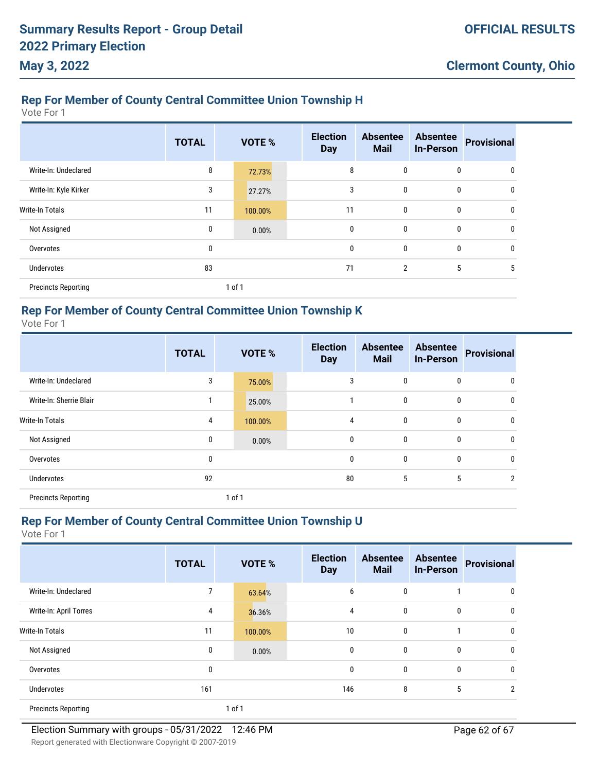## **Rep For Member of County Central Committee Union Township H**

Vote For 1

|                            | <b>TOTAL</b> |        | <b>VOTE %</b> | <b>Election</b><br><b>Day</b> | <b>Absentee</b><br><b>Mail</b> | <b>Absentee</b><br><b>In-Person</b> | <b>Provisional</b> |
|----------------------------|--------------|--------|---------------|-------------------------------|--------------------------------|-------------------------------------|--------------------|
| Write-In: Undeclared       | 8            |        | 72.73%        | 8                             | 0                              | 0                                   | 0                  |
| Write-In: Kyle Kirker      | 3            |        | 27.27%        | 3                             | $\bf{0}$                       | 0                                   | 0                  |
| <b>Write-In Totals</b>     | 11           |        | 100.00%       | 11                            | $\bf{0}$                       | $\mathbf{0}$                        | 0                  |
| Not Assigned               | 0            |        | 0.00%         | $\mathbf 0$                   | $\mathbf 0$                    | $\mathbf{0}$                        | $\mathbf{0}$       |
| Overvotes                  | 0            |        |               | 0                             | $\mathbf 0$                    | 0                                   | 0                  |
| <b>Undervotes</b>          | 83           |        |               | 71                            | $\overline{2}$                 | 5                                   | 5                  |
| <b>Precincts Reporting</b> |              | 1 of 1 |               |                               |                                |                                     |                    |

## **Rep For Member of County Central Committee Union Township K**

Vote For 1

|                            | <b>TOTAL</b> | VOTE %     | <b>Election</b><br><b>Day</b> | <b>Absentee</b><br><b>Mail</b> | <b>Absentee</b><br><b>In-Person</b> | <b>Provisional</b> |
|----------------------------|--------------|------------|-------------------------------|--------------------------------|-------------------------------------|--------------------|
| Write-In: Undeclared       | 3            | 75.00%     | 3                             | 0                              | $\mathbf{0}$                        | 0                  |
| Write-In: Sherrie Blair    | 1            | 25.00%     |                               | 0                              | $\mathbf 0$                         | 0                  |
| <b>Write-In Totals</b>     | 4            | 100.00%    | 4                             | 0                              | $\mathbf 0$                         | $\mathbf{0}$       |
| Not Assigned               | 0            | 0.00%      | 0                             | 0                              | $\mathbf{0}$                        | $\mathbf{0}$       |
| Overvotes                  | 0            |            | 0                             | 0                              | $\mathbf{0}$                        | $\mathbf{0}$       |
| Undervotes                 | 92           |            | 80                            | 5                              | 5                                   | $\overline{2}$     |
| <b>Precincts Reporting</b> |              | $1$ of $1$ |                               |                                |                                     |                    |

## **Rep For Member of County Central Committee Union Township U**

|                            | <b>TOTAL</b> | <b>VOTE %</b> | <b>Election</b><br><b>Day</b> | <b>Absentee</b><br><b>Mail</b> | <b>Absentee</b><br><b>In-Person</b> | <b>Provisional</b> |
|----------------------------|--------------|---------------|-------------------------------|--------------------------------|-------------------------------------|--------------------|
| Write-In: Undeclared       |              | 63.64%        | 6                             | 0                              |                                     | 0                  |
| Write-In: April Torres     | 4            | 36.36%        | $\overline{4}$                | $\mathbf 0$                    | $\mathbf{0}$                        | 0                  |
| <b>Write-In Totals</b>     | 11           | 100.00%       | 10                            | 0                              |                                     | $\theta$           |
| Not Assigned               | 0            | 0.00%         | 0                             | 0                              | 0                                   | 0                  |
| Overvotes                  | $\mathbf{0}$ |               | $\mathbf 0$                   | 0                              | $\mathbf{0}$                        | 0                  |
| <b>Undervotes</b>          | 161          |               | 146                           | 8                              | 5                                   | 2                  |
| <b>Precincts Reporting</b> |              | 1 of 1        |                               |                                |                                     |                    |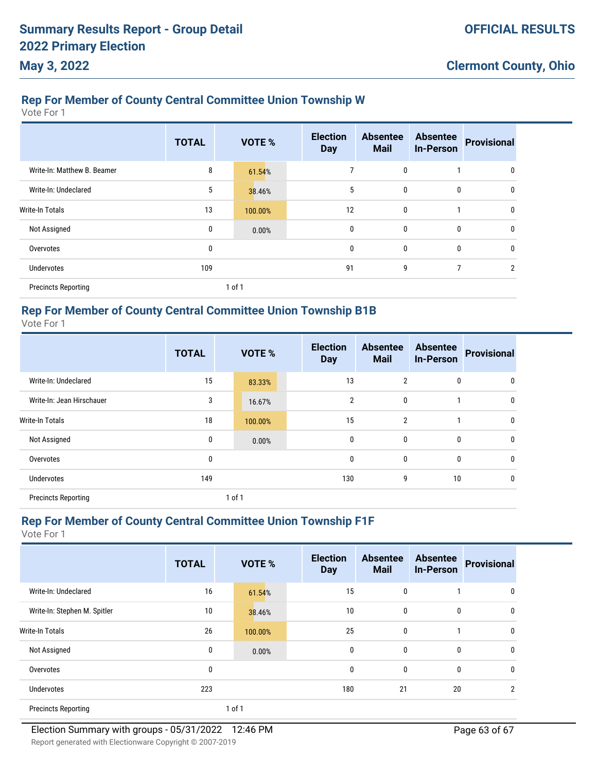# **Rep For Member of County Central Committee Union Township W**

Vote For 1

|                             | <b>TOTAL</b> | <b>VOTE %</b> | <b>Election</b><br><b>Day</b> | <b>Absentee</b><br><b>Mail</b> | <b>Absentee</b><br><b>In-Person</b> | <b>Provisional</b> |
|-----------------------------|--------------|---------------|-------------------------------|--------------------------------|-------------------------------------|--------------------|
| Write-In: Matthew B. Beamer | 8            | 61.54%        | 7                             | $\mathbf 0$                    |                                     | 0                  |
| Write-In: Undeclared        | 5            | 38.46%        | 5                             | $\mathbf 0$                    | 0                                   | 0                  |
| Write-In Totals             | 13           | 100.00%       | 12                            | $\mathbf 0$                    |                                     | 0                  |
| Not Assigned                | $\bf{0}$     | 0.00%         | 0                             | $\mathbf 0$                    | $\mathbf{0}$                        | 0                  |
| Overvotes                   | 0            |               | 0                             | $\mathbf{0}$                   | $\mathbf{0}$                        | 0                  |
| <b>Undervotes</b>           | 109          |               | 91                            | 9                              | 7                                   | $\overline{2}$     |
| <b>Precincts Reporting</b>  |              | 1 of 1        |                               |                                |                                     |                    |

# **Rep For Member of County Central Committee Union Township B1B**

Vote For 1

|                            | <b>TOTAL</b> | <b>VOTE %</b> | <b>Election</b><br><b>Day</b> | <b>Absentee</b><br><b>Mail</b> | <b>Absentee</b><br><b>In-Person</b> | <b>Provisional</b> |
|----------------------------|--------------|---------------|-------------------------------|--------------------------------|-------------------------------------|--------------------|
| Write-In: Undeclared       | 15           | 83.33%        | 13                            | $\overline{2}$                 | 0                                   | 0                  |
| Write-In: Jean Hirschauer  | 3            | 16.67%        | $\overline{2}$                | 0                              | и                                   | 0                  |
| <b>Write-In Totals</b>     | 18           | 100.00%       | 15                            | $\overline{2}$                 |                                     | $\mathbf{0}$       |
| Not Assigned               | 0            | 0.00%         | 0                             | 0                              | $\mathbf{0}$                        | $\mathbf{0}$       |
| Overvotes                  | 0            |               | 0                             | 0                              | $\mathbf{0}$                        | $\mathbf{0}$       |
| <b>Undervotes</b>          | 149          |               | 130                           | 9                              | 10                                  | $\mathbf{0}$       |
| <b>Precincts Reporting</b> |              | $1$ of $1$    |                               |                                |                                     |                    |

## **Rep For Member of County Central Committee Union Township F1F**

|                              | <b>TOTAL</b> | VOTE %  | <b>Election</b><br><b>Day</b> | <b>Absentee</b><br><b>Mail</b> | <b>Absentee</b><br><b>In-Person</b> | <b>Provisional</b> |
|------------------------------|--------------|---------|-------------------------------|--------------------------------|-------------------------------------|--------------------|
| Write-In: Undeclared         | 16           | 61.54%  | 15                            | $\mathbf 0$                    |                                     | 0                  |
| Write-In: Stephen M. Spitler | 10           | 38.46%  | 10                            | $\mathbf 0$                    | $\bf{0}$                            | 0                  |
| <b>Write-In Totals</b>       | 26           | 100.00% | 25                            | $\mathbf 0$                    |                                     | 0                  |
| Not Assigned                 | 0            | 0.00%   | 0                             | $\mathbf 0$                    | $\mathbf{0}$                        | 0                  |
| Overvotes                    | 0            |         | 0                             | $\mathbf 0$                    | $\mathbf{0}$                        | 0                  |
| <b>Undervotes</b>            | 223          |         | 180                           | 21                             | 20                                  | 2                  |
| <b>Precincts Reporting</b>   |              | 1 of 1  |                               |                                |                                     |                    |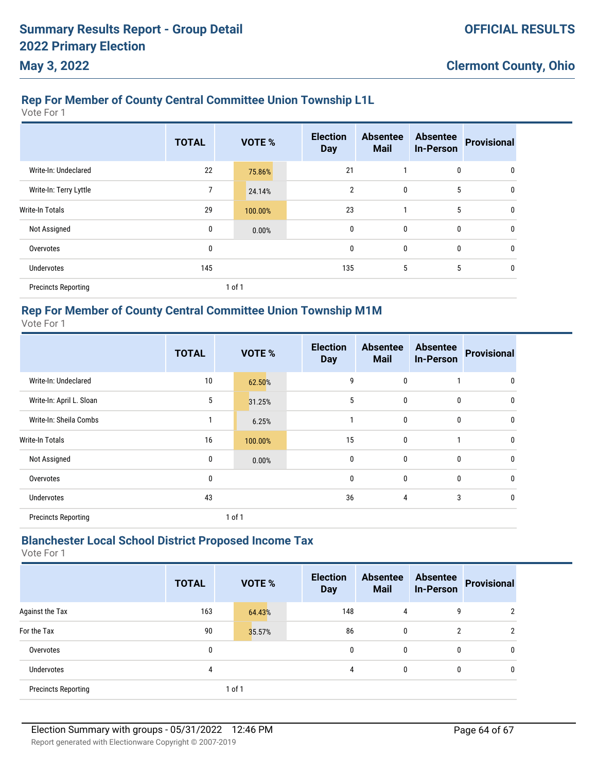## **Rep For Member of County Central Committee Union Township L1L**

Vote For 1

|                            | <b>TOTAL</b>   |        | <b>VOTE %</b> | <b>Election</b><br><b>Day</b> | <b>Absentee</b><br><b>Mail</b> | <b>Absentee</b><br><b>In-Person</b> | <b>Provisional</b> |
|----------------------------|----------------|--------|---------------|-------------------------------|--------------------------------|-------------------------------------|--------------------|
| Write-In: Undeclared       | 22             |        | 75.86%        | 21                            |                                | $\mathbf{0}$                        | 0                  |
| Write-In: Terry Lyttle     | $\overline{7}$ |        | 24.14%        | $\overline{2}$                | 0                              | 5                                   | 0                  |
| <b>Write-In Totals</b>     | 29             |        | 100.00%       | 23                            |                                | 5                                   | 0                  |
| Not Assigned               | 0              |        | 0.00%         | $\mathbf 0$                   | $\mathbf 0$                    | $\mathbf{0}$                        | 0                  |
| Overvotes                  | 0              |        |               | $\mathbf 0$                   | $\mathbf 0$                    | $\mathbf{0}$                        | $\mathbf{0}$       |
| Undervotes                 | 145            |        |               | 135                           | 5                              | 5                                   | 0                  |
| <b>Precincts Reporting</b> |                | 1 of 1 |               |                               |                                |                                     |                    |

# **Rep For Member of County Central Committee Union Township M1M**

Vote For 1

|                            | <b>TOTAL</b> | <b>VOTE %</b> | <b>Election</b><br><b>Day</b> | <b>Absentee</b><br><b>Mail</b> | <b>Absentee</b><br><b>In-Person</b> | <b>Provisional</b> |
|----------------------------|--------------|---------------|-------------------------------|--------------------------------|-------------------------------------|--------------------|
| Write-In: Undeclared       | 10           | 62.50%        | 9                             | 0                              |                                     | $\mathbf{0}$       |
| Write-In: April L. Sloan   | 5            | 31.25%        | 5                             | 0                              | $\mathbf{0}$                        | $\mathbf{0}$       |
| Write-In: Sheila Combs     | 1            | 6.25%         | 1                             | $\bf{0}$                       | $\mathbf 0$                         | $\mathbf 0$        |
| <b>Write-In Totals</b>     | 16           | 100.00%       | 15                            | $\bf{0}$                       | 1                                   | $\mathbf 0$        |
| Not Assigned               | 0            | 0.00%         | $\mathbf 0$                   | 0                              | $\mathbf{0}$                        | $\mathbf{0}$       |
| Overvotes                  | 0            |               | $\mathbf 0$                   | 0                              | $\mathbf{0}$                        | $\mathbf{0}$       |
| Undervotes                 | 43           |               | 36                            | 4                              | 3                                   | 0                  |
| <b>Precincts Reporting</b> |              | $1$ of $1$    |                               |                                |                                     |                    |

## **Blanchester Local School District Proposed Income Tax**

|                            | <b>TOTAL</b> | <b>VOTE %</b> | <b>Election</b><br><b>Day</b> | <b>Absentee</b><br><b>Mail</b> | <b>Absentee</b><br><b>In-Person</b> | Provisional |
|----------------------------|--------------|---------------|-------------------------------|--------------------------------|-------------------------------------|-------------|
| Against the Tax            | 163          | 64.43%        | 148                           | 4                              | 9                                   | 2           |
| For the Tax                | 90           | 35.57%        | 86                            | 0                              | 2                                   | 2           |
| Overvotes                  | 0            |               | 0                             | $\mathbf{0}$                   | 0                                   | 0           |
| <b>Undervotes</b>          | 4            |               | 4                             | $\mathbf{0}$                   | 0                                   | 0           |
| <b>Precincts Reporting</b> |              | 1 of 1        |                               |                                |                                     |             |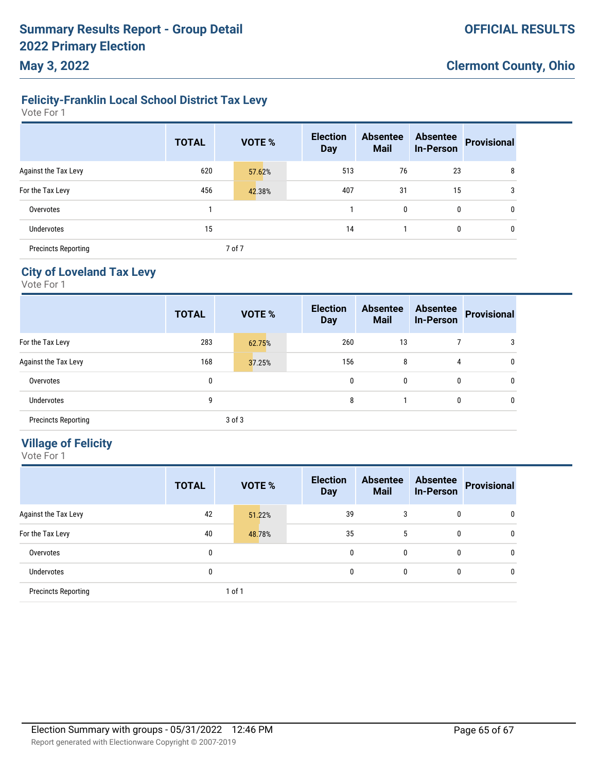# **Felicity-Franklin Local School District Tax Levy**

Vote For 1

|                            | <b>TOTAL</b> | <b>VOTE %</b> | <b>Election</b><br><b>Day</b> | <b>Absentee</b><br><b>Mail</b> | <b>Absentee</b><br><b>In-Person</b> | <b>Provisional</b> |
|----------------------------|--------------|---------------|-------------------------------|--------------------------------|-------------------------------------|--------------------|
| Against the Tax Levy       | 620          | 57.62%        | 513                           | 76                             | 23                                  | 8                  |
| For the Tax Levy           | 456          | 42.38%        | 407                           | 31                             | 15                                  | 3                  |
| Overvotes                  |              |               |                               | 0                              | $\mathbf{0}$                        | $\mathbf{0}$       |
| <b>Undervotes</b>          | 15           |               | 14                            |                                | 0                                   | 0                  |
| <b>Precincts Reporting</b> |              | 7 of 7        |                               |                                |                                     |                    |

# **City of Loveland Tax Levy**

Vote For 1

|                            | <b>TOTAL</b> | <b>VOTE %</b> |        | <b>Election</b><br><b>Day</b> | <b>Absentee</b><br><b>Mail</b> | <b>Absentee</b><br>In-Person | <b>Provisional</b> |   |
|----------------------------|--------------|---------------|--------|-------------------------------|--------------------------------|------------------------------|--------------------|---|
| For the Tax Levy           | 283          |               | 62.75% |                               | 260                            | 13                           |                    | 3 |
| Against the Tax Levy       | 168          |               | 37.25% |                               | 156                            | 8                            | 4                  | 0 |
| Overvotes                  | 0            |               |        |                               | $\mathbf{0}$                   | $\mathbf{0}$                 | $\mathbf{0}$       | 0 |
| Undervotes                 | 9            |               |        |                               | 8                              |                              | 0                  | 0 |
| <b>Precincts Reporting</b> |              | $3$ of $3$    |        |                               |                                |                              |                    |   |

## **Village of Felicity**

|                            | <b>TOTAL</b> | <b>VOTE %</b> |        | <b>Election</b><br><b>Day</b> | <b>Absentee</b><br><b>Mail</b> | <b>Absentee</b><br><b>In-Person</b> | <b>Provisional</b> |
|----------------------------|--------------|---------------|--------|-------------------------------|--------------------------------|-------------------------------------|--------------------|
| Against the Tax Levy       | 42           |               | 51.22% | 39                            | 3                              | 0                                   | 0                  |
| For the Tax Levy           | 40           |               | 48.78% | 35                            | 5                              | 0                                   | $\mathbf{0}$       |
| Overvotes                  | 0            |               |        | $\mathbf{0}$                  | 0                              | 0                                   | 0                  |
| Undervotes                 | 0            |               |        | 0                             | 0                              | 0                                   | 0                  |
| <b>Precincts Reporting</b> |              | 1 of 1        |        |                               |                                |                                     |                    |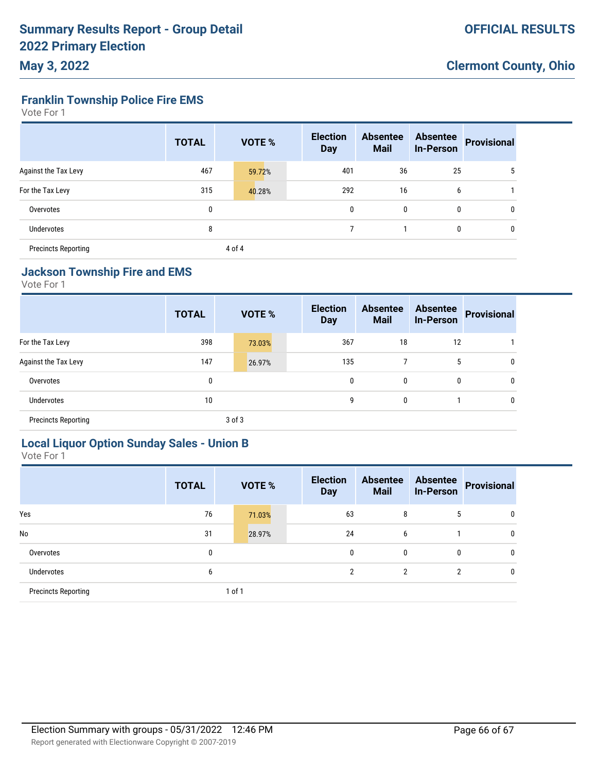**Franklin Township Police Fire EMS**

Vote For 1

|                            | <b>TOTAL</b> | <b>VOTE %</b> | <b>Election</b><br><b>Day</b> | <b>Absentee</b><br><b>Mail</b> | <b>Absentee</b><br><b>In-Person</b> | <b>Provisional</b> |
|----------------------------|--------------|---------------|-------------------------------|--------------------------------|-------------------------------------|--------------------|
| Against the Tax Levy       | 467          | 59.72%        | 401                           | 36                             | 25                                  | G                  |
| For the Tax Levy           | 315          | 40.28%        | 292                           | 16                             | 6                                   |                    |
| Overvotes                  | 0            |               | 0                             | 0                              | $\mathbf 0$                         | 0                  |
| <b>Undervotes</b>          | 8            |               |                               |                                | 0                                   | $\mathbf{0}$       |
| <b>Precincts Reporting</b> |              | 4 of 4        |                               |                                |                                     |                    |

# **Jackson Township Fire and EMS**

Vote For 1

|                            | <b>TOTAL</b> |            | <b>VOTE %</b> | <b>Election</b><br><b>Day</b> | <b>Absentee</b><br><b>Mail</b> | <b>Absentee</b><br><b>In-Person</b> | <b>Provisional</b> |
|----------------------------|--------------|------------|---------------|-------------------------------|--------------------------------|-------------------------------------|--------------------|
| For the Tax Levy           | 398          |            | 73.03%        | 367                           | 18                             | 12                                  |                    |
| Against the Tax Levy       | 147          |            | 26.97%        | 135                           | ┑                              | 5                                   | 0                  |
| Overvotes                  | 0            |            |               | 0                             | 0                              | 0                                   | 0                  |
| Undervotes                 | 10           |            |               | 9                             | 0                              |                                     | 0                  |
| <b>Precincts Reporting</b> |              | $3$ of $3$ |               |                               |                                |                                     |                    |

# **Local Liquor Option Sunday Sales - Union B**

|                            | <b>TOTAL</b> | <b>VOTE %</b> | <b>Election</b><br><b>Day</b> | <b>Absentee</b><br><b>Mail</b> | <b>Absentee</b><br><b>In-Person</b> | <b>Provisional</b> |
|----------------------------|--------------|---------------|-------------------------------|--------------------------------|-------------------------------------|--------------------|
| Yes                        | 76           | 71.03%        | 63                            | 8                              | 5                                   | 0                  |
| No                         | 31           | 28.97%        | 24                            | 6                              |                                     | 0                  |
| Overvotes                  | 0            |               | $\mathbf{0}$                  | 0                              | 0                                   | $\mathbf{0}$       |
| Undervotes                 | 6            |               | $\mathfrak{p}$                | 2                              | 2                                   | 0                  |
| <b>Precincts Reporting</b> |              | 1 of 1        |                               |                                |                                     |                    |